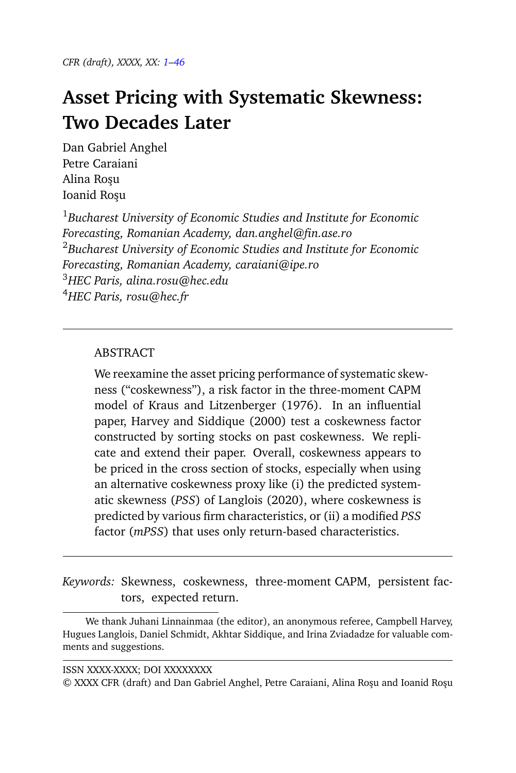<span id="page-0-1"></span>*CFR (draft), XXXX, XX: [1–](#page-0-0)[46](#page-45-0)*

# <span id="page-0-0"></span>**Asset Pricing with Systematic Skewness: Two Decades Later**

Dan Gabriel Anghel Petre Caraiani Alina Rosu Ioanid Rosu

*Bucharest University of Economic Studies and Institute for Economic Forecasting, Romanian Academy, dan.anghel@fin.ase.ro Bucharest University of Economic Studies and Institute for Economic Forecasting, Romanian Academy, caraiani@ipe.ro HEC Paris, alina.rosu@hec.edu HEC Paris, rosu@hec.fr*

# ABSTRACT

We reexamine the asset pricing performance of systematic skewness ("coskewness"), a risk factor in the three-moment CAPM model of Kraus and Litzenberger (1976). In an influential paper, Harvey and Siddique (2000) test a coskewness factor constructed by sorting stocks on past coskewness. We replicate and extend their paper. Overall, coskewness appears to be priced in the cross section of stocks, especially when using an alternative coskewness proxy like (i) the predicted systematic skewness (*PSS*) of Langlois (2020), where coskewness is predicted by various firm characteristics, or (ii) a modified *PSS* factor (*mPSS*) that uses only return-based characteristics.

*Keywords:* Skewness, coskewness, three-moment CAPM, persistent factors, expected return.

We thank Juhani Linnainmaa (the editor), an anonymous referee, Campbell Harvey, Hugues Langlois, Daniel Schmidt, Akhtar Siddique, and Irina Zviadadze for valuable comments and suggestions.

© XXXX CFR (draft) and Dan Gabriel Anghel, Petre Caraiani, Alina Roşu and Ioanid Roşu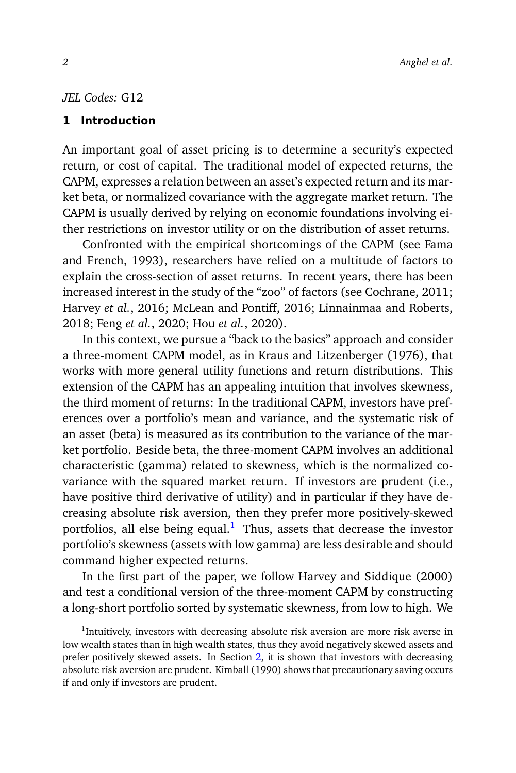# *JEL Codes:* G12

#### <span id="page-1-1"></span>**1 Introduction**

An important goal of asset pricing is to determine a security's expected return, or cost of capital. The traditional model of expected returns, the CAPM, expresses a relation between an asset's expected return and its market beta, or normalized covariance with the aggregate market return. The CAPM is usually derived by relying on economic foundations involving either restrictions on investor utility or on the distribution of asset returns.

Confronted with the empirical shortcomings of the CAPM (see Fama and French, 1993), researchers have relied on a multitude of factors to explain the cross-section of asset returns. In recent years, there has been increased interest in the study of the "zoo" of factors (see Cochrane, 2011; Harvey *et al.*, 2016; McLean and Pontiff, 2016; Linnainmaa and Roberts, 2018; Feng *et al.*, 2020; Hou *et al.*, 2020).

In this context, we pursue a "back to the basics" approach and consider a three-moment CAPM model, as in Kraus and Litzenberger (1976), that works with more general utility functions and return distributions. This extension of the CAPM has an appealing intuition that involves skewness, the third moment of returns: In the traditional CAPM, investors have preferences over a portfolio's mean and variance, and the systematic risk of an asset (beta) is measured as its contribution to the variance of the market portfolio. Beside beta, the three-moment CAPM involves an additional characteristic (gamma) related to skewness, which is the normalized covariance with the squared market return. If investors are prudent (i.e., have positive third derivative of utility) and in particular if they have decreasing absolute risk aversion, then they prefer more positively-skewed portfolios, all else being equal.<sup>[1](#page-1-0)</sup> Thus, assets that decrease the investor portfolio's skewness (assets with low gamma) are less desirable and should command higher expected returns.

In the first part of the paper, we follow Harvey and Siddique (2000) and test a conditional version of the three-moment CAPM by constructing a long-short portfolio sorted by systematic skewness, from low to high. We

<span id="page-1-0"></span><sup>&</sup>lt;sup>1</sup>Intuitively, investors with decreasing absolute risk aversion are more risk averse in low wealth states than in high wealth states, thus they avoid negatively skewed assets and prefer positively skewed assets. In Section [2,](#page-8-0) it is shown that investors with decreasing absolute risk aversion are prudent. Kimball (1990) shows that precautionary saving occurs if and only if investors are prudent.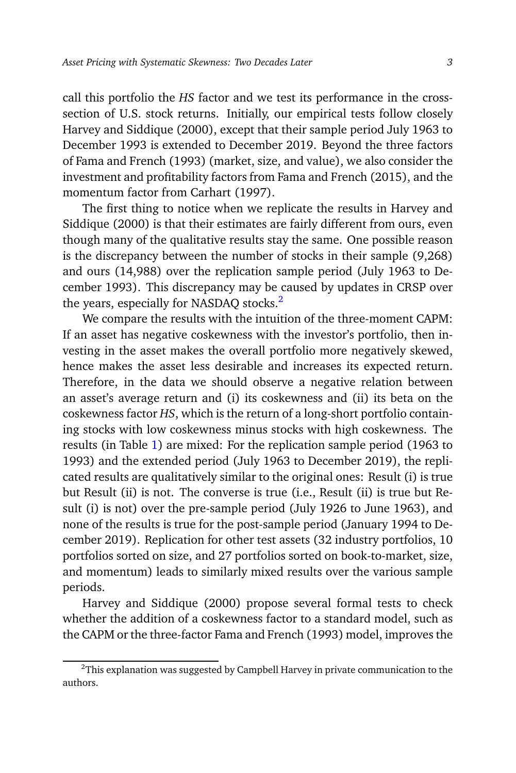call this portfolio the *HS* factor and we test its performance in the crosssection of U.S. stock returns. Initially, our empirical tests follow closely Harvey and Siddique (2000), except that their sample period July 1963 to December 1993 is extended to December 2019. Beyond the three factors of Fama and French (1993) (market, size, and value), we also consider the investment and profitability factors from Fama and French (2015), and the momentum factor from Carhart (1997).

The first thing to notice when we replicate the results in Harvey and Siddique (2000) is that their estimates are fairly different from ours, even though many of the qualitative results stay the same. One possible reason is the discrepancy between the number of stocks in their sample (9,268) and ours (14,988) over the replication sample period (July 1963 to December 1993). This discrepancy may be caused by updates in CRSP over the years, especially for NASDAQ stocks.<sup>[2](#page-2-0)</sup>

We compare the results with the intuition of the three-moment CAPM: If an asset has negative coskewness with the investor's portfolio, then investing in the asset makes the overall portfolio more negatively skewed, hence makes the asset less desirable and increases its expected return. Therefore, in the data we should observe a negative relation between an asset's average return and (i) its coskewness and (ii) its beta on the coskewness factor *HS*, which is the return of a long-short portfolio containing stocks with low coskewness minus stocks with high coskewness. The results (in Table [1\)](#page-16-0) are mixed: For the replication sample period (1963 to 1993) and the extended period (July 1963 to December 2019), the replicated results are qualitatively similar to the original ones: Result (i) is true but Result (ii) is not. The converse is true (i.e., Result (ii) is true but Result (i) is not) over the pre-sample period (July 1926 to June 1963), and none of the results is true for the post-sample period (January 1994 to December 2019). Replication for other test assets (32 industry portfolios, 10 portfolios sorted on size, and 27 portfolios sorted on book-to-market, size, and momentum) leads to similarly mixed results over the various sample periods.

Harvey and Siddique (2000) propose several formal tests to check whether the addition of a coskewness factor to a standard model, such as the CAPM or the three-factor Fama and French (1993) model, improves the

<span id="page-2-0"></span> $2$ This explanation was suggested by Campbell Harvey in private communication to the authors.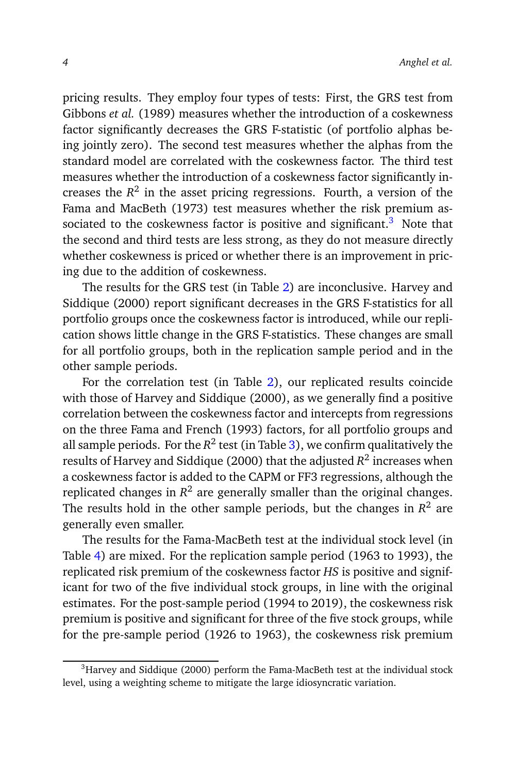pricing results. They employ four types of tests: First, the GRS test from Gibbons *et al.* (1989) measures whether the introduction of a coskewness factor significantly decreases the GRS F-statistic (of portfolio alphas being jointly zero). The second test measures whether the alphas from the standard model are correlated with the coskewness factor. The third test measures whether the introduction of a coskewness factor significantly increases the  $R^2$  in the asset pricing regressions. Fourth, a version of the Fama and MacBeth (1973) test measures whether the risk premium as-sociated to the coskewness factor is positive and significant.<sup>[3](#page-3-0)</sup> Note that the second and third tests are less strong, as they do not measure directly whether coskewness is priced or whether there is an improvement in pricing due to the addition of coskewness.

The results for the GRS test (in Table [2\)](#page-21-0) are inconclusive. Harvey and Siddique (2000) report significant decreases in the GRS F-statistics for all portfolio groups once the coskewness factor is introduced, while our replication shows little change in the GRS F-statistics. These changes are small for all portfolio groups, both in the replication sample period and in the other sample periods.

For the correlation test (in Table [2\)](#page-21-0), our replicated results coincide with those of Harvey and Siddique (2000), as we generally find a positive correlation between the coskewness factor and intercepts from regressions on the three Fama and French (1993) factors, for all portfolio groups and all sample periods. For the  $R^2$  test (in Table [3\)](#page-25-0), we confirm qualitatively the results of Harvey and Siddique (2000) that the adjusted *R* 2 increases when a coskewness factor is added to the CAPM or FF3 regressions, although the replicated changes in  $R^2$  are generally smaller than the original changes. The results hold in the other sample periods, but the changes in  $R^2$  are generally even smaller.

The results for the Fama-MacBeth test at the individual stock level (in Table [4\)](#page-29-0) are mixed. For the replication sample period (1963 to 1993), the replicated risk premium of the coskewness factor *HS* is positive and significant for two of the five individual stock groups, in line with the original estimates. For the post-sample period (1994 to 2019), the coskewness risk premium is positive and significant for three of the five stock groups, while for the pre-sample period (1926 to 1963), the coskewness risk premium

<span id="page-3-0"></span><sup>&</sup>lt;sup>3</sup>Harvey and Siddique (2000) perform the Fama-MacBeth test at the individual stock level, using a weighting scheme to mitigate the large idiosyncratic variation.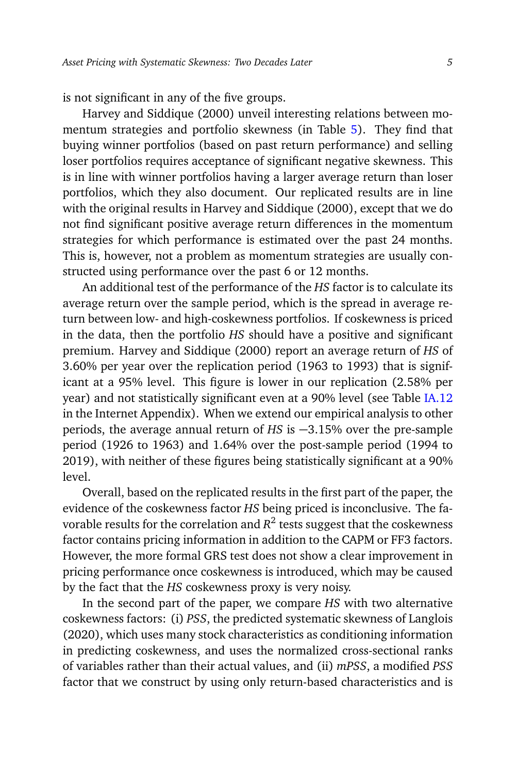is not significant in any of the five groups.

Harvey and Siddique (2000) unveil interesting relations between momentum strategies and portfolio skewness (in Table [5\)](#page-33-0). They find that buying winner portfolios (based on past return performance) and selling loser portfolios requires acceptance of significant negative skewness. This is in line with winner portfolios having a larger average return than loser portfolios, which they also document. Our replicated results are in line with the original results in Harvey and Siddique (2000), except that we do not find significant positive average return differences in the momentum strategies for which performance is estimated over the past 24 months. This is, however, not a problem as momentum strategies are usually constructed using performance over the past 6 or 12 months.

An additional test of the performance of the *HS* factor is to calculate its average return over the sample period, which is the spread in average return between low- and high-coskewness portfolios. If coskewness is priced in the data, then the portfolio *HS* should have a positive and significant premium. Harvey and Siddique (2000) report an average return of *HS* of 3.60% per year over the replication period (1963 to 1993) that is significant at a 95% level. This figure is lower in our replication (2.58% per year) and not statistically significant even at a 90% level (see Table [IA.12](#page-0-1) in the Internet Appendix). When we extend our empirical analysis to other periods, the average annual return of *HS* is −3.15% over the pre-sample period (1926 to 1963) and 1.64% over the post-sample period (1994 to 2019), with neither of these figures being statistically significant at a 90% level.

Overall, based on the replicated results in the first part of the paper, the evidence of the coskewness factor *HS* being priced is inconclusive. The favorable results for the correlation and  $R^2$  tests suggest that the coskewness factor contains pricing information in addition to the CAPM or FF3 factors. However, the more formal GRS test does not show a clear improvement in pricing performance once coskewness is introduced, which may be caused by the fact that the *HS* coskewness proxy is very noisy.

In the second part of the paper, we compare *HS* with two alternative coskewness factors: (i) *PSS*, the predicted systematic skewness of Langlois (2020), which uses many stock characteristics as conditioning information in predicting coskewness, and uses the normalized cross-sectional ranks of variables rather than their actual values, and (ii) *mPSS*, a modified *PSS* factor that we construct by using only return-based characteristics and is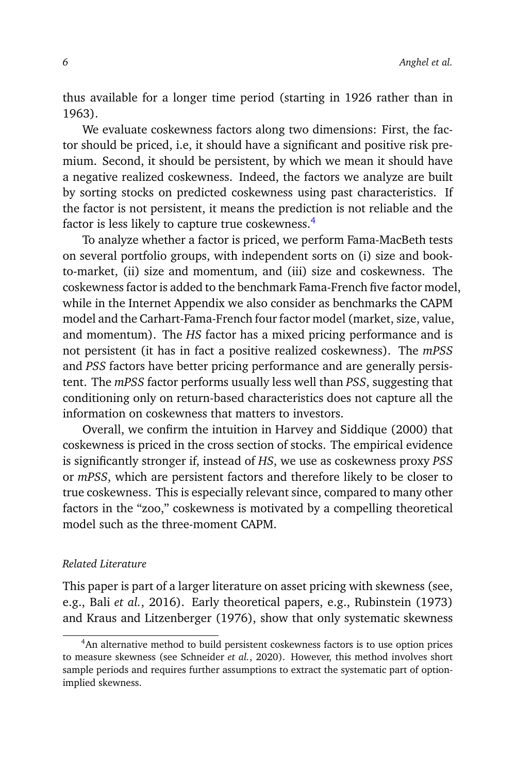thus available for a longer time period (starting in 1926 rather than in 1963).

We evaluate coskewness factors along two dimensions: First, the factor should be priced, i.e, it should have a significant and positive risk premium. Second, it should be persistent, by which we mean it should have a negative realized coskewness. Indeed, the factors we analyze are built by sorting stocks on predicted coskewness using past characteristics. If the factor is not persistent, it means the prediction is not reliable and the factor is less likely to capture true coskewness.<sup>[4](#page-5-0)</sup>

To analyze whether a factor is priced, we perform Fama-MacBeth tests on several portfolio groups, with independent sorts on (i) size and bookto-market, (ii) size and momentum, and (iii) size and coskewness. The coskewness factor is added to the benchmark Fama-French five factor model, while in the Internet Appendix we also consider as benchmarks the CAPM model and the Carhart-Fama-French four factor model (market, size, value, and momentum). The *HS* factor has a mixed pricing performance and is not persistent (it has in fact a positive realized coskewness). The *mPSS* and *PSS* factors have better pricing performance and are generally persistent. The *mPSS* factor performs usually less well than *PSS*, suggesting that conditioning only on return-based characteristics does not capture all the information on coskewness that matters to investors.

Overall, we confirm the intuition in Harvey and Siddique (2000) that coskewness is priced in the cross section of stocks. The empirical evidence is significantly stronger if, instead of *HS*, we use as coskewness proxy *PSS* or *mPSS*, which are persistent factors and therefore likely to be closer to true coskewness. This is especially relevant since, compared to many other factors in the "zoo," coskewness is motivated by a compelling theoretical model such as the three-moment CAPM.

#### *Related Literature*

This paper is part of a larger literature on asset pricing with skewness (see, e.g., Bali *et al.*, 2016). Early theoretical papers, e.g., Rubinstein (1973) and Kraus and Litzenberger (1976), show that only systematic skewness

<span id="page-5-0"></span><sup>&</sup>lt;sup>4</sup>An alternative method to build persistent coskewness factors is to use option prices to measure skewness (see Schneider *et al.*, 2020). However, this method involves short sample periods and requires further assumptions to extract the systematic part of optionimplied skewness.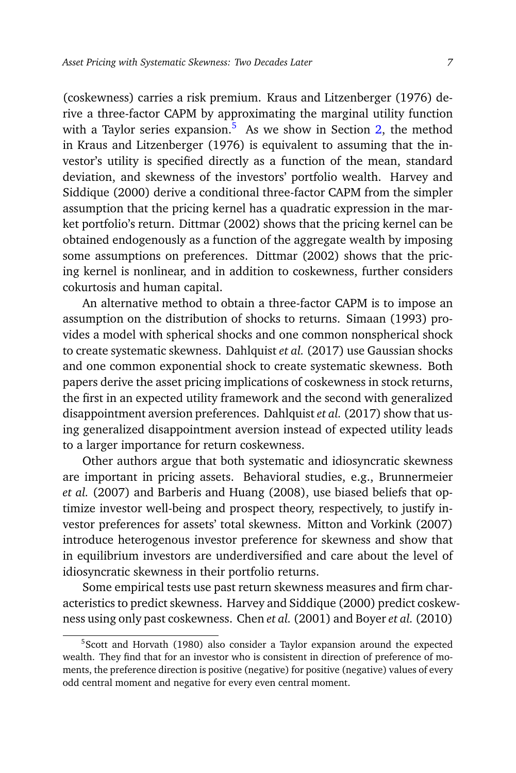(coskewness) carries a risk premium. Kraus and Litzenberger (1976) derive a three-factor CAPM by approximating the marginal utility function with a Taylor series expansion.<sup>[5](#page-6-0)</sup> As we show in Section [2,](#page-8-0) the method in Kraus and Litzenberger (1976) is equivalent to assuming that the investor's utility is specified directly as a function of the mean, standard deviation, and skewness of the investors' portfolio wealth. Harvey and Siddique (2000) derive a conditional three-factor CAPM from the simpler assumption that the pricing kernel has a quadratic expression in the market portfolio's return. Dittmar (2002) shows that the pricing kernel can be obtained endogenously as a function of the aggregate wealth by imposing some assumptions on preferences. Dittmar (2002) shows that the pricing kernel is nonlinear, and in addition to coskewness, further considers cokurtosis and human capital.

An alternative method to obtain a three-factor CAPM is to impose an assumption on the distribution of shocks to returns. Simaan (1993) provides a model with spherical shocks and one common nonspherical shock to create systematic skewness. Dahlquist *et al.* (2017) use Gaussian shocks and one common exponential shock to create systematic skewness. Both papers derive the asset pricing implications of coskewness in stock returns, the first in an expected utility framework and the second with generalized disappointment aversion preferences. Dahlquist *et al.* (2017) show that using generalized disappointment aversion instead of expected utility leads to a larger importance for return coskewness.

Other authors argue that both systematic and idiosyncratic skewness are important in pricing assets. Behavioral studies, e.g., Brunnermeier *et al.* (2007) and Barberis and Huang (2008), use biased beliefs that optimize investor well-being and prospect theory, respectively, to justify investor preferences for assets' total skewness. Mitton and Vorkink (2007) introduce heterogenous investor preference for skewness and show that in equilibrium investors are underdiversified and care about the level of idiosyncratic skewness in their portfolio returns.

Some empirical tests use past return skewness measures and firm characteristics to predict skewness. Harvey and Siddique (2000) predict coskewness using only past coskewness. Chen *et al.* (2001) and Boyer *et al.* (2010)

<span id="page-6-0"></span><sup>&</sup>lt;sup>5</sup>Scott and Horvath (1980) also consider a Taylor expansion around the expected wealth. They find that for an investor who is consistent in direction of preference of moments, the preference direction is positive (negative) for positive (negative) values of every odd central moment and negative for every even central moment.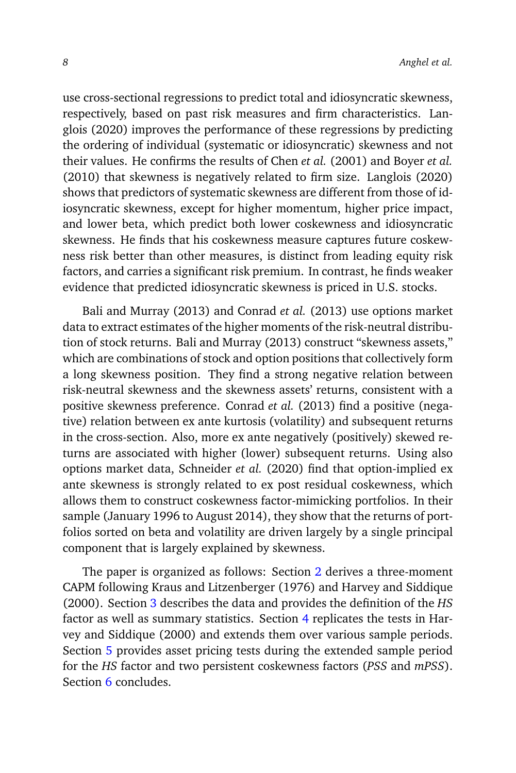use cross-sectional regressions to predict total and idiosyncratic skewness, respectively, based on past risk measures and firm characteristics. Langlois (2020) improves the performance of these regressions by predicting the ordering of individual (systematic or idiosyncratic) skewness and not their values. He confirms the results of Chen *et al.* (2001) and Boyer *et al.* (2010) that skewness is negatively related to firm size. Langlois (2020) shows that predictors of systematic skewness are different from those of idiosyncratic skewness, except for higher momentum, higher price impact, and lower beta, which predict both lower coskewness and idiosyncratic skewness. He finds that his coskewness measure captures future coskewness risk better than other measures, is distinct from leading equity risk factors, and carries a significant risk premium. In contrast, he finds weaker evidence that predicted idiosyncratic skewness is priced in U.S. stocks.

Bali and Murray (2013) and Conrad *et al.* (2013) use options market data to extract estimates of the higher moments of the risk-neutral distribution of stock returns. Bali and Murray (2013) construct "skewness assets," which are combinations of stock and option positions that collectively form a long skewness position. They find a strong negative relation between risk-neutral skewness and the skewness assets' returns, consistent with a positive skewness preference. Conrad *et al.* (2013) find a positive (negative) relation between ex ante kurtosis (volatility) and subsequent returns in the cross-section. Also, more ex ante negatively (positively) skewed returns are associated with higher (lower) subsequent returns. Using also options market data, Schneider *et al.* (2020) find that option-implied ex ante skewness is strongly related to ex post residual coskewness, which allows them to construct coskewness factor-mimicking portfolios. In their sample (January 1996 to August 2014), they show that the returns of portfolios sorted on beta and volatility are driven largely by a single principal component that is largely explained by skewness.

The paper is organized as follows: Section [2](#page-8-0) derives a three-moment CAPM following Kraus and Litzenberger (1976) and Harvey and Siddique (2000). Section [3](#page-12-0) describes the data and provides the definition of the *HS* factor as well as summary statistics. Section [4](#page-20-0) replicates the tests in Harvey and Siddique (2000) and extends them over various sample periods. Section [5](#page-34-0) provides asset pricing tests during the extended sample period for the *HS* factor and two persistent coskewness factors (*PSS* and *mPSS*). Section [6](#page-41-0) concludes.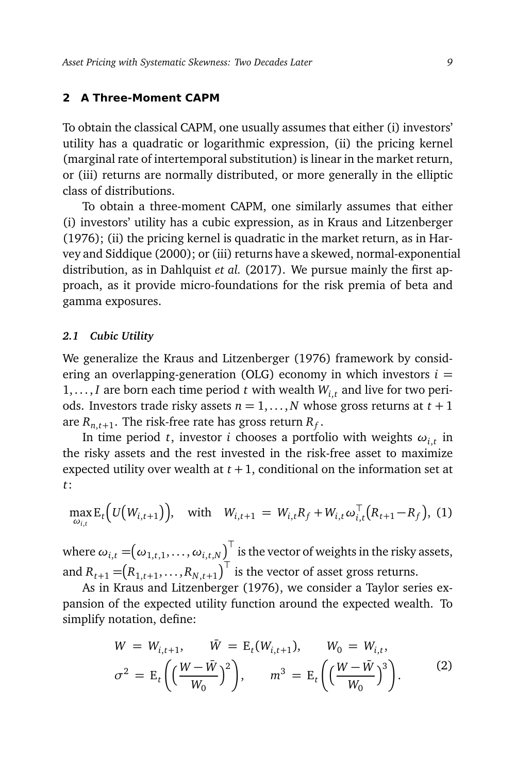#### <span id="page-8-0"></span>**2 A Three-Moment CAPM**

To obtain the classical CAPM, one usually assumes that either (i) investors' utility has a quadratic or logarithmic expression, (ii) the pricing kernel (marginal rate of intertemporal substitution) is linear in the market return, or (iii) returns are normally distributed, or more generally in the elliptic class of distributions.

To obtain a three-moment CAPM, one similarly assumes that either (i) investors' utility has a cubic expression, as in Kraus and Litzenberger (1976); (ii) the pricing kernel is quadratic in the market return, as in Harvey and Siddique (2000); or (iii) returns have a skewed, normal-exponential distribution, as in Dahlquist *et al.* (2017). We pursue mainly the first approach, as it provide micro-foundations for the risk premia of beta and gamma exposures.

# *2.1 Cubic Utility*

We generalize the Kraus and Litzenberger (1976) framework by considering an overlapping-generation (OLG) economy in which investors  $i =$ 1, ..., *I* are born each time period *t* with wealth  $W_{i,t}$  and live for two periods. Investors trade risky assets  $n = 1, \ldots, N$  whose gross returns at  $t + 1$ are  $R_{n,t+1}.$  The risk-free rate has gross return  $R_f.$ 

In time period *t*, investor *i* chooses a portfolio with weights  $\omega_{i,t}$  in the risky assets and the rest invested in the risk-free asset to maximize expected utility over wealth at  $t + 1$ , conditional on the information set at *t*:

<span id="page-8-1"></span>
$$
\max_{\omega_{i,t}} \mathbb{E}_t\Big(U\big(W_{i,t+1}\big)\Big), \quad \text{with} \quad W_{i,t+1} = W_{i,t}R_f + W_{i,t}\omega_{i,t}^{\top}\big(R_{t+1} - R_f\big), \tag{1}
$$

where  $\omega_{i,t} = \bigr(\omega_{1,t,1},\dots,\omega_{i,t,N}\bigr)^\top$  is the vector of weights in the risky assets, and  $R_{t+1} = (R_{1,t+1}, \ldots, R_{N,t+1})^{\top}$  is the vector of asset gross returns.

As in Kraus and Litzenberger (1976), we consider a Taylor series expansion of the expected utility function around the expected wealth. To simplify notation, define:

$$
W = W_{i,t+1}, \quad \bar{W} = E_t(W_{i,t+1}), \quad W_0 = W_{i,t},
$$
  

$$
\sigma^2 = E_t \left( \left( \frac{W - \bar{W}}{W_0} \right)^2 \right), \quad m^3 = E_t \left( \left( \frac{W - \bar{W}}{W_0} \right)^3 \right).
$$
 (2)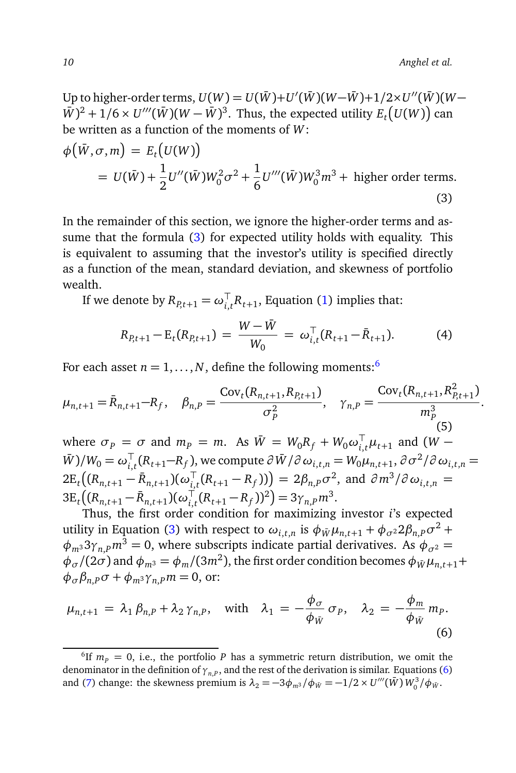Up to higher-order terms,  $U(W) = U(\bar{W}) + U'(\bar{W}) (W - \bar{W}) + 1/2 \times U''(\bar{W}) (W - \bar{W})$  $(\bar{W})^2 + 1/6 \times U'''(\bar{W})(W - \bar{W})^3$ . Thus, the expected utility  $E_t(U(W))$  can be written as a function of the moments of *W*:

<span id="page-9-0"></span>
$$
\phi(\bar{W}, \sigma, m) = E_t(U(W))
$$
  
=  $U(\bar{W}) + \frac{1}{2}U''(\bar{W})W_0^2\sigma^2 + \frac{1}{6}U'''(\bar{W})W_0^3m^3$  + higher order terms. (3)

In the remainder of this section, we ignore the higher-order terms and assume that the formula [\(3\)](#page-9-0) for expected utility holds with equality. This is equivalent to assuming that the investor's utility is specified directly as a function of the mean, standard deviation, and skewness of portfolio wealth.

If we denote by  $R_{P,t+1} = \omega_{i,t}^\top R_{t+1}$ , Equation [\(1\)](#page-8-1) implies that:

$$
R_{P,t+1} - \mathbf{E}_t(R_{P,t+1}) = \frac{W - \bar{W}}{W_0} = \omega_{i,t}^\top (R_{t+1} - \bar{R}_{t+1}). \tag{4}
$$

For each asset  $n = 1, ..., N$ , define the following moments:<sup>[6](#page-9-1)</sup>

$$
\mu_{n,t+1} = \bar{R}_{n,t+1} - R_f, \quad \beta_{n,P} = \frac{\text{Cov}_t(R_{n,t+1}, R_{P,t+1})}{\sigma_P^2}, \quad \gamma_{n,P} = \frac{\text{Cov}_t(R_{n,t+1}, R_{P,t+1}^2)}{m_P^3}.
$$
  
where  $\sigma_P = \sigma$  and  $m_P = m$ . As  $\bar{W} = W_0R_f + W_0\omega_{i,t}^{\top}\mu_{t+1}$  and  $(W - \bar{W})/W_0 = \omega_{i,t}^{\top}(R_{t+1} - R_f)$ , we compute  $\partial \bar{W}/\partial \omega_{i,t,n} = W_0\mu_{n,t+1}, \partial \sigma^2/\partial \omega_{i,t,n} = 2E_t((R_{n,t+1} - \bar{R}_{n,t+1})(\omega_{i,t}^{\top}(R_{t+1} - R_f))) = 2\beta_{n,P}\sigma^2$ , and  $\partial m^3/\partial \omega_{i,t,n} =$ 

 $3E_t((R_{n,t+1} - \bar{R}_{n,t+1})(\omega_{i,t}^{\top}(R_{t+1} - R_f))^2) = 3\gamma_{n,P}m^3$ . Thus, the first order condition for maximizing investor *i*'s expected

utility in Equation [\(3\)](#page-9-0) with respect to  $\omega_{i,t,n}$  is  $\phi_{\bar{W}}\mu_{n,t+1} + \phi_{\sigma^2}2\beta_{n,P}\sigma^2 +$  $\phi_{m3}$ 3 $\gamma_{n,P}$ *m*<sup>3</sup> = 0, where subscripts indicate partial derivatives. As  $\phi_{\sigma^2}$  =  $\phi$ <sub>*σ</sub>* /(2*σ*) and  $\phi$ <sub>*m*3</sub> =  $\phi$ <sub>*m*</sub> /(3*m*<sup>2</sup>), the first order condition becomes  $\phi$ <sub>*W*</sub> $\mu$ <sub>*n*,*t*+1</sub>+</sub>  $\phi_{\sigma} \beta_{n,P} \sigma + \phi_{m^3} \gamma_{n,P} m = 0$ , or:

<span id="page-9-2"></span>
$$
\mu_{n,t+1} = \lambda_1 \beta_{n,P} + \lambda_2 \gamma_{n,P}, \quad \text{with} \quad \lambda_1 = -\frac{\phi_{\sigma}}{\phi_{\bar{W}}} \sigma_P, \quad \lambda_2 = -\frac{\phi_m}{\phi_{\bar{W}}} m_P. \tag{6}
$$

<span id="page-9-1"></span><sup>&</sup>lt;sup>6</sup>If  $m_p = 0$ , i.e., the portfolio *P* has a symmetric return distribution, we omit the denominator in the definition of *γn*,*<sup>P</sup>* , and the rest of the derivation is similar. Equations [\(6\)](#page-9-2) and [\(7\)](#page-10-0) change: the skewness premium is  $\lambda_2 = -3\phi_m s / \phi_{\bar{W}} = -1/2 \times U'''(\bar{W}) W_0^3 / \phi_{\bar{W}}$ .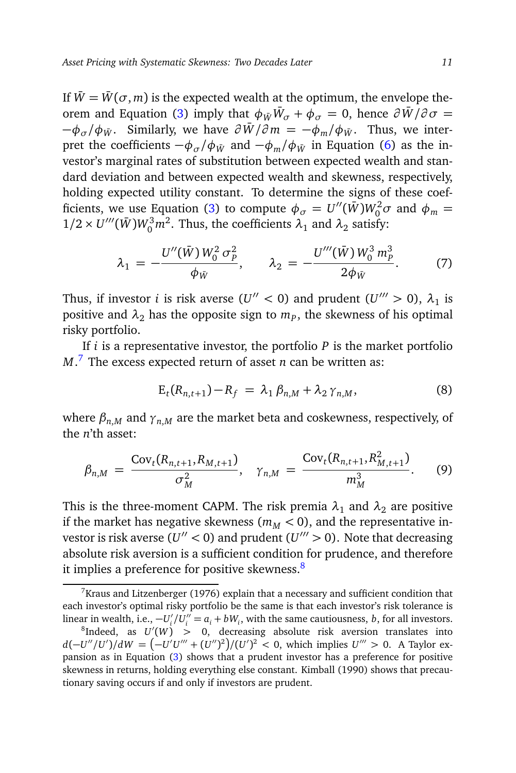If  $\overline{W} = \overline{W}(\sigma, m)$  is the expected wealth at the optimum, the envelope the-orem and Equation [\(3\)](#page-9-0) imply that  $\phi_{\bar{W}}\bar{W}_{\sigma} + \phi_{\sigma} = 0$ , hence  $\partial \bar{W}/\partial \sigma =$  $-\phi_{\sigma}/\phi_{\bar{W}}$ . Similarly, we have  $\partial \bar{W}/\partial m = -\phi_m/\phi_{\bar{W}}$ . Thus, we interpret the coefficients  $-\phi_{\sigma}/\phi_{\bar{W}}$  and  $-\phi_{\bar{W}}/\phi_{\bar{W}}$  in Equation [\(6\)](#page-9-2) as the investor's marginal rates of substitution between expected wealth and standard deviation and between expected wealth and skewness, respectively, holding expected utility constant. To determine the signs of these coef-ficients, we use Equation [\(3\)](#page-9-0) to compute  $\phi_{\sigma} = U''(\bar{W})W_0^2 \sigma$  and  $\phi_m =$  $1/2 \times U'''(\bar{W})W_0^3 m^2$ . Thus, the coefficients  $\lambda_1$  and  $\lambda_2$  satisfy:

<span id="page-10-0"></span>
$$
\lambda_1 = -\frac{U''(\bar{W}) W_0^2 \sigma_p^2}{\phi_{\bar{W}}}, \qquad \lambda_2 = -\frac{U'''(\bar{W}) W_0^3 m_p^3}{2\phi_{\bar{W}}}.
$$
 (7)

Thus, if investor *i* is risk averse  $(U'' < 0)$  and prudent  $(U''' > 0)$ ,  $\lambda_1$  is positive and  $\lambda_2$  has the opposite sign to  $m_P$ , the skewness of his optimal risky portfolio.

If *i* is a representative investor, the portfolio *P* is the market portfolio *M*. [7](#page-10-1) The excess expected return of asset *n* can be written as:

$$
E_t(R_{n,t+1}) - R_f = \lambda_1 \beta_{n,M} + \lambda_2 \gamma_{n,M},
$$
\n(8)

where  $\beta_{n,M}$  and  $\gamma_{n,M}$  are the market beta and coskewness, respectively, of the *n*'th asset:

<span id="page-10-3"></span>
$$
\beta_{n,M} = \frac{\text{Cov}_t(R_{n,t+1}, R_{M,t+1})}{\sigma_M^2}, \quad \gamma_{n,M} = \frac{\text{Cov}_t(R_{n,t+1}, R_{M,t+1}^2)}{m_M^3}.
$$
 (9)

This is the three-moment CAPM. The risk premia  $\lambda_1$  and  $\lambda_2$  are positive if the market has negative skewness  $(m_M < 0)$ , and the representative investor is risk averse ( $U'' < 0$ ) and prudent ( $U''' > 0$ ). Note that decreasing absolute risk aversion is a sufficient condition for prudence, and therefore it implies a preference for positive skewness. $8$ 

<span id="page-10-1"></span> $7$ Kraus and Litzenberger (1976) explain that a necessary and sufficient condition that each investor's optimal risky portfolio be the same is that each investor's risk tolerance is linear in wealth, i.e.,  $-U_i'/U_i'' = a_i + bW_i$ , with the same cautiousness, *b*, for all investors.

<span id="page-10-2"></span> ${}^{8}$ Indeed, as  $U'(W) > 0$ , decreasing absolute risk aversion translates into *d*(−*U''*/*U'*)/*dW* =  $(-U'U''' + (U'')^2)/(U')^2 < 0$ , which implies *U'''* > 0. A Taylor expansion as in Equation [\(3\)](#page-9-0) shows that a prudent investor has a preference for positive skewness in returns, holding everything else constant. Kimball (1990) shows that precautionary saving occurs if and only if investors are prudent.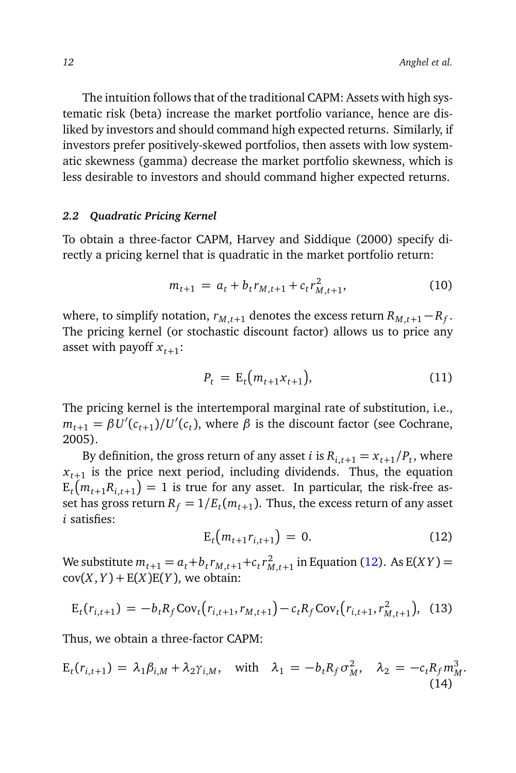The intuition follows that of the traditional CAPM: Assets with high systematic risk (beta) increase the market portfolio variance, hence are disliked by investors and should command high expected returns. Similarly, if investors prefer positively-skewed portfolios, then assets with low systematic skewness (gamma) decrease the market portfolio skewness, which is less desirable to investors and should command higher expected returns.

#### *2.2 Quadratic Pricing Kernel*

To obtain a three-factor CAPM, Harvey and Siddique (2000) specify directly a pricing kernel that is quadratic in the market portfolio return:

$$
m_{t+1} = a_t + b_t r_{M, t+1} + c_t r_{M, t+1}^2,
$$
\n(10)

where, to simplify notation,  $r_{M,t+1}$  denotes the excess return  $R_{M,t+1} - R_f$ . The pricing kernel (or stochastic discount factor) allows us to price any asset with payoff  $x_{t+1}$ :

$$
P_t = \mathcal{E}_t(m_{t+1}x_{t+1}), \tag{11}
$$

The pricing kernel is the intertemporal marginal rate of substitution, i.e.,  $m_{t+1} = \beta U'(c_{t+1})/U'(c_t)$ , where  $\beta$  is the discount factor (see Cochrane, 2005).

By definition, the gross return of any asset *i* is  $R_{i,t+1} = x_{t+1}/P_t$ , where  $x_{t+1}$  is the price next period, including dividends. Thus, the equation  $\mathbf{E}_{t}\left(m_{t+1}R_{i,t+1}\right)=1$  is true for any asset. In particular, the risk-free asset has gross return  $R_f = 1/E_t(m_{t+1})$ . Thus, the excess return of any asset *i* satisfies:

<span id="page-11-0"></span>
$$
E_t(m_{t+1}r_{i,t+1}) = 0.
$$
 (12)

We substitute  $m_{t+1} = a_t + b_t r_{M,t+1} + c_t r_{M,t+1}^2$  in Equation [\(12\)](#page-11-0). As E(*XY*) =  $cov(X, Y) + E(X)E(Y)$ , we obtain:

$$
E_t(r_{i,t+1}) = -b_t R_f \text{Cov}_t(r_{i,t+1}, r_{M,t+1}) - c_t R_f \text{Cov}_t(r_{i,t+1}, r_{M,t+1}^2), \tag{13}
$$

Thus, we obtain a three-factor CAPM:

$$
E_t(r_{i,t+1}) = \lambda_1 \beta_{i,M} + \lambda_2 \gamma_{i,M}, \quad \text{with} \quad \lambda_1 = -b_t R_f \sigma_M^2, \quad \lambda_2 = -c_t R_f m_M^3.
$$
\n(14)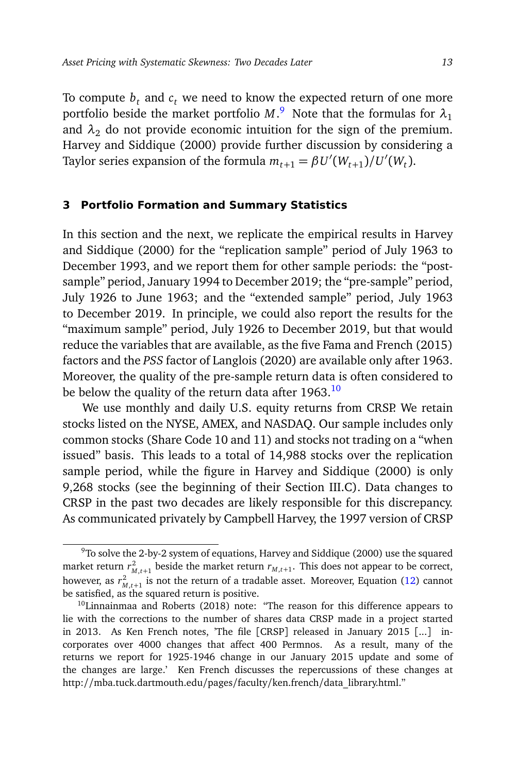To compute  $b_t$  and  $c_t$  we need to know the expected return of one more portfolio beside the market portfolio  $M$ .<sup>[9](#page-12-1)</sup> Note that the formulas for  $\lambda_1$ and  $\lambda_2$  do not provide economic intuition for the sign of the premium. Harvey and Siddique (2000) provide further discussion by considering a Taylor series expansion of the formula  $m_{t+1} = \beta U'(W_{t+1})/U'(W_t)$ .

# <span id="page-12-0"></span>**3 Portfolio Formation and Summary Statistics**

In this section and the next, we replicate the empirical results in Harvey and Siddique (2000) for the "replication sample" period of July 1963 to December 1993, and we report them for other sample periods: the "postsample" period, January 1994 to December 2019; the "pre-sample" period, July 1926 to June 1963; and the "extended sample" period, July 1963 to December 2019. In principle, we could also report the results for the "maximum sample" period, July 1926 to December 2019, but that would reduce the variables that are available, as the five Fama and French (2015) factors and the *PSS* factor of Langlois (2020) are available only after 1963. Moreover, the quality of the pre-sample return data is often considered to be below the quality of the return data after  $1963.<sup>10</sup>$  $1963.<sup>10</sup>$  $1963.<sup>10</sup>$ 

We use monthly and daily U.S. equity returns from CRSP. We retain stocks listed on the NYSE, AMEX, and NASDAQ. Our sample includes only common stocks (Share Code 10 and 11) and stocks not trading on a "when issued" basis. This leads to a total of 14,988 stocks over the replication sample period, while the figure in Harvey and Siddique (2000) is only 9,268 stocks (see the beginning of their Section III.C). Data changes to CRSP in the past two decades are likely responsible for this discrepancy. As communicated privately by Campbell Harvey, the 1997 version of CRSP

<span id="page-12-1"></span> $9$ To solve the 2-by-2 system of equations, Harvey and Siddique (2000) use the squared market return  $r_{M,t+1}^2$  beside the market return  $r_{M,t+1}$ . This does not appear to be correct, however, as  $r^2_{M,t+1}$  is not the return of a tradable asset. Moreover, Equation [\(12\)](#page-11-0) cannot be satisfied, as the squared return is positive.

<span id="page-12-2"></span> $10$ Linnainmaa and Roberts (2018) note: "The reason for this difference appears to lie with the corrections to the number of shares data CRSP made in a project started in 2013. As Ken French notes, 'The file [CRSP] released in January 2015 [...] incorporates over 4000 changes that affect 400 Permnos. As a result, many of the returns we report for 1925-1946 change in our January 2015 update and some of the changes are large.' Ken French discusses the repercussions of these changes at http://mba.tuck.dartmouth.edu/pages/faculty/ken.french/data\_library.html."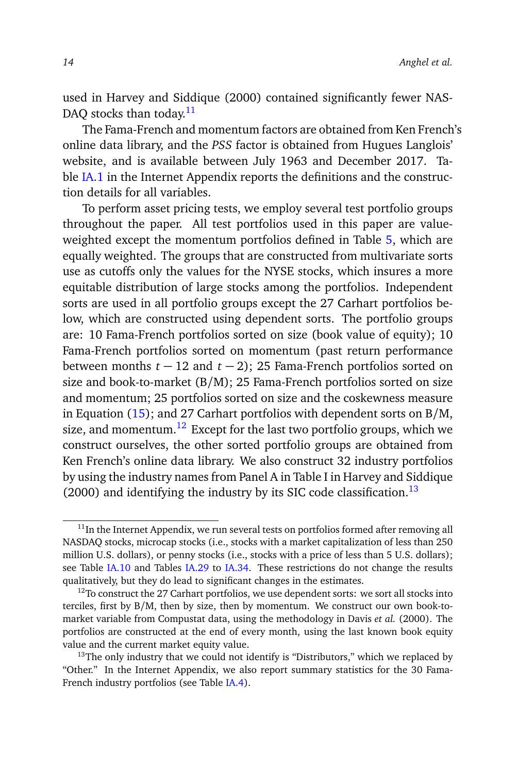used in Harvey and Siddique (2000) contained significantly fewer NAS-DAO stocks than today. $11$ 

The Fama-French and momentum factors are obtained from Ken French's online data library, and the *PSS* factor is obtained from Hugues Langlois' website, and is available between July 1963 and December 2017. Table [IA.1](#page-0-1) in the Internet Appendix reports the definitions and the construction details for all variables.

To perform asset pricing tests, we employ several test portfolio groups throughout the paper. All test portfolios used in this paper are valueweighted except the momentum portfolios defined in Table [5,](#page-33-0) which are equally weighted. The groups that are constructed from multivariate sorts use as cutoffs only the values for the NYSE stocks, which insures a more equitable distribution of large stocks among the portfolios. Independent sorts are used in all portfolio groups except the 27 Carhart portfolios below, which are constructed using dependent sorts. The portfolio groups are: 10 Fama-French portfolios sorted on size (book value of equity); 10 Fama-French portfolios sorted on momentum (past return performance between months *t* − 12 and *t* − 2); 25 Fama-French portfolios sorted on size and book-to-market (B/M); 25 Fama-French portfolios sorted on size and momentum; 25 portfolios sorted on size and the coskewness measure in Equation  $(15)$ ; and 27 Carhart portfolios with dependent sorts on B/M, size, and momentum.<sup>[12](#page-13-1)</sup> Except for the last two portfolio groups, which we construct ourselves, the other sorted portfolio groups are obtained from Ken French's online data library. We also construct 32 industry portfolios by using the industry names from Panel A in Table I in Harvey and Siddique (2000) and identifying the industry by its SIC code classification.<sup>[13](#page-13-2)</sup>

<span id="page-13-0"></span> $11$ In the Internet Appendix, we run several tests on portfolios formed after removing all NASDAQ stocks, microcap stocks (i.e., stocks with a market capitalization of less than 250 million U.S. dollars), or penny stocks (i.e., stocks with a price of less than 5 U.S. dollars); see Table [IA.10](#page-0-1) and Tables [IA.29](#page-0-1) to [IA.34.](#page-0-1) These restrictions do not change the results qualitatively, but they do lead to significant changes in the estimates.

<span id="page-13-1"></span> $12$ To construct the 27 Carhart portfolios, we use dependent sorts: we sort all stocks into terciles, first by B/M, then by size, then by momentum. We construct our own book-tomarket variable from Compustat data, using the methodology in Davis *et al.* (2000). The portfolios are constructed at the end of every month, using the last known book equity value and the current market equity value.

<span id="page-13-2"></span> $13$ The only industry that we could not identify is "Distributors," which we replaced by "Other." In the Internet Appendix, we also report summary statistics for the 30 Fama-French industry portfolios (see Table [IA.4\)](#page-22-0).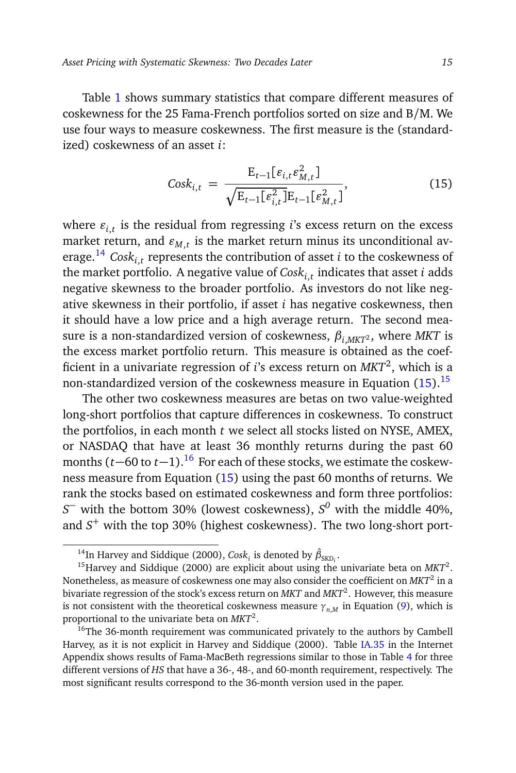Table [1](#page-16-0) shows summary statistics that compare different measures of coskewness for the 25 Fama-French portfolios sorted on size and B/M. We use four ways to measure coskewness. The first measure is the (standardized) coskewness of an asset *i*:

<span id="page-14-0"></span>
$$
Cosk_{i,t} = \frac{E_{t-1}[\varepsilon_{i,t}\varepsilon_{M,t}^2]}{\sqrt{E_{t-1}[\varepsilon_{i,t}^2]E_{t-1}[\varepsilon_{M,t}^2]}},
$$
(15)

where  $\varepsilon_{i,t}$  is the residual from regressing *i*'s excess return on the excess market return, and  $\varepsilon_{M,t}$  is the market return minus its unconditional average.[14](#page-14-1) *Coski*,*<sup>t</sup>* represents the contribution of asset *i* to the coskewness of the market portfolio. A negative value of *Coski*,*<sup>t</sup>* indicates that asset *i* adds negative skewness to the broader portfolio. As investors do not like negative skewness in their portfolio, if asset *i* has negative coskewness, then it should have a low price and a high average return. The second measure is a non-standardized version of coskewness,  $\beta_{i MKT}$ <sup>2</sup>, where *MKT* is the excess market portfolio return. This measure is obtained as the coefficient in a univariate regression of *i*'s excess return on *MKT*<sup>2</sup> , which is a non-standardized version of the coskewness measure in Equation  $(15)$ .<sup>[15](#page-14-2)</sup>

The other two coskewness measures are betas on two value-weighted long-short portfolios that capture differences in coskewness. To construct the portfolios, in each month *t* we select all stocks listed on NYSE, AMEX, or NASDAQ that have at least 36 monthly returns during the past 60 months (*t*−60 to *t*−1).[16](#page-14-3) For each of these stocks, we estimate the coskewness measure from Equation [\(15\)](#page-14-0) using the past 60 months of returns. We rank the stocks based on estimated coskewness and form three portfolios: *S* <sup>−</sup> with the bottom 30% (lowest coskewness), *S <sup>0</sup>* with the middle 40%, and *S* <sup>+</sup> with the top 30% (highest coskewness). The two long-short port-

<span id="page-14-2"></span><span id="page-14-1"></span><sup>&</sup>lt;sup>14</sup>In Harvey and Siddique (2000), *Cosk<sub>i</sub>* is denoted by  $\hat{\beta}_{\text{SKD}_i}$ .

<sup>&</sup>lt;sup>15</sup> Harvey and Siddique (2000) are explicit about using the univariate beta on MKT<sup>2</sup>. Nonetheless, as measure of coskewness one may also consider the coefficient on *MKT*<sup>2</sup> in a bivariate regression of the stock's excess return on *MKT* and *MKT*<sup>2</sup> . However, this measure is not consistent with the theoretical coskewness measure  $\gamma_{n,M}$  in Equation [\(9\)](#page-10-3), which is proportional to the univariate beta on *MKT*<sup>2</sup> .

<span id="page-14-3"></span> $16$ The 36-month requirement was communicated privately to the authors by Cambell Harvey, as it is not explicit in Harvey and Siddique (2000). Table [IA.35](#page-0-1) in the Internet Appendix shows results of Fama-MacBeth regressions similar to those in Table [4](#page-29-0) for three different versions of *HS* that have a 36-, 48-, and 60-month requirement, respectively. The most significant results correspond to the 36-month version used in the paper.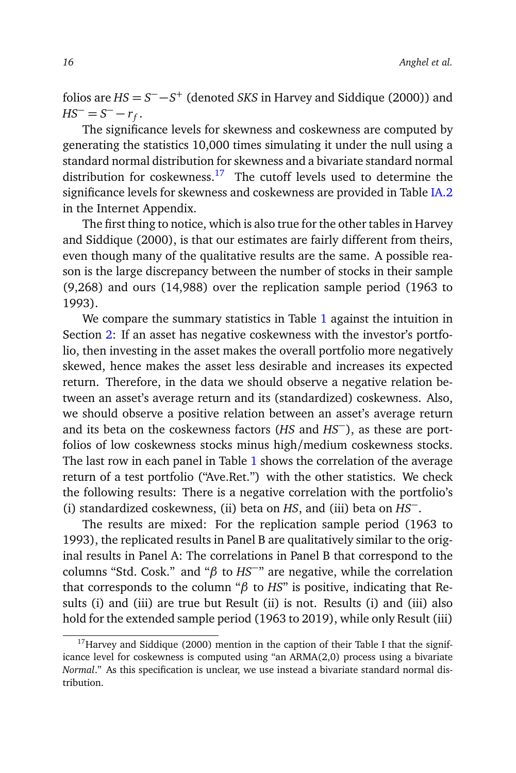folios are  $HS = S^- - S^+$  (denoted *SKS* in Harvey and Siddique (2000)) and  $HS^{-} = S^{-} - r_f.$ 

The significance levels for skewness and coskewness are computed by generating the statistics 10,000 times simulating it under the null using a standard normal distribution for skewness and a bivariate standard normal distribution for coskewness.<sup>[17](#page-15-0)</sup> The cutoff levels used to determine the significance levels for skewness and coskewness are provided in Table [IA.2](#page-16-0) in the Internet Appendix.

The first thing to notice, which is also true for the other tables in Harvey and Siddique (2000), is that our estimates are fairly different from theirs, even though many of the qualitative results are the same. A possible reason is the large discrepancy between the number of stocks in their sample (9,268) and ours (14,988) over the replication sample period (1963 to 1993).

We compare the summary statistics in Table [1](#page-16-0) against the intuition in Section [2:](#page-8-0) If an asset has negative coskewness with the investor's portfolio, then investing in the asset makes the overall portfolio more negatively skewed, hence makes the asset less desirable and increases its expected return. Therefore, in the data we should observe a negative relation between an asset's average return and its (standardized) coskewness. Also, we should observe a positive relation between an asset's average return and its beta on the coskewness factors (*HS* and *HS*−), as these are portfolios of low coskewness stocks minus high/medium coskewness stocks. The last row in each panel in Table [1](#page-16-0) shows the correlation of the average return of a test portfolio ("Ave.Ret.") with the other statistics. We check the following results: There is a negative correlation with the portfolio's (i) standardized coskewness, (ii) beta on *HS*, and (iii) beta on *HS*−.

The results are mixed: For the replication sample period (1963 to 1993), the replicated results in Panel B are qualitatively similar to the original results in Panel A: The correlations in Panel B that correspond to the columns "Std. Cosk." and "*β* to *HS*−" are negative, while the correlation that corresponds to the column "*β* to *HS*" is positive, indicating that Results (i) and (iii) are true but Result (ii) is not. Results (i) and (iii) also hold for the extended sample period (1963 to 2019), while only Result (iii)

<span id="page-15-0"></span> $17$ Harvey and Siddique (2000) mention in the caption of their Table I that the significance level for coskewness is computed using "an ARMA(2,0) process using a bivariate *Normal*." As this specification is unclear, we use instead a bivariate standard normal distribution.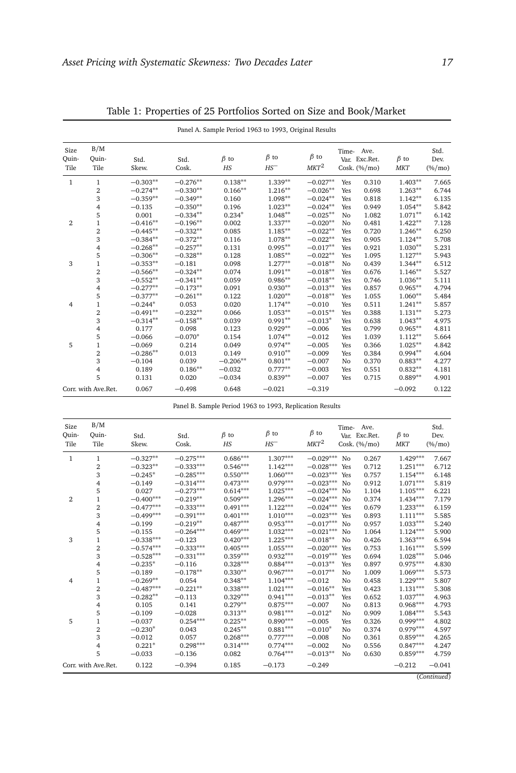<span id="page-16-0"></span>

|                       |                         |               |               | Panel A. Sample Period 1963 to 1993, Original Results |                      |                       |     |                                                |                          |                           |
|-----------------------|-------------------------|---------------|---------------|-------------------------------------------------------|----------------------|-----------------------|-----|------------------------------------------------|--------------------------|---------------------------|
| Size<br>Quin-<br>Tile | B/M<br>Ouin-<br>Tile    | Std.<br>Skew. | Std.<br>Cosk. | $\beta$ to<br>HS                                      | $\beta$ to<br>$HS^-$ | $\beta$ to<br>$MKT^2$ |     | Time- Ave.<br>Var. Exc.Ret.<br>Cosk. $(\%/mo)$ | $\beta$ to<br><b>MKT</b> | Std.<br>Dev.<br>$(\%/mo)$ |
| 1                     | 1                       | $-0.303**$    | $-0.276**$    | $0.138**$                                             | $1.339**$            | $-0.027**$            | Yes | 0.310                                          | $1.403**$                | 7.665                     |
|                       | $\overline{\mathbf{2}}$ | $-0.274**$    | $-0.330**$    | $0.166**$                                             | $1.216**$            | $-0.026**$            | Yes | 0.698                                          | $1.263**$                | 6.744                     |
|                       | 3                       | $-0.359**$    | $-0.349**$    | 0.160                                                 | $1.098**$            | $-0.024**$            | Yes | 0.818                                          | $1.142**$                | 6.135                     |
|                       | $\overline{4}$          | $-0.135$      | $-0.350**$    | 0.196                                                 | $1.023**$            | $-0.024**$            | Yes | 0.949                                          | $1.054***$               | 5.842                     |
|                       | 5                       | 0.001         | $-0.334**$    | $0.234*$                                              | $1.048**$            | $-0.025**$            | No  | 1.082                                          | $1.071**$                | 6.142                     |
| 2                     | $\mathbf{1}$            | $-0.416**$    | $-0.196**$    | 0.002                                                 | $1.337**$            | $-0.020**$            | No  | 0.481                                          | $1.422**$                | 7.128                     |
|                       | 2                       | $-0.445**$    | $-0.332**$    | 0.085                                                 | $1.185**$            | $-0.022**$            | Yes | 0.720                                          | $1.246**$                | 6.250                     |
|                       | 3                       | $-0.384**$    | $-0.372**$    | 0.116                                                 | $1.078**$            | $-0.022**$            | Yes | 0.905                                          | $1.124***$               | 5.708                     |
|                       | 4                       | $-0.268**$    | $-0.257**$    | 0.131                                                 | $0.995***$           | $-0.017**$            | Yes | 0.921                                          | $1.030**$                | 5.231                     |
|                       | 5                       | $-0.306**$    | $-0.328**$    | 0.128                                                 | $1.085**$            | $-0.022**$            | Yes | 1.095                                          | $1.127**$                | 5.943                     |
| 3                     | $\mathbf{1}$            | $-0.353**$    | $-0.181$      | 0.098                                                 | $1.277**$            | $-0.018**$            | No  | 0.439                                          | $1.344**$                | 6.512                     |
|                       | $\overline{2}$          | $-0.566**$    | $-0.324**$    | 0.074                                                 | $1.091**$            | $-0.018**$            | Yes | 0.676                                          | $1.146**$                | 5.527                     |
|                       | 3                       | $-0.552**$    | $-0.341**$    | 0.059                                                 | $0.986**$            | $-0.018**$            | Yes | 0.746                                          | $1.036**$                | 5.111                     |
|                       | 4                       | $-0.277**$    | $-0.173**$    | 0.091                                                 | $0.930**$            | $-0.013**$            | Yes | 0.857                                          | $0.965**$                | 4.794                     |
|                       | 5                       | $-0.377**$    | $-0.261**$    | 0.122                                                 | $1.020**$            | $-0.018**$            | Yes | 1.055                                          | $1.060**$                | 5.484                     |
| $\overline{4}$        | $\mathbf{1}$            | $-0.244*$     | 0.053         | 0.020                                                 | $1.174***$           | $-0.010$              | Yes | 0.511                                          | $1.241**$                | 5.857                     |
|                       | 2                       | $-0.491**$    | $-0.232**$    | 0.066                                                 | $1.053**$            | $-0.015**$            | Yes | 0.388                                          | $1.131**$                | 5.273                     |
|                       | 3                       | $-0.314**$    | $-0.158**$    | 0.039                                                 | $0.991**$            | $-0.013*$             | Yes | 0.638                                          | $1.043**$                | 4.975                     |
|                       | 4                       | 0.177         | 0.098         | 0.123                                                 | $0.929**$            | $-0.006$              | Yes | 0.799                                          | $0.965**$                | 4.811                     |
|                       | 5                       | $-0.066$      | $-0.070*$     | 0.154                                                 | $1.074**$            | $-0.012$              | Yes | 1.039                                          | $1.112**$                | 5.664                     |
| 5                     | 1                       | $-0.069$      | 0.214         | 0.049                                                 | $0.974**$            | $-0.005$              | Yes | 0.366                                          | $1.025***$               | 4.842                     |
|                       | 2                       | $-0.286**$    | 0.013         | 0.149                                                 | $0.910**$            | $-0.009$              | Yes | 0.384                                          | $0.994**$                | 4.604                     |
|                       | 3                       | $-0.104$      | 0.039         | $-0.206**$                                            | $0.801**$            | $-0.007$              | No  | 0.370                                          | $0.883**$                | 4.277                     |
|                       | 4                       | 0.189         | $0.186**$     | $-0.032$                                              | $0.777**$            | $-0.003$              | Yes | 0.551                                          | $0.832**$                | 4.181                     |
|                       | 5                       | 0.131         | 0.020         | $-0.034$                                              | $0.839**$            | $-0.007$              | Yes | 0.715                                          | $0.889**$                | 4.901                     |
|                       | Corr. with Ave.Ret.     | 0.067         | $-0.498$      | 0.648                                                 | $-0.021$             | $-0.319$              |     |                                                | $-0.092$                 | 0.122                     |

Table 1: Properties of 25 Portfolios Sorted on Size and Book/Market

Panel B. Sample Period 1963 to 1993, Replication Results

| Size<br>Ouin-<br>Tile | B/M<br>Ouin-<br>Tile    | Std.<br>Skew. | Std.<br>Cosk. | $\beta$ to<br>HS | $\beta$ to<br>$HS^-$ | $\beta$ to<br>$MKT^2$ |                | Time- Ave.<br>Var. Exc.Ret.<br>Cosk. $(\%/mo)$ | $\beta$ to<br><b>MKT</b> | Std.<br>Dev.<br>$(\%/mo)$ |
|-----------------------|-------------------------|---------------|---------------|------------------|----------------------|-----------------------|----------------|------------------------------------------------|--------------------------|---------------------------|
| $\mathbf{1}$          | 1                       | $-0.327**$    | $-0.275***$   | $0.686***$       | $1.307***$           | $-0.029***$           | No             | 0.267                                          | $1.429***$               | 7.667                     |
|                       | $\overline{\mathbf{2}}$ | $-0.323**$    | $-0.333***$   | $0.546***$       | $1.142***$           | $-0.028***$           | Yes            | 0.712                                          | $1.251***$               | 6.712                     |
|                       | 3                       | $-0.245*$     | $-0.285***$   | $0.550***$       | $1.060***$           | $-0.023***$           | Yes            | 0.757                                          | $1.154***$               | 6.148                     |
|                       | 4                       | $-0.149$      | $-0.314***$   | $0.473***$       | $0.979***$           | $-0.023***$           | N <sub>0</sub> | 0.912                                          | $1.071***$               | 5.819                     |
|                       | 5                       | 0.027         | $-0.273***$   | $0.614***$       | $1.025***$           | $-0.024***$           | No             | 1.104                                          | $1.105***$               | 6.221                     |
| $\overline{2}$        | 1                       | $-0.400***$   | $-0.219**$    | $0.509***$       | $1.296***$           | $-0.024***$           | No             | 0.374                                          | $1.434***$               | 7.179                     |
|                       | $\overline{\mathbf{2}}$ | $-0.477***$   | $-0.333***$   | $0.491***$       | $1.122***$           | $-0.024***$           | Yes            | 0.679                                          | $1.233***$               | 6.159                     |
|                       | 3                       | $-0.499***$   | $-0.391***$   | $0.401***$       | $1.010***$           | $-0.023***$           | Yes            | 0.893                                          | $1.111***$               | 5.585                     |
|                       | $\overline{4}$          | $-0.199$      | $-0.219**$    | $0.487***$       | $0.953***$           | $-0.017***$           | No             | 0.957                                          | $1.033***$               | 5.240                     |
|                       | 5                       | $-0.155$      | $-0.264***$   | $0.469***$       | $1.032***$           | $-0.021***$           | No             | 1.064                                          | $1.124***$               | 5.900                     |
| 3                     | 1                       | $-0.338***$   | $-0.123$      | $0.420***$       | $1.225***$           | $-0.018**$            | No             | 0.426                                          | $1.363***$               | 6.594                     |
|                       | 2                       | $-0.574***$   | $-0.333***$   | $0.405***$       | $1.055***$           | $-0.020***$           | Yes            | 0.753                                          | $1.161***$               | 5.599                     |
|                       | 3                       | $-0.528***$   | $-0.331***$   | $0.359***$       | $0.932***$           | $-0.019***$           | Yes            | 0.694                                          | $1.028***$               | 5.046                     |
|                       | 4                       | $-0.235*$     | $-0.116$      | $0.328***$       | $0.884***$           | $-0.013**$            | Yes            | 0.897                                          | $0.975***$               | 4.830                     |
|                       | 5                       | $-0.189$      | $-0.178**$    | $0.330**$        | $0.967***$           | $-0.017**$            | No             | 1.009                                          | $1.069***$               | 5.573                     |
| $\overline{4}$        | 1                       | $-0.269**$    | 0.054         | $0.348**$        | $1.104***$           | $-0.012$              | No             | 0.458                                          | $1.229***$               | 5.807                     |
|                       | 2                       | $-0.487***$   | $-0.221**$    | $0.338***$       | $1.021***$           | $-0.016**$            | Yes            | 0.423                                          | $1.131***$               | 5.308                     |
|                       | 3                       | $-0.282**$    | $-0.113$      | $0.329***$       | $0.941***$           | $-0.013**$            | Yes            | 0.652                                          | $1.037***$               | 4.963                     |
|                       | 4                       | 0.105         | 0.141         | $0.279**$        | $0.875***$           | $-0.007$              | No             | 0.813                                          | $0.968***$               | 4.793                     |
|                       | 5                       | $-0.109$      | $-0.028$      | $0.313**$        | $0.981***$           | $-0.012*$             | No             | 0.909                                          | $1.084***$               | 5.543                     |
| 5                     | 1                       | $-0.037$      | $0.254***$    | $0.225***$       | $0.890***$           | $-0.005$              | Yes            | 0.326                                          | $0.999***$               | 4.802                     |
|                       | 2                       | $-0.230*$     | 0.043         | $0.245***$       | $0.881***$           | $-0.010*$             | No             | 0.374                                          | $0.979***$               | 4.597                     |
|                       | 3                       | $-0.012$      | 0.057         | $0.268***$       | $0.777***$           | $-0.008$              | No             | 0.361                                          | $0.859***$               | 4.265                     |
|                       | 4                       | $0.221*$      | $0.298***$    | $0.314***$       | $0.774***$           | $-0.002$              | No             | 0.556                                          | $0.847***$               | 4.247                     |
|                       | 5                       | $-0.033$      | $-0.136$      | 0.082            | $0.764***$           | $-0.013**$            | No             | 0.630                                          | $0.859***$               | 4.759                     |
|                       | Corr. with Ave.Ret.     | 0.122         | $-0.394$      | 0.185            | $-0.173$             | $-0.249$              |                |                                                | $-0.212$                 | $-0.041$                  |

(*Continued*)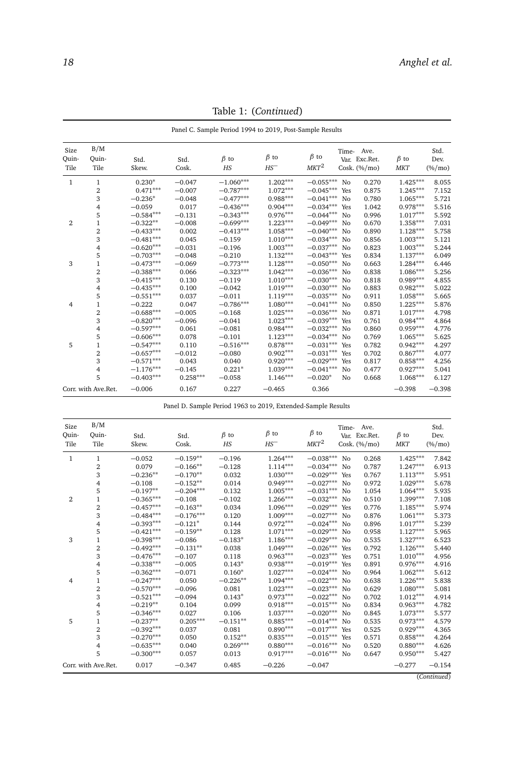<span id="page-17-0"></span>

|                       |                      |               |               | Panel C. Sample Period 1994 to 2019, Post-Sample Results |                      |                       |     |                                                |                          |                           |
|-----------------------|----------------------|---------------|---------------|----------------------------------------------------------|----------------------|-----------------------|-----|------------------------------------------------|--------------------------|---------------------------|
| Size<br>Quin-<br>Tile | B/M<br>Ouin-<br>Tile | Std.<br>Skew. | Std.<br>Cosk. | $\beta$ to<br>HS                                         | $\beta$ to<br>$HS^-$ | $\beta$ to<br>$MKT^2$ |     | Time- Ave.<br>Var. Exc.Ret.<br>Cosk. $(\%/mo)$ | $\beta$ to<br><b>MKT</b> | Std.<br>Dev.<br>$(\%/mo)$ |
| $\mathbf{1}$          | 1                    | $0.230*$      | $-0.047$      | $-1.060***$                                              | $1.202***$           | $-0.055***$           | No  | 0.270                                          | $1.425***$               | 8.055                     |
|                       | 2                    | $0.471***$    | $-0.007$      | $-0.787***$                                              | $1.072***$           | $-0.045***$           | Yes | 0.875                                          | $1.245***$               | 7.152                     |
|                       | 3                    | $-0.236*$     | $-0.048$      | $-0.477***$                                              | $0.988***$           | $-0.041***$           | No  | 0.780                                          | $1.065***$               | 5.721                     |
|                       | 4                    | $-0.059$      | 0.017         | $-0.436***$                                              | $0.904***$           | $-0.034***$           | Yes | 1.042                                          | $0.978***$               | 5.516                     |
|                       | 5                    | $-0.584***$   | $-0.131$      | $-0.343***$                                              | $0.976***$           | $-0.044***$           | No  | 0.996                                          | $1.017***$               | 5.592                     |
| $\overline{2}$        | $\mathbf{1}$         | $-0.322**$    | $-0.008$      | $-0.699***$                                              | $1.223***$           | $-0.049***$           | No  | 0.670                                          | $1.358***$               | 7.031                     |
|                       | $\overline{2}$       | $-0.433***$   | 0.002         | $-0.413***$                                              | $1.058***$           | $-0.040***$           | No  | 0.890                                          | $1.128***$               | 5.758                     |
|                       | 3                    | $-0.481***$   | 0.045         | $-0.159$                                                 | $1.010***$           | $-0.034***$           | No  | 0.856                                          | $1.003***$               | 5.121                     |
|                       | 4                    | $-0.620***$   | $-0.031$      | $-0.196$                                                 | $1.003***$           | $-0.037***$           | No  | 0.823                                          | $1.003***$               | 5.244                     |
|                       | 5                    | $-0.703***$   | $-0.048$      | $-0.210$                                                 | $1.132***$           | $-0.043***$           | Yes | 0.834                                          | $1.137***$               | 6.049                     |
| 3                     | $\mathbf{1}$         | $-0.473***$   | $-0.069$      | $-0.773***$                                              | $1.128***$           | $-0.050***$           | No  | 0.663                                          | $1.284***$               | 6.446                     |
|                       | $\overline{2}$       | $-0.388***$   | 0.066         | $-0.323***$                                              | $1.042***$           | $-0.036***$           | No  | 0.838                                          | $1.086***$               | 5.256                     |
|                       | 3                    | $-0.415***$   | 0.130         | $-0.119$                                                 | $1.010***$           | $-0.030***$           | No  | 0.818                                          | $0.989***$               | 4.855                     |
|                       | 4                    | $-0.435***$   | 0.100         | $-0.042$                                                 | $1.019***$           | $-0.030***$           | No  | 0.883                                          | $0.982***$               | 5.022                     |
|                       | 5                    | $-0.551***$   | 0.037         | $-0.011$                                                 | $1.119***$           | $-0.035***$           | No  | 0.911                                          | $1.058***$               | 5.665                     |
| $\overline{4}$        | $\mathbf{1}$         | $-0.222$      | 0.047         | $-0.786***$                                              | $1.080***$           | $-0.041***$           | No  | 0.850                                          | $1.225***$               | 5.876                     |
|                       | $\overline{c}$       | $-0.688***$   | $-0.005$      | $-0.168$                                                 | $1.025***$           | $-0.036***$           | No  | 0.871                                          | $1.017***$               | 4.798                     |
|                       | 3                    | $-0.820***$   | $-0.096$      | $-0.041$                                                 | $1.023***$           | $-0.039***$           | Yes | 0.761                                          | $0.984***$               | 4.864                     |
|                       | 4                    | $-0.597***$   | 0.061         | $-0.081$                                                 | $0.984***$           | $-0.032***$           | No  | 0.860                                          | $0.959***$               | 4.776                     |
|                       | 5                    | $-0.606***$   | 0.078         | $-0.101$                                                 | $1.123***$           | $-0.034***$           | No  | 0.769                                          | $1.065***$               | 5.625                     |
| 5                     | $\mathbf{1}$         | $-0.547***$   | 0.110         | $-0.516***$                                              | $0.878***$           | $-0.031***$           | Yes | 0.782                                          | $0.942***$               | 4.297                     |
|                       | $\overline{2}$       | $-0.657***$   | $-0.012$      | $-0.080$                                                 | $0.902***$           | $-0.031***$           | Yes | 0.702                                          | $0.867***$               | 4.077                     |
|                       | 3                    | $-0.571***$   | 0.043         | 0.040                                                    | $0.920***$           | $-0.029***$           | Yes | 0.817                                          | $0.858***$               | 4.256                     |
|                       | 4                    | $-1.176***$   | $-0.145$      | $0.221*$                                                 | $1.039***$           | $-0.041***$           | No  | 0.477                                          | $0.927***$               | 5.041                     |
|                       | 5                    | $-0.403***$   | $0.258***$    | $-0.058$                                                 | $1.146***$           | $-0.020*$             | No  | 0.668                                          | $1.068***$               | 6.127                     |
|                       | Corr. with Ave.Ret.  | $-0.006$      | 0.167         | 0.227                                                    | $-0.465$             | 0.366                 |     |                                                | $-0.398$                 | $-0.398$                  |

Table 1: (*Continued*)

Panel D. Sample Period 1963 to 2019, Extended-Sample Results

| Size<br>Quin-<br>Tile | B/M<br>Ouin-<br>Tile    | Std.<br>Skew. | Std.<br>Cosk. | $\beta$ to<br>HS | $\beta$ to<br>$HS^-$ | $\beta$ to<br>$MKT^2$ |                | Time- Ave.<br>Var. Exc.Ret.<br>Cosk. $(\%/mo)$ | $\beta$ to<br><b>MKT</b> | Std.<br>Dev.<br>$(\%/mo)$ |
|-----------------------|-------------------------|---------------|---------------|------------------|----------------------|-----------------------|----------------|------------------------------------------------|--------------------------|---------------------------|
| $\mathbf{1}$          | 1                       | $-0.052$      | $-0.159**$    | $-0.196$         | $1.264***$           | $-0.038***$           | No             | 0.268                                          | $1.425***$               | 7.842                     |
|                       | $\overline{\mathbf{2}}$ | 0.079         | $-0.166**$    | $-0.128$         | $1.114***$           | $-0.034***$           | No             | 0.787                                          | $1.247***$               | 6.913                     |
|                       | 3                       | $-0.236**$    | $-0.170**$    | 0.032            | $1.030***$           | $-0.029***$           | Yes            | 0.767                                          | $1.113***$               | 5.951                     |
|                       | 4                       | $-0.108$      | $-0.152**$    | 0.014            | $0.949***$           | $-0.027***$           | No             | 0.972                                          | $1.029***$               | 5.678                     |
|                       | 5                       | $-0.197**$    | $-0.204***$   | 0.132            | $1.005***$           | $-0.031***$           | N <sub>0</sub> | 1.054                                          | $1.064***$               | 5.935                     |
| $\overline{2}$        | 1                       | $-0.365***$   | $-0.108$      | $-0.102$         | $1.266***$           | $-0.032***$           | N <sub>0</sub> | 0.510                                          | $1.399***$               | 7.108                     |
|                       | $\overline{2}$          | $-0.457***$   | $-0.163**$    | 0.034            | $1.096***$           | $-0.029***$           | Yes            | 0.776                                          | $1.185***$               | 5.974                     |
|                       | 3                       | $-0.484***$   | $-0.176***$   | 0.120            | $1.009***$           | $-0.027***$           | No             | 0.876                                          | $1.061***$               | 5.373                     |
|                       | 4                       | $-0.393***$   | $-0.121*$     | 0.144            | $0.972***$           | $-0.024***$           | N <sub>0</sub> | 0.896                                          | $1.017***$               | 5.239                     |
|                       | 5                       | $-0.421***$   | $-0.159**$    | 0.128            | $1.071***$           | $-0.029***$           | No             | 0.958                                          | $1.127***$               | 5.965                     |
| 3                     | 1                       | $-0.398***$   | $-0.086$      | $-0.183*$        | $1.186***$           | $-0.029***$           | No             | 0.535                                          | $1.327***$               | 6.523                     |
|                       | $\overline{2}$          | $-0.492***$   | $-0.131**$    | 0.038            | $1.049***$           | $-0.026***$           | Yes            | 0.792                                          | $1.126***$               | 5.440                     |
|                       | 3                       | $-0.476***$   | $-0.107$      | 0.118            | $0.963***$           | $-0.023***$           | Yes            | 0.751                                          | $1.010***$               | 4.956                     |
|                       | 4                       | $-0.338***$   | $-0.005$      | $0.143*$         | $0.938***$           | $-0.019***$           | Yes            | 0.891                                          | $0.976***$               | 4.916                     |
|                       | 5                       | $-0.362***$   | $-0.071$      | $0.160*$         | $1.027***$           | $-0.024***$           | No             | 0.964                                          | $1.062***$               | 5.612                     |
| $\overline{4}$        | 1                       | $-0.247***$   | 0.050         | $-0.226**$       | $1.094***$           | $-0.022***$           | No             | 0.638                                          | $1.226***$               | 5.838                     |
|                       | 2                       | $-0.570***$   | $-0.096$      | 0.081            | $1.023***$           | $-0.023***$           | N <sub>0</sub> | 0.629                                          | $1.080***$               | 5.081                     |
|                       | 3                       | $-0.521***$   | $-0.094$      | $0.143*$         | $0.973***$           | $-0.022***$           | No             | 0.702                                          | $1.012***$               | 4.914                     |
|                       | 4                       | $-0.219**$    | 0.104         | 0.099            | $0.918***$           | $-0.015***$           | No             | 0.834                                          | $0.963***$               | 4.782                     |
|                       | 5                       | $-0.346***$   | 0.027         | 0.106            | $1.037***$           | $-0.020***$           | No             | 0.845                                          | $1.073***$               | 5.577                     |
| 5                     | 1                       | $-0.237**$    | $0.205***$    | $-0.151**$       | $0.885***$           | $-0.014***$           | No             | 0.535                                          | $0.973***$               | 4.579                     |
|                       | $\overline{\mathbf{2}}$ | $-0.392***$   | 0.037         | 0.081            | $0.890***$           | $-0.017***$           | Yes            | 0.525                                          | $0.929***$               | 4.365                     |
|                       | 3                       | $-0.270***$   | 0.050         | $0.152***$       | $0.835***$           | $-0.015***$           | Yes            | 0.571                                          | $0.858***$               | 4.264                     |
|                       | 4                       | $-0.635***$   | 0.040         | $0.269***$       | $0.880***$           | $-0.016***$           | No             | 0.520                                          | $0.880***$               | 4.626                     |
|                       | 5                       | $-0.300***$   | 0.057         | 0.013            | $0.917***$           | $-0.016***$           | No             | 0.647                                          | $0.950***$               | 5.427                     |
|                       | Corr. with Ave.Ret.     | 0.017         | $-0.347$      | 0.485            | $-0.226$             | $-0.047$              |                |                                                | $-0.277$                 | $-0.154$                  |

(*Continued*)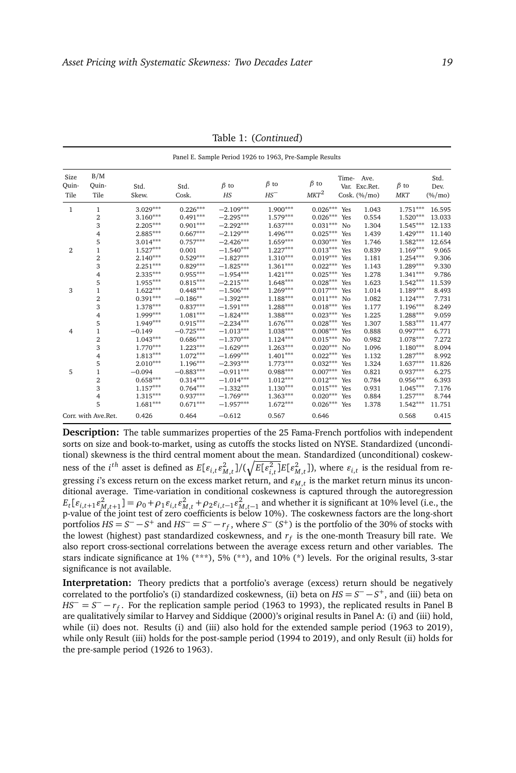|                       |                         |               |               |                       | Panel E. Sample Period 1926 to 1963, Pre-Sample Results |                                |     |                                                |                          |                           |
|-----------------------|-------------------------|---------------|---------------|-----------------------|---------------------------------------------------------|--------------------------------|-----|------------------------------------------------|--------------------------|---------------------------|
| Size<br>Quin-<br>Tile | B/M<br>Ouin-<br>Tile    | Std.<br>Skew. | Std.<br>Cosk. | $\beta$ to<br>$_{HS}$ | $\beta$ to<br>$HS^-$                                    | $\beta$ to<br>MKT <sup>2</sup> |     | Time- Ave.<br>Var. Exc.Ret.<br>Cosk. $(\%/mo)$ | $\beta$ to<br><b>MKT</b> | Std.<br>Dev.<br>$(\%/mo)$ |
| 1                     | 1                       | $3.029***$    | $0.226***$    | $-2.109***$           | $1.900***$                                              | $0.026***$                     | Yes | 1.043                                          | $1.751***$               | 16.595                    |
|                       | $\overline{\mathbf{2}}$ | $3.160***$    | $0.491***$    | $-2.295***$           | $1.579***$                                              | $0.026***$                     | Yes | 0.554                                          | $1.520***$               | 13.033                    |
|                       | 3                       | $2.205***$    | $0.901***$    | $-2.292***$           | $1.637***$                                              | $0.031***$                     | No  | 1.304                                          | $1.545***$               | 12.133                    |
|                       | 4                       | $2.885***$    | $0.667***$    | $-2.129***$           | $1.496***$                                              | $0.025***$                     | Yes | 1.439                                          | $1.429***$               | 11.140                    |
|                       | 5                       | $3.014***$    | $0.757***$    | $-2.426***$           | $1.659***$                                              | $0.030***$                     | Yes | 1.746                                          | $1.582***$               | 12.654                    |
| 2                     | $\mathbf{1}$            | $1.527***$    | 0.001         | $-1.540***$           | $1.227***$                                              | $0.013***$                     | Yes | 0.839                                          | $1.169***$               | 9.065                     |
|                       | $\boldsymbol{2}$        | $2.140***$    | $0.529***$    | $-1.827***$           | $1.310***$                                              | $0.019***$                     | Yes | 1.181                                          | $1.254***$               | 9.306                     |
|                       | 3                       | $2.251***$    | $0.829***$    | $-1.825***$           | $1.361***$                                              | $0.022***$                     | Yes | 1.143                                          | $1.289***$               | 9.330                     |
|                       | 4                       | $2.335***$    | $0.955***$    | $-1.954***$           | $1.421***$                                              | $0.025***$                     | Yes | 1.278                                          | $1.341***$               | 9.786                     |
|                       | 5                       | $1.955***$    | $0.815***$    | $-2.215***$           | $1.648***$                                              | $0.028***$                     | Yes | 1.623                                          | $1.542***$               | 11.539                    |
| 3                     | 1                       | $1.622***$    | $0.448***$    | $-1.506***$           | $1.269***$                                              | $0.017***$                     | Yes | 1.014                                          | $1.189***$               | 8.493                     |
|                       | $\overline{2}$          | $0.391***$    | $-0.186**$    | $-1.392***$           | $1.188***$                                              | $0.011***$                     | No  | 1.082                                          | $1.124***$               | 7.731                     |
|                       | 3                       | $1.378***$    | $0.837***$    | $-1.591***$           | $1.288***$                                              | $0.018***$                     | Yes | 1.177                                          | $1.196***$               | 8.249                     |
|                       | 4                       | $1.999***$    | $1.081***$    | $-1.824***$           | $1.388***$                                              | $0.023***$                     | Yes | 1.225                                          | $1.288***$               | 9.059                     |
|                       | 5                       | 1.949***      | $0.915***$    | $-2.234***$           | $1.676***$                                              | $0.028***$                     | Yes | 1.307                                          | $1.583***$               | 11.477                    |
| 4                     | $\mathbf{1}$            | $-0.149$      | $-0.725***$   | $-1.013***$           | $1.038***$                                              | $0.008***$                     | Yes | 0.888                                          | $0.997***$               | 6.771                     |
|                       | $\overline{2}$          | $1.043***$    | $0.686***$    | $-1.370***$           | $1.124***$                                              | $0.015^{*\!*\!*}$              | No  | 0.982                                          | $1.078***$               | 7.272                     |
|                       | 3                       | $1.770***$    | $1.223***$    | $-1.629***$           | $1.263***$                                              | $0.020***$                     | No  | 1.096                                          | $1.180***$               | 8.094                     |
|                       | 4                       | $1.813***$    | $1.072***$    | $-1.699***$           | $1.401***$                                              | $0.022***$                     | Yes | 1.132                                          | $1.287***$               | 8.992                     |
|                       | 5                       | $2.010***$    | $1.196***$    | $-2.393***$           | $1.773***$                                              | $0.032***$                     | Yes | 1.324                                          | $1.637***$               | 11.826                    |
| 5                     | $\mathbf{1}$            | $-0.094$      | $-0.883***$   | $-0.911***$           | $0.988***$                                              | $0.007***$                     | Yes | 0.821                                          | $0.937***$               | 6.275                     |
|                       | 2                       | $0.658***$    | $0.314***$    | $-1.014***$           | $1.012***$                                              | $0.012^{*\!*\!*}$              | Yes | 0.784                                          | $0.956***$               | 6.393                     |
|                       | 3                       | $1.157***$    | $0.764***$    | $-1.332***$           | $1.130***$                                              | $0.015***$                     | Yes | 0.931                                          | $1.045***$               | 7.176                     |
|                       | 4                       | $1.315***$    | $0.937***$    | $-1.769***$           | $1.363***$                                              | $0.020***$                     | Yes | 0.884                                          | $1.257***$               | 8.744                     |
|                       | 5                       | $1.681***$    | $0.671***$    | $-1.957***$           | $1.672***$                                              | $0.026***$                     | Yes | 1.378                                          | $1.542***$               | 11.751                    |
|                       | Corr. with Ave.Ret.     | 0.426         | 0.464         | $-0.612$              | 0.567                                                   | 0.646                          |     |                                                | 0.568                    | 0.415                     |

Table 1: (*Continued*)

**Description:** The table summarizes properties of the 25 Fama-French portfolios with independent sorts on size and book-to-market, using as cutoffs the stocks listed on NYSE. Standardized (unconditional) skewness is the third central moment about the mean. Standardized (unconditional) coskewness of the  $i^{th}$  asset is defined as  $E[\varepsilon_{i,t}\varepsilon_{M,t}^2]/(\sqrt{E[\varepsilon_{i,t}^2]}E[\varepsilon_{M,t}^2])$ , where  $\varepsilon_{i,t}$  is the residual from regressing *i*'s excess return on the excess market return, and  $\varepsilon_{M,t}$  is the market return minus its unconditional average. Time-variation in conditional coskewness is captured through the autoregression  $E_t[\varepsilon_{i,t+1}\varepsilon_{M,t+1}^2] = \rho_0 + \rho_1 \varepsilon_{i,t} \varepsilon_{M,t}^2 + \rho_2 \varepsilon_{i,t-1} \varepsilon_{M,t-1}^2$  and whether it is significant at 10% level (i.e., the p-value of the joint test of zero coefficients is below 10%). The coskewness factors are the long-short portfolios  $HS = S^- - S^+$  and  $HS^- = S^- - r_f$ , where  $S^-$  ( $S^+$ ) is the portfolio of the 30% of stocks with the lowest (highest) past standardized coskewness, and *r<sup>f</sup>* is the one-month Treasury bill rate. We also report cross-sectional correlations between the average excess return and other variables. The stars indicate significance at 1%  $(**)$ , 5%  $(**)$ , and 10%  $(*)$  levels. For the original results, 3-star significance is not available.

**Interpretation:** Theory predicts that a portfolio's average (excess) return should be negatively correlated to the portfolio's (i) standardized coskewness, (ii) beta on  $HS = S^- - S^+$ , and (iii) beta on *HS*<sup>−</sup> = *S*<sup>−</sup> − *r<sub>f</sub>*. For the replication sample period (1963 to 1993), the replicated results in Panel B are qualitatively similar to Harvey and Siddique (2000)'s original results in Panel A: (i) and (iii) hold, while (ii) does not. Results (i) and (iii) also hold for the extended sample period (1963 to 2019), while only Result (iii) holds for the post-sample period (1994 to 2019), and only Result (ii) holds for the pre-sample period (1926 to 1963).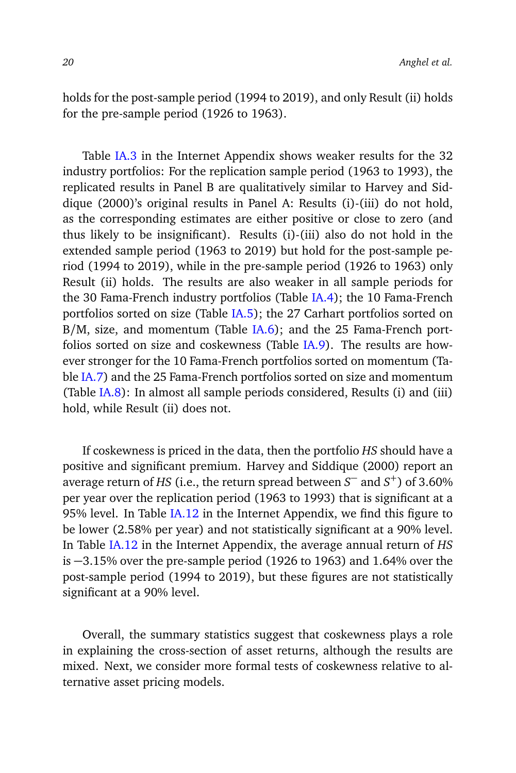holds for the post-sample period (1994 to 2019), and only Result (ii) holds for the pre-sample period (1926 to 1963).

Table [IA.3](#page-17-0) in the Internet Appendix shows weaker results for the 32 industry portfolios: For the replication sample period (1963 to 1993), the replicated results in Panel B are qualitatively similar to Harvey and Siddique (2000)'s original results in Panel A: Results (i)-(iii) do not hold, as the corresponding estimates are either positive or close to zero (and thus likely to be insignificant). Results (i)-(iii) also do not hold in the extended sample period (1963 to 2019) but hold for the post-sample period (1994 to 2019), while in the pre-sample period (1926 to 1963) only Result (ii) holds. The results are also weaker in all sample periods for the 30 Fama-French industry portfolios (Table [IA.4\)](#page-22-0); the 10 Fama-French portfolios sorted on size (Table [IA.5\)](#page-26-0); the 27 Carhart portfolios sorted on B/M, size, and momentum (Table [IA.6\)](#page-30-0); and the 25 Fama-French portfolios sorted on size and coskewness (Table [IA.9\)](#page-0-1). The results are however stronger for the 10 Fama-French portfolios sorted on momentum (Table [IA.7\)](#page-33-0) and the 25 Fama-French portfolios sorted on size and momentum (Table [IA.8\)](#page-38-0): In almost all sample periods considered, Results (i) and (iii) hold, while Result (ii) does not.

If coskewness is priced in the data, then the portfolio *HS* should have a positive and significant premium. Harvey and Siddique (2000) report an average return of *HS* (i.e., the return spread between *S* <sup>−</sup> and *S* <sup>+</sup>) of 3.60% per year over the replication period (1963 to 1993) that is significant at a 95% level. In Table [IA.12](#page-0-1) in the Internet Appendix, we find this figure to be lower (2.58% per year) and not statistically significant at a 90% level. In Table [IA.12](#page-0-1) in the Internet Appendix, the average annual return of *HS* is −3.15% over the pre-sample period (1926 to 1963) and 1.64% over the post-sample period (1994 to 2019), but these figures are not statistically significant at a 90% level.

Overall, the summary statistics suggest that coskewness plays a role in explaining the cross-section of asset returns, although the results are mixed. Next, we consider more formal tests of coskewness relative to alternative asset pricing models.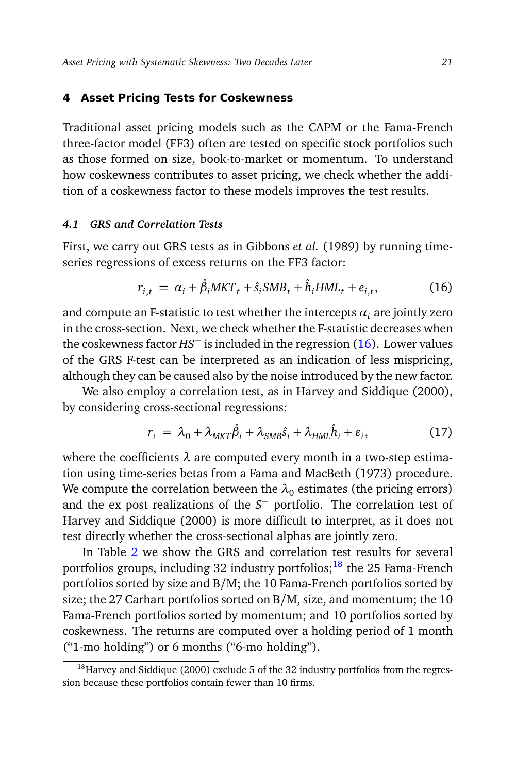#### <span id="page-20-0"></span>**4 Asset Pricing Tests for Coskewness**

Traditional asset pricing models such as the CAPM or the Fama-French three-factor model (FF3) often are tested on specific stock portfolios such as those formed on size, book-to-market or momentum. To understand how coskewness contributes to asset pricing, we check whether the addition of a coskewness factor to these models improves the test results.

# *4.1 GRS and Correlation Tests*

First, we carry out GRS tests as in Gibbons *et al.* (1989) by running timeseries regressions of excess returns on the FF3 factor:

<span id="page-20-1"></span>
$$
r_{i,t} = \alpha_i + \hat{\beta}_i MKT_t + \hat{s}_i SMB_t + \hat{h}_i HML_t + e_{i,t},
$$
\n(16)

and compute an F-statistic to test whether the intercepts  $\alpha_i$  are jointly zero in the cross-section. Next, we check whether the F-statistic decreases when the coskewness factor *HS*<sup>−</sup> is included in the regression [\(16\)](#page-20-1). Lower values of the GRS F-test can be interpreted as an indication of less mispricing, although they can be caused also by the noise introduced by the new factor.

We also employ a correlation test, as in Harvey and Siddique (2000), by considering cross-sectional regressions:

<span id="page-20-3"></span>
$$
r_i = \lambda_0 + \lambda_{MKT} \hat{\beta}_i + \lambda_{SMB} \hat{s}_i + \lambda_{HML} \hat{h}_i + \varepsilon_i, \tag{17}
$$

where the coefficients *λ* are computed every month in a two-step estimation using time-series betas from a Fama and MacBeth (1973) procedure. We compute the correlation between the  $\lambda_0$  estimates (the pricing errors) and the ex post realizations of the *S* <sup>−</sup> portfolio. The correlation test of Harvey and Siddique (2000) is more difficult to interpret, as it does not test directly whether the cross-sectional alphas are jointly zero.

In Table [2](#page-21-0) we show the GRS and correlation test results for several portfolios groups, including 32 industry portfolios; $18$  the 25 Fama-French portfolios sorted by size and B/M; the 10 Fama-French portfolios sorted by size; the 27 Carhart portfolios sorted on B/M, size, and momentum; the 10 Fama-French portfolios sorted by momentum; and 10 portfolios sorted by coskewness. The returns are computed over a holding period of 1 month ("1-mo holding") or 6 months ("6-mo holding").

<span id="page-20-2"></span><sup>&</sup>lt;sup>18</sup>Harvey and Siddique (2000) exclude 5 of the 32 industry portfolios from the regression because these portfolios contain fewer than 10 firms.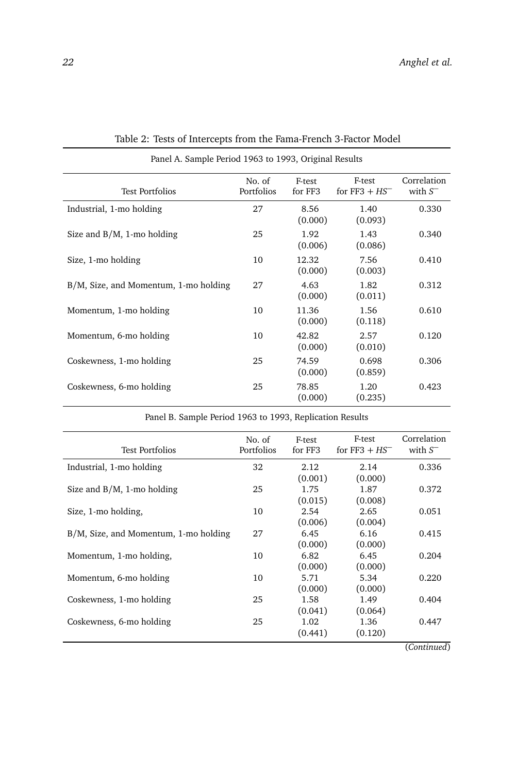<span id="page-21-0"></span>

| Panel A. Sample Period 1963 to 1993, Original Results |                      |                   |                            |                           |  |  |  |  |  |  |
|-------------------------------------------------------|----------------------|-------------------|----------------------------|---------------------------|--|--|--|--|--|--|
| <b>Test Portfolios</b>                                | No. of<br>Portfolios | E-test<br>for FF3 | F-test<br>for $FF3 + HS^-$ | Correlation<br>with $S^-$ |  |  |  |  |  |  |
| Industrial, 1-mo holding                              | 27                   | 8.56<br>(0.000)   | 1.40<br>(0.093)            | 0.330                     |  |  |  |  |  |  |
| Size and $B/M$ , 1-mo holding                         | 25                   | 1.92<br>(0.006)   | 1.43<br>(0.086)            | 0.340                     |  |  |  |  |  |  |
| Size, 1-mo holding                                    | 10                   | 12.32<br>(0.000)  | 7.56<br>(0.003)            | 0.410                     |  |  |  |  |  |  |
| B/M, Size, and Momentum, 1-mo holding                 | 27                   | 4.63<br>(0.000)   | 1.82<br>(0.011)            | 0.312                     |  |  |  |  |  |  |
| Momentum, 1-mo holding                                | 10                   | 11.36<br>(0.000)  | 1.56<br>(0.118)            | 0.610                     |  |  |  |  |  |  |
| Momentum, 6-mo holding                                | 10                   | 42.82<br>(0.000)  | 2.57<br>(0.010)            | 0.120                     |  |  |  |  |  |  |
| Coskewness, 1-mo holding                              | 25                   | 74.59<br>(0.000)  | 0.698<br>(0.859)           | 0.306                     |  |  |  |  |  |  |
| Coskewness, 6-mo holding                              | 25                   | 78.85<br>(0.000)  | 1.20<br>(0.235)            | 0.423                     |  |  |  |  |  |  |

Table 2: Tests of Intercepts from the Fama-French 3-Factor Model

Panel B. Sample Period 1963 to 1993, Replication Results

| Test Portfolios                       | No. of<br><b>Portfolios</b> | F-test<br>for FF3          | F-test<br>for $FF3 + HS^-$ | Correlation<br>with $S^-$ |
|---------------------------------------|-----------------------------|----------------------------|----------------------------|---------------------------|
| Industrial, 1-mo holding              | 32                          | 2.12                       | 2.14                       | 0.336                     |
| Size and $B/M$ , 1-mo holding         | 25                          | (0.001)<br>1.75<br>(0.015) | (0.000)<br>1.87<br>(0.008) | 0.372                     |
| Size, 1-mo holding,                   | 10                          | 2.54<br>(0.006)            | 2.65<br>(0.004)            | 0.051                     |
| B/M, Size, and Momentum, 1-mo holding | 27                          | 6.45                       | 6.16                       | 0.415                     |
| Momentum, 1-mo holding,               | 10                          | (0.000)<br>6.82            | (0.000)<br>6.45            | 0.204                     |
| Momentum, 6-mo holding                | 10                          | (0.000)<br>5.71            | (0.000)<br>5.34            | 0.220                     |
| Coskewness, 1-mo holding              | 25                          | (0.000)<br>1.58            | (0.000)<br>1.49            | 0.404                     |
| Coskewness, 6-mo holding              | 25                          | (0.041)<br>1.02<br>(0.441) | (0.064)<br>1.36<br>(0.120) | 0.447                     |
|                                       |                             |                            |                            | $\sim$<br>$\cdot$ .       |

(*Continued*)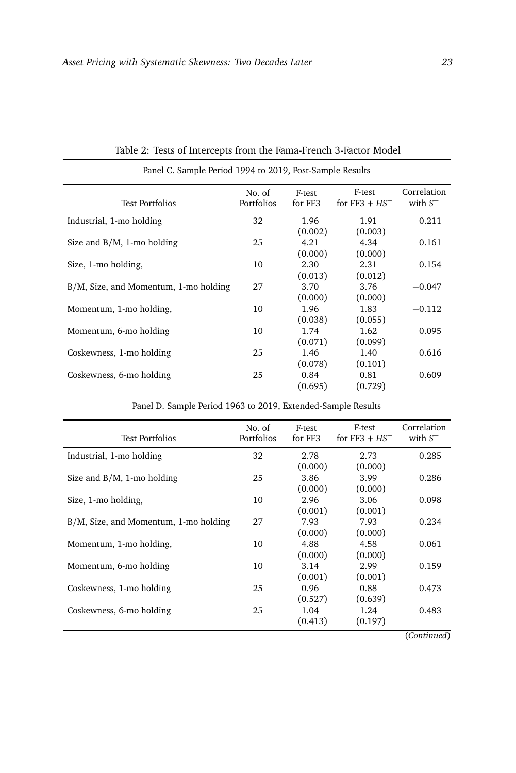<span id="page-22-0"></span>

| Panel C. Sample Period 1994 to 2019, Post-Sample Results |                      |                   |                                                    |                           |  |  |  |  |  |  |
|----------------------------------------------------------|----------------------|-------------------|----------------------------------------------------|---------------------------|--|--|--|--|--|--|
| <b>Test Portfolios</b>                                   | No. of<br>Portfolios | F-test<br>for FF3 | F-test<br>for FF3 $+$ HS <sup><math>-</math></sup> | Correlation<br>with $S^-$ |  |  |  |  |  |  |
| Industrial, 1-mo holding                                 | 32                   | 1.96<br>(0.002)   | 1.91<br>(0.003)                                    | 0.211                     |  |  |  |  |  |  |
| Size and $B/M$ , 1-mo holding                            | 25                   | 4.21<br>(0.000)   | 4.34<br>(0.000)                                    | 0.161                     |  |  |  |  |  |  |
| Size, 1-mo holding,                                      | 10                   | 2.30<br>(0.013)   | 2.31<br>(0.012)                                    | 0.154                     |  |  |  |  |  |  |
| B/M, Size, and Momentum, 1-mo holding                    | 27                   | 3.70<br>(0.000)   | 3.76<br>(0.000)                                    | $-0.047$                  |  |  |  |  |  |  |
| Momentum, 1-mo holding,                                  | 10                   | 1.96<br>(0.038)   | 1.83<br>(0.055)                                    | $-0.112$                  |  |  |  |  |  |  |
| Momentum, 6-mo holding                                   | 10                   | 1.74<br>(0.071)   | 1.62<br>(0.099)                                    | 0.095                     |  |  |  |  |  |  |
| Coskewness, 1-mo holding                                 | 25                   | 1.46<br>(0.078)   | 1.40<br>(0.101)                                    | 0.616                     |  |  |  |  |  |  |
| Coskewness, 6-mo holding                                 | 25                   | 0.84<br>(0.695)   | 0.81<br>(0.729)                                    | 0.609                     |  |  |  |  |  |  |

Table 2: Tests of Intercepts from the Fama-French 3-Factor Model

Panel D. Sample Period 1963 to 2019, Extended-Sample Results

| <b>Test Portfolios</b>                | No. of<br>Portfolios | F-test<br>for FF3 | F-test<br>for $FF3 + HS^-$ | Correlation<br>with $S^-$ |
|---------------------------------------|----------------------|-------------------|----------------------------|---------------------------|
| Industrial, 1-mo holding              | 32                   | 2.78              | 2.73                       | 0.285                     |
|                                       |                      | (0.000)           | (0.000)                    |                           |
| Size and $B/M$ , 1-mo holding         | 25                   | 3.86              | 3.99                       | 0.286                     |
|                                       |                      | (0.000)           | (0.000)                    |                           |
| Size, 1-mo holding,                   | 10                   | 2.96              | 3.06                       | 0.098                     |
|                                       |                      | (0.001)           | (0.001)                    |                           |
| B/M, Size, and Momentum, 1-mo holding | 27                   | 7.93              | 7.93                       | 0.234                     |
|                                       |                      | (0.000)           | (0.000)                    |                           |
| Momentum, 1-mo holding,               | 10                   | 4.88              | 4.58                       | 0.061                     |
|                                       |                      | (0.000)           | (0.000)                    |                           |
| Momentum, 6-mo holding                | 10                   | 3.14              | 2.99                       | 0.159                     |
|                                       |                      | (0.001)           | (0.001)                    |                           |
| Coskewness, 1-mo holding              | 25                   | 0.96              | 0.88                       | 0.473                     |
|                                       |                      | (0.527)           | (0.639)                    |                           |
| Coskewness, 6-mo holding              | 25                   | 1.04              | 1.24                       | 0.483                     |
|                                       |                      | (0.413)           | (0.197)                    |                           |
|                                       |                      |                   |                            | (Continued)               |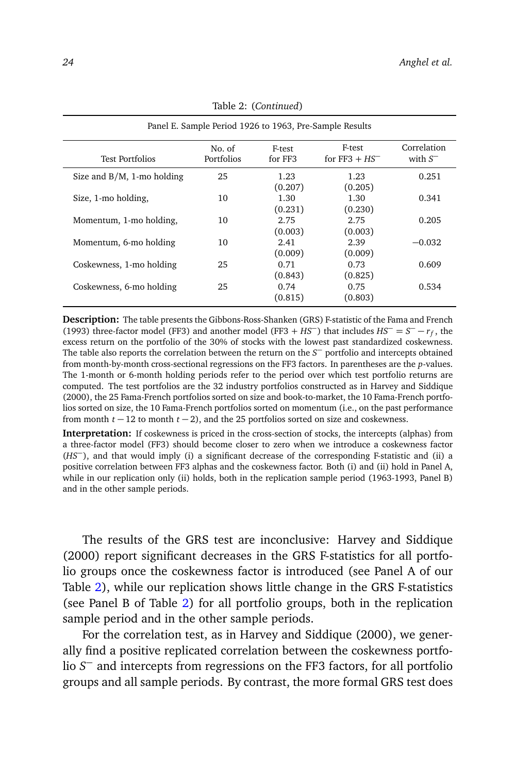| Panel E. Sample Period 1926 to 1963, Pre-Sample Results |                      |                   |                            |                           |  |  |  |  |  |  |
|---------------------------------------------------------|----------------------|-------------------|----------------------------|---------------------------|--|--|--|--|--|--|
| <b>Test Portfolios</b>                                  | No. of<br>Portfolios | F-test<br>for FF3 | F-test<br>for $FF3 + HS^-$ | Correlation<br>with $S^-$ |  |  |  |  |  |  |
| Size and $B/M$ , 1-mo holding                           | 25                   | 1.23<br>(0.207)   | 1.23<br>(0.205)            | 0.251                     |  |  |  |  |  |  |
| Size, 1-mo holding,                                     | 10                   | 1.30<br>(0.231)   | 1.30<br>(0.230)            | 0.341                     |  |  |  |  |  |  |
| Momentum, 1-mo holding,                                 | 10                   | 2.75<br>(0.003)   | 2.75<br>(0.003)            | 0.205                     |  |  |  |  |  |  |
| Momentum, 6-mo holding                                  | 10                   | 2.41<br>(0.009)   | 2.39<br>(0.009)            | $-0.032$                  |  |  |  |  |  |  |
| Coskewness, 1-mo holding                                | 25                   | 0.71<br>(0.843)   | 0.73<br>(0.825)            | 0.609                     |  |  |  |  |  |  |
| Coskewness, 6-mo holding                                | 25                   | 0.74<br>(0.815)   | 0.75<br>(0.803)            | 0.534                     |  |  |  |  |  |  |

Table 2: (*Continued*)

**Description:** The table presents the Gibbons-Ross-Shanken (GRS) F-statistic of the Fama and French (1993) three-factor model (FF3) and another model (FF3 + *HS*<sup>−</sup>) that includes  $H S<sup>−</sup> = S<sup>−</sup> - r<sub>f</sub>$ , the excess return on the portfolio of the 30% of stocks with the lowest past standardized coskewness. The table also reports the correlation between the return on the *S* <sup>−</sup> portfolio and intercepts obtained from month-by-month cross-sectional regressions on the FF3 factors. In parentheses are the *p*-values. The 1-month or 6-month holding periods refer to the period over which test portfolio returns are computed. The test portfolios are the 32 industry portfolios constructed as in Harvey and Siddique (2000), the 25 Fama-French portfolios sorted on size and book-to-market, the 10 Fama-French portfolios sorted on size, the 10 Fama-French portfolios sorted on momentum (i.e., on the past performance from month *t* − 12 to month *t* − 2), and the 25 portfolios sorted on size and coskewness.

**Interpretation:** If coskewness is priced in the cross-section of stocks, the intercepts (alphas) from a three-factor model (FF3) should become closer to zero when we introduce a coskewness factor (*HS*−), and that would imply (i) a significant decrease of the corresponding F-statistic and (ii) a positive correlation between FF3 alphas and the coskewness factor. Both (i) and (ii) hold in Panel A, while in our replication only (ii) holds, both in the replication sample period (1963-1993, Panel B) and in the other sample periods.

The results of the GRS test are inconclusive: Harvey and Siddique (2000) report significant decreases in the GRS F-statistics for all portfolio groups once the coskewness factor is introduced (see Panel A of our Table [2\)](#page-21-0), while our replication shows little change in the GRS F-statistics (see Panel B of Table [2\)](#page-21-0) for all portfolio groups, both in the replication sample period and in the other sample periods.

For the correlation test, as in Harvey and Siddique (2000), we generally find a positive replicated correlation between the coskewness portfolio *S* <sup>−</sup> and intercepts from regressions on the FF3 factors, for all portfolio groups and all sample periods. By contrast, the more formal GRS test does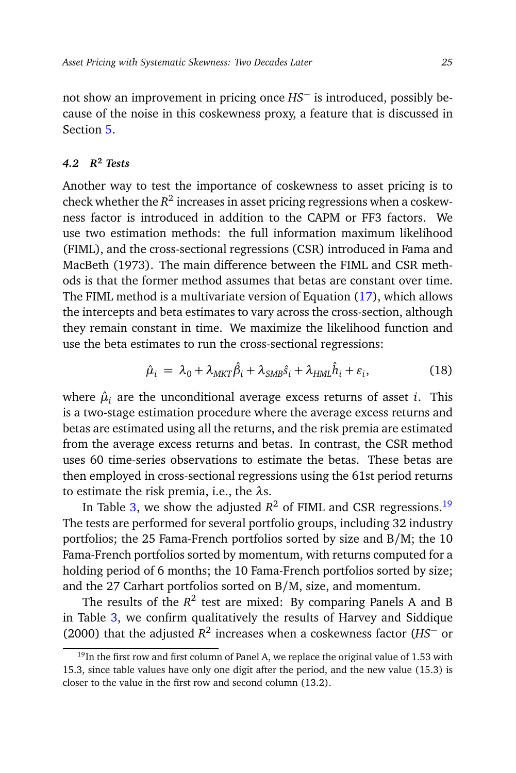not show an improvement in pricing once *HS*<sup>−</sup> is introduced, possibly because of the noise in this coskewness proxy, a feature that is discussed in Section [5.](#page-34-0)

# <span id="page-24-1"></span>*4.2 R***<sup>2</sup>** *Tests*

Another way to test the importance of coskewness to asset pricing is to check whether the  $R^2$  increases in asset pricing regressions when a coskewness factor is introduced in addition to the CAPM or FF3 factors. We use two estimation methods: the full information maximum likelihood (FIML), and the cross-sectional regressions (CSR) introduced in Fama and MacBeth (1973). The main difference between the FIML and CSR methods is that the former method assumes that betas are constant over time. The FIML method is a multivariate version of Equation [\(17\)](#page-20-3), which allows the intercepts and beta estimates to vary across the cross-section, although they remain constant in time. We maximize the likelihood function and use the beta estimates to run the cross-sectional regressions:

$$
\hat{\mu}_i = \lambda_0 + \lambda_{MKT} \hat{\beta}_i + \lambda_{SMB} \hat{s}_i + \lambda_{HML} \hat{h}_i + \varepsilon_i, \tag{18}
$$

where  $\hat{\mu}_i$  are the unconditional average excess returns of asset *i*. This is a two-stage estimation procedure where the average excess returns and betas are estimated using all the returns, and the risk premia are estimated from the average excess returns and betas. In contrast, the CSR method uses 60 time-series observations to estimate the betas. These betas are then employed in cross-sectional regressions using the 61st period returns to estimate the risk premia, i.e., the *λ*s.

In Table [3,](#page-25-0) we show the adjusted  $R^2$  of FIML and CSR regressions.<sup>[19](#page-24-0)</sup> The tests are performed for several portfolio groups, including 32 industry portfolios; the 25 Fama-French portfolios sorted by size and B/M; the 10 Fama-French portfolios sorted by momentum, with returns computed for a holding period of 6 months; the 10 Fama-French portfolios sorted by size; and the 27 Carhart portfolios sorted on B/M, size, and momentum.

The results of the  $R^2$  test are mixed: By comparing Panels A and B in Table [3,](#page-25-0) we confirm qualitatively the results of Harvey and Siddique (2000) that the adjusted *R* 2 increases when a coskewness factor (*HS*<sup>−</sup> or

<span id="page-24-0"></span> $19$ In the first row and first column of Panel A, we replace the original value of 1.53 with 15.3, since table values have only one digit after the period, and the new value (15.3) is closer to the value in the first row and second column (13.2).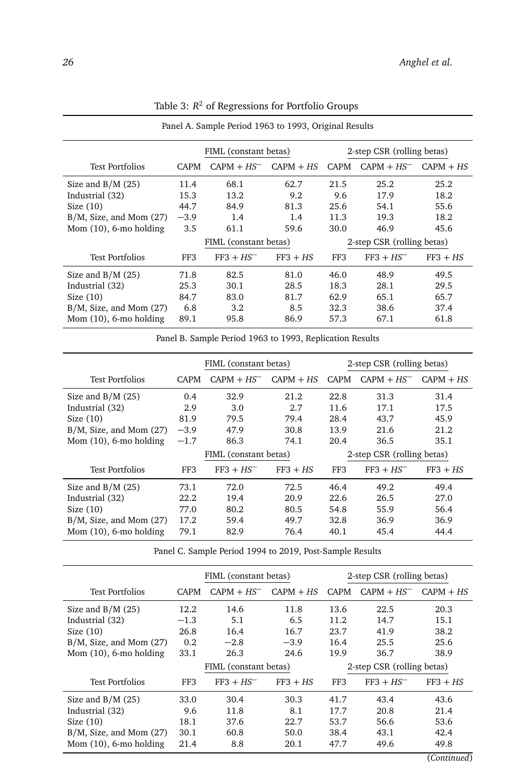<span id="page-25-0"></span>

|                              |             | FIML (constant betas) |             |                            | 2-step CSR (rolling betas) |             |  |  |
|------------------------------|-------------|-----------------------|-------------|----------------------------|----------------------------|-------------|--|--|
| <b>Test Portfolios</b>       | <b>CAPM</b> | $CAPM + HS^-$         | $CAPM + HS$ | <b>CAPM</b>                | $CAPM + HS^-$              | $CAPM + HS$ |  |  |
| Size and $B/M(25)$           | 11.4        | 68.1                  | 62.7        | 21.5                       | 25.2                       | 25.2        |  |  |
| Industrial (32)              | 15.3        | 13.2                  | 9.2         | 9.6                        | 17.9                       | 18.2        |  |  |
| Size $(10)$                  | 44.7        | 84.9                  | 81.3        | 25.6                       | 54.1                       | 55.6        |  |  |
| $B/M$ , Size, and Mom $(27)$ | $-3.9$      | 1.4                   | 1.4         | 11.3                       | 19.3                       | 18.2        |  |  |
| Mom $(10)$ , 6-mo holding    | 3.5         | 61.1                  | 59.6        | 30.0                       | 46.9                       | 45.6        |  |  |
|                              |             | FIML (constant betas) |             | 2-step CSR (rolling betas) |                            |             |  |  |
| <b>Test Portfolios</b>       | FF3         | $FF3 + HS^-$          | $FF3 + HS$  | FF3                        | $FF3 + HS^-$               | $FF3 + HS$  |  |  |
| Size and $B/M(25)$           | 71.8        | 82.5                  | 81.0        | 46.0                       | 48.9                       | 49.5        |  |  |
| Industrial (32)              | 25.3        | 30.1                  | 28.5        | 18.3                       | 28.1                       | 29.5        |  |  |
| Size $(10)$                  | 84.7        | 83.0                  | 81.7        | 62.9                       | 65.1                       | 65.7        |  |  |
| $B/M$ , Size, and Mom $(27)$ | 6.8         | 3.2                   | 8.5         | 32.3                       | 38.6                       | 37.4        |  |  |
| Mom $(10)$ , 6-mo holding    | 89.1        | 95.8                  | 86.9        | 57.3                       | 67.1                       | 61.8        |  |  |

Table 3: *R* <sup>2</sup> of Regressions for Portfolio Groups

Panel A. Sample Period 1963 to 1993, Original Results

Panel B. Sample Period 1963 to 1993, Replication Results

|                              |             | FIML (constant betas) |             | 2-step CSR (rolling betas) |               |             |  |
|------------------------------|-------------|-----------------------|-------------|----------------------------|---------------|-------------|--|
| Test Portfolios              | <b>CAPM</b> | $CAPM + HS^-$         | $CAPM + HS$ | <b>CAPM</b>                | $CAPM + HS^-$ | $CAPM + HS$ |  |
| Size and $B/M(25)$           | 0.4         | 32.9                  | 21.2        | 22.8                       | 31.3          | 31.4        |  |
| Industrial (32)              | 2.9         | 3.0                   | 2.7         | 11.6                       | 17.1          | 17.5        |  |
| Size $(10)$                  | 81.9        | 79.5                  | 79.4        | 28.4                       | 43.7          | 45.9        |  |
| $B/M$ , Size, and Mom $(27)$ | $-3.9$      | 47.9                  | 30.8        | 13.9                       | 21.6          | 21.2        |  |
| Mom $(10)$ , 6-mo holding    | $-1.7$      | 86.3                  | 74.1        | 20.4                       | 36.5          | 35.1        |  |
|                              |             | FIML (constant betas) |             | 2-step CSR (rolling betas) |               |             |  |
| <b>Test Portfolios</b>       | FF3         | $FF3 + HS^-$          | $FF3 + HS$  | FF3                        | $FF3 + HS^-$  | $FF3 + HS$  |  |
| Size and $B/M(25)$           | 73.1        | 72.0                  | 72.5        | 46.4                       | 49.2          | 49.4        |  |
| Industrial (32)              | 22.2        | 19.4                  | 20.9        | 22.6                       | 26.5          | 27.0        |  |
| Size $(10)$                  | 77.0        | 80.2                  | 80.5        | 54.8                       | 55.9          | 56.4        |  |
| $B/M$ , Size, and Mom $(27)$ | 17.2        | 59.4                  | 49.7        | 32.8                       | 36.9          | 36.9        |  |
| Mom $(10)$ , 6-mo holding    | 79.1        | 82.9                  | 76.4        | 40.1                       | 45.4          | 44.4        |  |

Panel C. Sample Period 1994 to 2019, Post-Sample Results

|                              |        | FIML (constant betas)<br>2-step CSR (rolling betas) |             |             |                            |             |  |  |
|------------------------------|--------|-----------------------------------------------------|-------------|-------------|----------------------------|-------------|--|--|
| <b>Test Portfolios</b>       | CAPM.  | $CAPM + HS^-$                                       | $CAPM + HS$ | <b>CAPM</b> | $CAPM + HS^-$              | $CAPM + HS$ |  |  |
| Size and $B/M(25)$           | 12.2   | 14.6                                                | 11.8        | 13.6        | 22.5                       | 20.3        |  |  |
| Industrial (32)              | $-1.3$ | 5.1                                                 | 6.5         | 11.2.       | 14.7                       | 15.1        |  |  |
| Size $(10)$                  | 26.8   | 16.4                                                | 16.7        | 23.7        | 41.9                       | 38.2        |  |  |
| $B/M$ , Size, and Mom $(27)$ | 0.2    | $-2.8$                                              | $-3.9$      | 16.4        | 25.5                       | 25.6        |  |  |
| Mom $(10)$ , 6-mo holding    | 33.1   | 26.3                                                | 24.6        | 19.9        | 36.7                       | 38.9        |  |  |
|                              |        | FIML (constant betas)                               |             |             | 2-step CSR (rolling betas) |             |  |  |
| <b>Test Portfolios</b>       | FF3    | $FF3 + HS^-$                                        | $FF3 + HS$  | FF3         | $FF3 + HS^-$               | $FF3 + HS$  |  |  |
| Size and $B/M(25)$           | 33.0   | 30.4                                                | 30.3        | 41.7        | 43.4                       | 43.6        |  |  |
| Industrial (32)              | 9.6    | 11.8                                                | 8.1         | 17.7        | 20.8                       | 21.4        |  |  |
| Size $(10)$                  | 18.1   | 37.6                                                | 22.7        | 53.7        | 56.6                       | 53.6        |  |  |
| $B/M$ , Size, and Mom $(27)$ | 30.1   | 60.8                                                | 50.0        | 38.4        | 43.1                       | 42.4        |  |  |
| Mom $(10)$ , 6-mo holding    | 21.4   | 8.8                                                 | 20.1        | 47.7        | 49.6                       | 49.8        |  |  |

(*Continued*)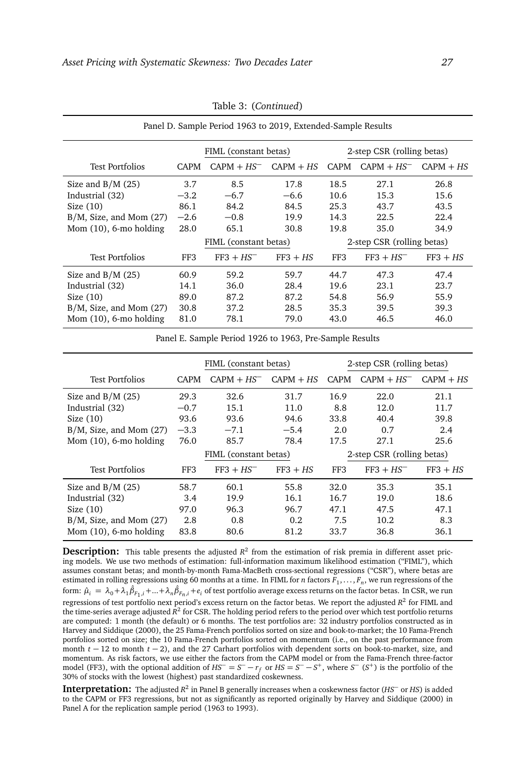<span id="page-26-0"></span>

|                              |        | FIML (constant betas) |             | 2-step CSR (rolling betas) |               |             |  |  |  |
|------------------------------|--------|-----------------------|-------------|----------------------------|---------------|-------------|--|--|--|
| <b>Test Portfolios</b>       | CAPM   | $CAPM + HS^-$         | $CAPM + HS$ | <b>CAPM</b>                | $CAPM + HS^-$ | $CAPM + HS$ |  |  |  |
| Size and $B/M(25)$           | 3.7    | 8.5                   | 17.8        | 18.5                       | 27.1          | 26.8        |  |  |  |
| Industrial (32)              | $-3.2$ | $-6.7$                | $-6.6$      | 10.6                       | 15.3          | 15.6        |  |  |  |
| Size $(10)$                  | 86.1   | 84.2                  | 84.5        | 25.3                       | 43.7          | 43.5        |  |  |  |
| $B/M$ , Size, and Mom $(27)$ | $-2.6$ | $-0.8$                | 19.9        | 14.3                       | 22.5          | 22.4        |  |  |  |
| Mom $(10)$ , 6-mo holding    | 28.0   | 65.1                  | 30.8        | 19.8                       | 35.0          | 34.9        |  |  |  |
|                              |        | FIML (constant betas) |             | 2-step CSR (rolling betas) |               |             |  |  |  |
| <b>Test Portfolios</b>       | FF3    | $FF3 + HS^-$          | $FF3 + HS$  | FF3                        | $FF3 + HS^-$  | $FF3 + HS$  |  |  |  |
| Size and $B/M(25)$           | 60.9   | 59.2                  | 59.7        | 44.7                       | 47.3          | 47.4        |  |  |  |
| Industrial (32)              | 14.1   | 36.0                  | 28.4        | 19.6                       | 23.1          | 23.7        |  |  |  |
| Size $(10)$                  | 89.0   | 87.2                  | 87.2        | 54.8                       | 56.9          | 55.9        |  |  |  |
| $B/M$ , Size, and Mom $(27)$ | 30.8   | 37.2                  | 28.5        | 35.3                       | 39.5          | 39.3        |  |  |  |
| Mom $(10)$ , 6-mo holding    | 81.0   | 78.1                  | 79.0        | 43.0                       | 46.5          | 46.0        |  |  |  |

Table 3: (*Continued*)

Panel D. Sample Period 1963 to 2019, Extended-Sample Results

Panel E. Sample Period 1926 to 1963, Pre-Sample Results

|                              |             |                       | FIML (constant betas)<br>2-step CSR (rolling betas) |                            |               |             |  |
|------------------------------|-------------|-----------------------|-----------------------------------------------------|----------------------------|---------------|-------------|--|
| <b>Test Portfolios</b>       | <b>CAPM</b> | $CAPM + HS^-$         | $CAPM + HS$                                         | <b>CAPM</b>                | $CAPM + HS^-$ | $CAPM + HS$ |  |
| Size and $B/M(25)$           | 29.3        | 32.6                  | 31.7                                                | 16.9                       | 22.0          | 21.1        |  |
| Industrial (32)              | $-0.7$      | 15.1                  | 11.0                                                | 8.8                        | 12.0          | 11.7        |  |
| Size $(10)$                  | 93.6        | 93.6                  | 94.6                                                | 33.8                       | 40.4          | 39.8        |  |
| $B/M$ , Size, and Mom $(27)$ | $-3.3$      | $-7.1$                | $-5.4$                                              | 2.0                        | 0.7           | 2.4         |  |
| Mom $(10)$ , 6-mo holding    | 76.0        | 85.7                  | 78.4                                                | 17.5                       | 27.1          | 25.6        |  |
|                              |             | FIML (constant betas) |                                                     | 2-step CSR (rolling betas) |               |             |  |
| <b>Test Portfolios</b>       | FF3         | $FF3 + HS^{-}$        | $FF3 + HS$                                          | FF3                        | $FF3 + HS^-$  | $FF3 + HS$  |  |
| Size and $B/M(25)$           | 58.7        | 60.1                  | 55.8                                                | 32.0                       | 35.3          | 35.1        |  |
| Industrial (32)              | 3.4         | 19.9                  | 16.1                                                | 16.7                       | 19.0          | 18.6        |  |
| Size $(10)$                  | 97.0        | 96.3                  | 96.7                                                | 47.1                       | 47.5          | 47.1        |  |
| $B/M$ , Size, and Mom $(27)$ | 2.8         | 0.8                   | 0.2                                                 | 7.5                        | 10.2          | 8.3         |  |
| Mom $(10)$ , 6-mo holding    | 83.8        | 80.6                  | 81.2                                                | 33.7                       | 36.8          | 36.1        |  |

**Description:** This table presents the adjusted  $R^2$  from the estimation of risk premia in different asset pricing models. We use two methods of estimation: full-information maximum likelihood estimation ("FIML"), which assumes constant betas; and month-by-month Fama-MacBeth cross-sectional regressions ("CSR"), where betas are estimated in rolling regressions using 60 months at a time. In FIML for *n* factors  $F_1, \ldots, F_n$ , we run regressions of the form:  $\hat{\mu}_i = \lambda_0 + \lambda_1 \hat{\beta}_{F_1,i} + ... + \lambda_n \hat{\beta}_{F_n,i} + e_i$  of test portfolio average excess returns on the factor betas. In CSR, we run regressions of test portfolio next period's excess return on the factor betas. We report the adjusted *R* 2 for FIML and the time-series average adjusted *R* 2 for CSR. The holding period refers to the period over which test portfolio returns are computed: 1 month (the default) or 6 months. The test portfolios are: 32 industry portfolios constructed as in Harvey and Siddique (2000), the 25 Fama-French portfolios sorted on size and book-to-market; the 10 Fama-French portfolios sorted on size; the 10 Fama-French portfolios sorted on momentum (i.e., on the past performance from month *t* − 12 to month *t* − 2), and the 27 Carhart portfolios with dependent sorts on book-to-market, size, and momentum. As risk factors, we use either the factors from the CAPM model or from the Fama-French three-factor model (FF3), with the optional addition of  $HS^- = S^- - r_f$  or  $HS = S^- - S^+$ , where  $S^-$  ( $S^+$ ) is the portfolio of the 30% of stocks with the lowest (highest) past standardized coskewness.

**Interpretation:** The adjusted *R* 2 in Panel B generally increases when a coskewness factor (*HS*<sup>−</sup> or *HS*) is added to the CAPM or FF3 regressions, but not as significantly as reported originally by Harvey and Siddique (2000) in Panel A for the replication sample period (1963 to 1993).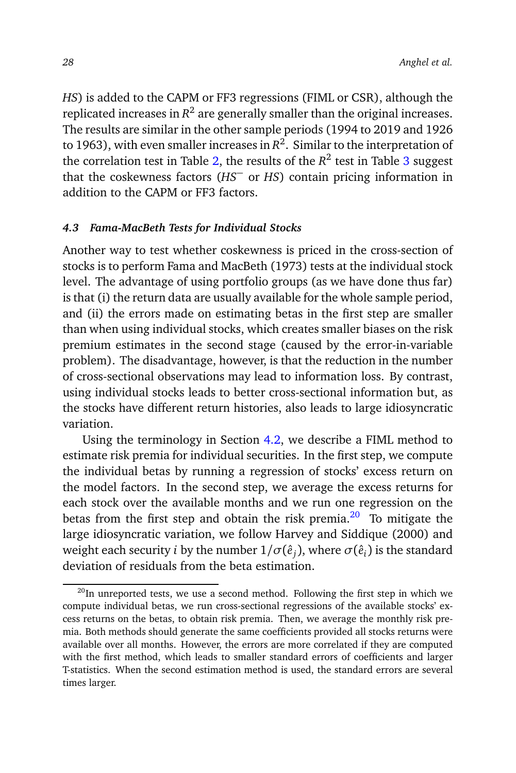*HS*) is added to the CAPM or FF3 regressions (FIML or CSR), although the replicated increases in  $\mathcal{R}^2$  are generally smaller than the original increases. The results are similar in the other sample periods (1994 to 2019 and 1926 to 1963), with even smaller increases in  $\mathcal{R}^2.$  Similar to the interpretation of the correlation test in Table [2,](#page-21-0) the results of the  $R^2$  test in Table [3](#page-25-0) suggest that the coskewness factors (*HS*<sup>−</sup> or *HS*) contain pricing information in addition to the CAPM or FF3 factors.

#### *4.3 Fama-MacBeth Tests for Individual Stocks*

Another way to test whether coskewness is priced in the cross-section of stocks is to perform Fama and MacBeth (1973) tests at the individual stock level. The advantage of using portfolio groups (as we have done thus far) is that (i) the return data are usually available for the whole sample period, and (ii) the errors made on estimating betas in the first step are smaller than when using individual stocks, which creates smaller biases on the risk premium estimates in the second stage (caused by the error-in-variable problem). The disadvantage, however, is that the reduction in the number of cross-sectional observations may lead to information loss. By contrast, using individual stocks leads to better cross-sectional information but, as the stocks have different return histories, also leads to large idiosyncratic variation.

Using the terminology in Section [4.2,](#page-24-1) we describe a FIML method to estimate risk premia for individual securities. In the first step, we compute the individual betas by running a regression of stocks' excess return on the model factors. In the second step, we average the excess returns for each stock over the available months and we run one regression on the betas from the first step and obtain the risk premia. $20$  To mitigate the large idiosyncratic variation, we follow Harvey and Siddique (2000) and weight each security  $i$  by the number  $1/\sigma(\hat{e}_j)$ , where  $\sigma(\hat{e}_i)$  is the standard deviation of residuals from the beta estimation.

<span id="page-27-0"></span> $^{20}$ In unreported tests, we use a second method. Following the first step in which we compute individual betas, we run cross-sectional regressions of the available stocks' excess returns on the betas, to obtain risk premia. Then, we average the monthly risk premia. Both methods should generate the same coefficients provided all stocks returns were available over all months. However, the errors are more correlated if they are computed with the first method, which leads to smaller standard errors of coefficients and larger T-statistics. When the second estimation method is used, the standard errors are several times larger.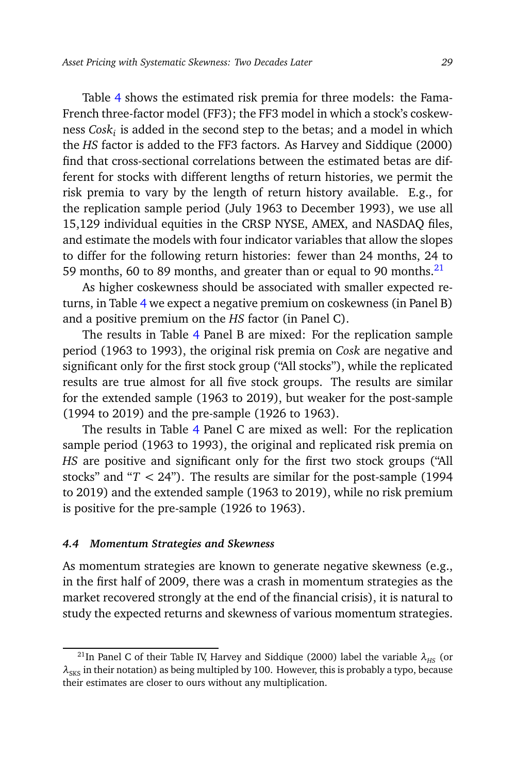Table [4](#page-29-0) shows the estimated risk premia for three models: the Fama-French three-factor model (FF3); the FF3 model in which a stock's coskewness *Cosk<sup>i</sup>* is added in the second step to the betas; and a model in which the *HS* factor is added to the FF3 factors. As Harvey and Siddique (2000) find that cross-sectional correlations between the estimated betas are different for stocks with different lengths of return histories, we permit the risk premia to vary by the length of return history available. E.g., for the replication sample period (July 1963 to December 1993), we use all 15,129 individual equities in the CRSP NYSE, AMEX, and NASDAQ files, and estimate the models with four indicator variables that allow the slopes to differ for the following return histories: fewer than 24 months, 24 to 59 months, 60 to 89 months, and greater than or equal to 90 months. $^{21}$  $^{21}$  $^{21}$ 

As higher coskewness should be associated with smaller expected returns, in Table [4](#page-29-0) we expect a negative premium on coskewness (in Panel B) and a positive premium on the *HS* factor (in Panel C).

The results in Table [4](#page-29-0) Panel B are mixed: For the replication sample period (1963 to 1993), the original risk premia on *Cosk* are negative and significant only for the first stock group ("All stocks"), while the replicated results are true almost for all five stock groups. The results are similar for the extended sample (1963 to 2019), but weaker for the post-sample (1994 to 2019) and the pre-sample (1926 to 1963).

The results in Table [4](#page-29-0) Panel C are mixed as well: For the replication sample period (1963 to 1993), the original and replicated risk premia on *HS* are positive and significant only for the first two stock groups ("All stocks" and "*T <* 24"). The results are similar for the post-sample (1994 to 2019) and the extended sample (1963 to 2019), while no risk premium is positive for the pre-sample (1926 to 1963).

#### *4.4 Momentum Strategies and Skewness*

As momentum strategies are known to generate negative skewness (e.g., in the first half of 2009, there was a crash in momentum strategies as the market recovered strongly at the end of the financial crisis), it is natural to study the expected returns and skewness of various momentum strategies.

<span id="page-28-0"></span><sup>&</sup>lt;sup>21</sup>In Panel C of their Table IV, Harvey and Siddique (2000) label the variable  $\lambda_{\rm HS}$  (or  $\lambda_{\rm SKS}$  in their notation) as being multipled by 100. However, this is probably a typo, because their estimates are closer to ours without any multiplication.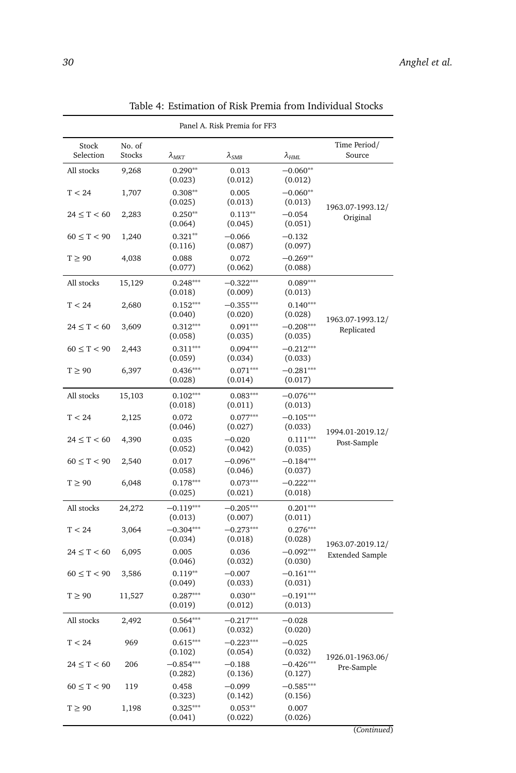<span id="page-29-0"></span>

| Panel A. Risk Premia for FF3 |                         |                                                                  |                        |                                 |                                |  |  |  |  |
|------------------------------|-------------------------|------------------------------------------------------------------|------------------------|---------------------------------|--------------------------------|--|--|--|--|
| Stock<br>Selection           | No. of<br><b>Stocks</b> | $\lambda_{MKT}$                                                  | $\lambda_{SMB}$        | $\lambda_{HML}$                 | Time Period/<br>Source         |  |  |  |  |
| All stocks                   | 9,268                   | $0.290**$<br>(0.023)                                             | 0.013<br>(0.012)       | $-0.060**$<br>(0.012)           |                                |  |  |  |  |
| T < 24                       | 1,707                   | $0.308**$<br>(0.025)                                             | 0.005<br>(0.013)       | $-0.060**$<br>(0.013)           | 1963.07-1993.12/               |  |  |  |  |
| $24 \le T < 60$              | 2,283                   | $0.250**$<br>(0.064)                                             | $0.113**$<br>(0.045)   | $-0.054$<br>(0.051)             | Original                       |  |  |  |  |
| $60 \le T < 90$              | 1,240                   | $0.321**$<br>(0.116)                                             | $-0.066$<br>(0.087)    | $-0.132$<br>(0.097)             |                                |  |  |  |  |
| $T \geq 90$                  | 4,038                   | 0.088<br>(0.077)                                                 | 0.072<br>(0.062)       | $-0.269**$<br>(0.088)           |                                |  |  |  |  |
| All stocks                   | 15,129                  | $0.248***$<br>(0.018)                                            | $-0.322***$<br>(0.009) | $0.089***$<br>(0.013)           |                                |  |  |  |  |
| T < 24                       | 2,680                   | $0.152***$<br>(0.040)                                            | $-0.355***$<br>(0.020) | $0.140***$<br>(0.028)           | 1963.07-1993.12/               |  |  |  |  |
| $24 \le T < 60$              | 3,609                   | $0.312***$<br>(0.058)                                            | $0.091***$<br>(0.035)  | $-0.208***$<br>(0.035)          | Replicated                     |  |  |  |  |
| $60 \le T < 90$              | 2,443                   | $0.311***$<br>(0.059)                                            | $0.094***$<br>(0.034)  | $-0.212***$<br>(0.033)          |                                |  |  |  |  |
| $T \geq 90$                  | 6,397                   | $0.436***$<br>(0.028)                                            | $0.071***$<br>(0.014)  | $-0.281***$<br>(0.017)          |                                |  |  |  |  |
| All stocks                   | 15,103                  | $0.102***$<br>(0.018)                                            | $0.083***$<br>(0.011)  | $-0.076***$<br>(0.013)          |                                |  |  |  |  |
| T < 24                       | 2,125                   | 0.072<br>(0.046)                                                 | $0.077***$<br>(0.027)  | $-0.105***$<br>(0.033)          |                                |  |  |  |  |
| $24 \le T < 60$              | 4,390                   | $0.111***$<br>0.035<br>$-0.020$<br>(0.042)<br>(0.035)<br>(0.052) |                        | 1994.01-2019.12/<br>Post-Sample |                                |  |  |  |  |
| $60 \le T < 90$              | 2,540                   | 0.017<br>(0.058)                                                 | $-0.096**$<br>(0.046)  | $-0.184***$<br>(0.037)          |                                |  |  |  |  |
| $T \geq 90$                  | 6,048                   | $0.178***$<br>(0.025)                                            | $0.073***$<br>(0.021)  | $-0.222***$<br>(0.018)          |                                |  |  |  |  |
| All stocks                   | 24,272                  | $-0.119***$<br>(0.013)                                           | $-0.205***$<br>(0.007) | $0.201***$<br>(0.011)           |                                |  |  |  |  |
| T < 24                       | 3,064                   | $-0.304***$<br>(0.034)                                           | $-0.273***$<br>(0.018) | $0.276***$<br>(0.028)           | 1963.07-2019.12/               |  |  |  |  |
| $24 \leq T < 60$             | 6,095                   | 0.005<br>(0.046)                                                 | 0.036<br>(0.032)       | $-0.092***$<br>(0.030)          | <b>Extended Sample</b>         |  |  |  |  |
| $60 \leq T < 90$             | 3,586                   | $0.119**$<br>(0.049)                                             | $-0.007$<br>(0.033)    | $-0.161***$<br>(0.031)          |                                |  |  |  |  |
| $T \geq 90$                  | 11,527                  | $0.287***$<br>(0.019)                                            | $0.030**$<br>(0.012)   | $-0.191***$<br>(0.013)          |                                |  |  |  |  |
| All stocks                   | 2,492                   | $0.564***$<br>(0.061)                                            | $-0.217***$<br>(0.032) | $-0.028$<br>(0.020)             |                                |  |  |  |  |
| T < 24                       | 969                     | $0.615***$<br>(0.102)                                            | $-0.223***$<br>(0.054) | $-0.025$<br>(0.032)             |                                |  |  |  |  |
| $24 \le T < 60$              | 206                     | $-0.854***$<br>$-0.188$<br>(0.282)<br>(0.136)                    |                        | $-0.426***$<br>(0.127)          | 1926.01-1963.06/<br>Pre-Sample |  |  |  |  |
| $60 \le T < 90$              | 119                     | 0.458<br>(0.323)                                                 | $-0.099$<br>(0.142)    | $-0.585***$<br>(0.156)          |                                |  |  |  |  |
| $T \geq 90$                  | 1,198                   | $0.325***$<br>(0.041)                                            | $0.053**$<br>(0.022)   | 0.007<br>(0.026)                |                                |  |  |  |  |

Table 4: Estimation of Risk Premia from Individual Stocks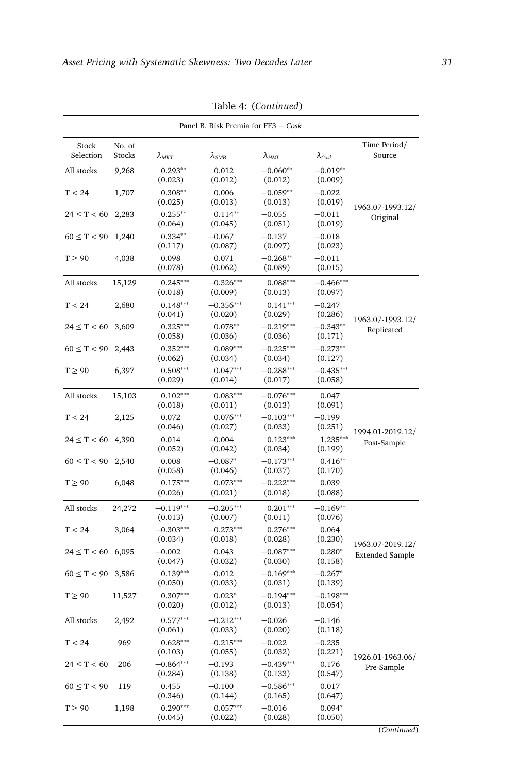<span id="page-30-0"></span>

|                    | Panel B. Risk Premia for FF3 + Cosk |                        |                        |                        |                         |                                            |  |  |  |  |
|--------------------|-------------------------------------|------------------------|------------------------|------------------------|-------------------------|--------------------------------------------|--|--|--|--|
| Stock<br>Selection | No. of<br><b>Stocks</b>             | $\lambda_{MKT}$        | $\lambda_{SMB}$        | $\lambda_{HML}$        | $\lambda_{\text{Cosk}}$ | Time Period/<br>Source                     |  |  |  |  |
| All stocks         | 9,268                               | $0.293**$<br>(0.023)   | 0.012<br>(0.012)       | $-0.060**$<br>(0.012)  | $-0.019**$<br>(0.009)   |                                            |  |  |  |  |
| T < 24             | 1,707                               | $0.308**$<br>(0.025)   | 0.006<br>(0.013)       | $-0.059**$<br>(0.013)  | $-0.022$<br>(0.019)     | 1963.07-1993.12/                           |  |  |  |  |
| $24 \le T < 60$    | 2,283                               | $0.255***$<br>(0.064)  | $0.114**$<br>(0.045)   | $-0.055$<br>(0.051)    | $-0.011$<br>(0.019)     | Original                                   |  |  |  |  |
| $60 \le T < 90$    | 1,240                               | $0.334**$<br>(0.117)   | $-0.067$<br>(0.087)    | $-0.137$<br>(0.097)    | $-0.018$<br>(0.023)     |                                            |  |  |  |  |
| $T \geq 90$        | 4,038                               | 0.098<br>(0.078)       | 0.071<br>(0.062)       | $-0.268**$<br>(0.089)  | $-0.011$<br>(0.015)     |                                            |  |  |  |  |
| All stocks         | 15,129                              | $0.245***$<br>(0.018)  | $-0.326***$<br>(0.009) | $0.088***$<br>(0.013)  | $-0.466***$<br>(0.097)  |                                            |  |  |  |  |
| T < 24             | 2,680                               | $0.148***$<br>(0.041)  | $-0.356***$<br>(0.020) | $0.141***$<br>(0.029)  | $-0.247$<br>(0.286)     | 1963.07-1993.12/                           |  |  |  |  |
| $24 \le T < 60$    | 3,609                               | $0.325***$<br>(0.058)  | $0.078**$<br>(0.036)   | $-0.219***$<br>(0.036) | $-0.343**$<br>(0.171)   | Replicated                                 |  |  |  |  |
| $60 \le T < 90$    | 2,443                               | $0.352***$<br>(0.062)  | $0.089***$<br>(0.034)  | $-0.225***$<br>(0.034) | $-0.273**$<br>(0.127)   |                                            |  |  |  |  |
| $T \geq 90$        | 6,397                               | $0.508***$<br>(0.029)  | $0.047***$<br>(0.014)  | $-0.288***$<br>(0.017) | $-0.435***$<br>(0.058)  |                                            |  |  |  |  |
| All stocks         | 15,103                              | $0.102***$<br>(0.018)  | $0.083***$<br>(0.011)  | $-0.076***$<br>(0.013) | 0.047<br>(0.091)        |                                            |  |  |  |  |
| T < 24             | 2,125                               | 0.072<br>(0.046)       | $0.076***$<br>(0.027)  | $-0.103***$<br>(0.033) | $-0.199$<br>(0.251)     |                                            |  |  |  |  |
| $24 \le T < 60$    | 4,390                               | 0.014<br>(0.052)       | $-0.004$<br>(0.042)    | $0.123***$<br>(0.034)  | $1.235***$<br>(0.199)   | 1994.01-2019.12/<br>Post-Sample            |  |  |  |  |
| $60 \le T < 90$    | 2,540                               | 0.008<br>(0.058)       | $-0.087*$<br>(0.046)   | $-0.173***$<br>(0.037) | $0.416**$<br>(0.170)    |                                            |  |  |  |  |
| $T \geq 90$        | 6,048                               | $0.175***$<br>(0.026)  | $0.073***$<br>(0.021)  | $-0.222***$<br>(0.018) | 0.039<br>(0.088)        |                                            |  |  |  |  |
| All stocks         | 24,272                              | $-0.119***$<br>(0.013) | $-0.205***$<br>(0.007) | $0.201***$<br>(0.011)  | $-0.169**$<br>(0.076)   |                                            |  |  |  |  |
| T < 24             | 3,064                               | $-0.303***$<br>(0.034) | $-0.273***$<br>(0.018) | $0.276***$<br>(0.028)  | 0.064<br>(0.230)        |                                            |  |  |  |  |
| $24 \leq T < 60$   | 6,095                               | $-0.002$<br>(0.047)    | 0.043<br>(0.032)       | $-0.087***$<br>(0.030) | $0.280*$<br>(0.158)     | 1963.07-2019.12/<br><b>Extended Sample</b> |  |  |  |  |
| $60 \le T < 90$    | 3,586                               | $0.139***$<br>(0.050)  | $-0.012$<br>(0.033)    | $-0.169***$<br>(0.031) | $-0.267*$<br>(0.139)    |                                            |  |  |  |  |
| $T \geq 90$        | 11,527                              | $0.307***$<br>(0.020)  | $0.023*$<br>(0.012)    | $-0.194***$<br>(0.013) | $-0.198***$<br>(0.054)  |                                            |  |  |  |  |
| All stocks         | 2,492                               | $0.577***$<br>(0.061)  | $-0.212***$<br>(0.033) | $-0.026$<br>(0.020)    | $-0.146$<br>(0.118)     |                                            |  |  |  |  |
| T < 24             | 969                                 | $0.628***$<br>(0.103)  | $-0.215***$<br>(0.055) | $-0.022$<br>(0.032)    | $-0.235$<br>(0.221)     |                                            |  |  |  |  |
| $24 \le T < 60$    | 206                                 | $-0.864***$<br>(0.284) | $-0.193$<br>(0.138)    | $-0.439***$<br>(0.133) | 0.176<br>(0.547)        | 1926.01-1963.06/<br>Pre-Sample             |  |  |  |  |
| $60 \le T < 90$    | 119                                 | 0.455<br>(0.346)       | $-0.100$<br>(0.144)    | $-0.586***$<br>(0.165) | 0.017<br>(0.647)        |                                            |  |  |  |  |
| $T \geq 90$        | 1,198                               | $0.290***$<br>(0.045)  | $0.057***$<br>(0.022)  | $-0.016$<br>(0.028)    | $0.094*$<br>(0.050)     |                                            |  |  |  |  |

Table 4: (*Continued*)

(*Continued*)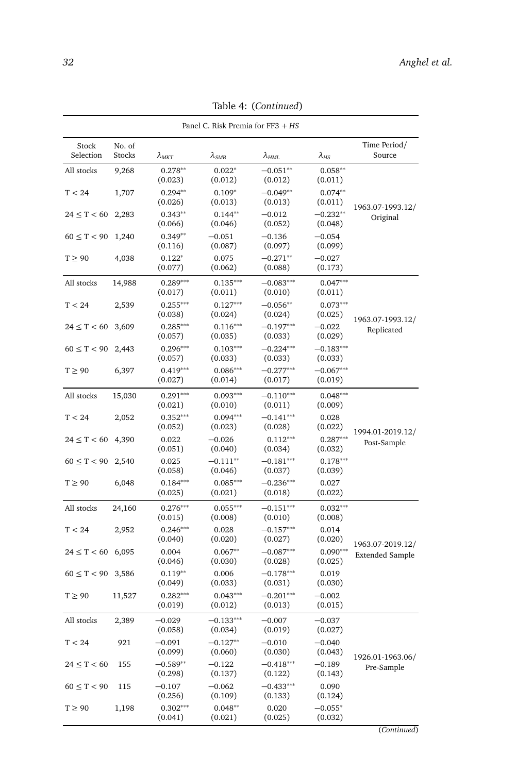|                    | Panel C. Risk Premia for FF3 + HS |                       |                        |                        |                        |                        |  |  |  |
|--------------------|-----------------------------------|-----------------------|------------------------|------------------------|------------------------|------------------------|--|--|--|
| Stock<br>Selection | No. of<br>Stocks                  | $\lambda_{MKT}$       | $\lambda_{SMB}$        | $\lambda_{HML}$        | $\lambda_{HS}$         | Time Period/<br>Source |  |  |  |
| All stocks         | 9,268                             | $0.278**$<br>(0.023)  | $0.022*$<br>(0.012)    | $-0.051**$<br>(0.012)  | $0.058**$<br>(0.011)   |                        |  |  |  |
| T < 24             | 1,707                             | $0.294**$<br>(0.026)  | $0.109*$<br>(0.013)    | $-0.049**$<br>(0.013)  | $0.074**$<br>(0.011)   | 1963.07-1993.12/       |  |  |  |
| $24 \le T < 60$    | 2,283                             | $0.343**$<br>(0.066)  | $0.144**$<br>(0.046)   | $-0.012$<br>(0.052)    | $-0.232**$<br>(0.048)  | Original               |  |  |  |
| $60 \le T < 90$    | 1,240                             | $0.349**$<br>(0.116)  | $-0.051$<br>(0.087)    | $-0.136$<br>(0.097)    | $-0.054$<br>(0.099)    |                        |  |  |  |
| $T \geq 90$        | 4,038                             | $0.122*$<br>(0.077)   | 0.075<br>(0.062)       | $-0.271**$<br>(0.088)  | $-0.027$<br>(0.173)    |                        |  |  |  |
| All stocks         | 14,988                            | $0.289***$<br>(0.017) | $0.135***$<br>(0.011)  | $-0.083***$<br>(0.010) | $0.047***$<br>(0.011)  |                        |  |  |  |
| T < 24             | 2,539                             | $0.255***$<br>(0.038) | $0.127***$<br>(0.024)  | $-0.056**$<br>(0.024)  | $0.073***$<br>(0.025)  | 1963.07-1993.12/       |  |  |  |
| $24 \le T < 60$    | 3,609                             | $0.285***$<br>(0.057) | $0.116***$<br>(0.035)  | $-0.197***$<br>(0.033) | $-0.022$<br>(0.029)    | Replicated             |  |  |  |
| $60 \le T < 90$    | 2,443                             | $0.296***$<br>(0.057) | $0.103***$<br>(0.033)  | $-0.224***$<br>(0.033) | $-0.183***$<br>(0.033) |                        |  |  |  |
| $T \geq 90$        | 6,397                             | $0.419***$<br>(0.027) | $0.086***$<br>(0.014)  | $-0.277***$<br>(0.017) | $-0.067***$<br>(0.019) |                        |  |  |  |
| All stocks         | 15,030                            | $0.291***$<br>(0.021) | $0.093***$<br>(0.010)  | $-0.110***$<br>(0.011) | $0.048***$<br>(0.009)  |                        |  |  |  |
| T < 24             | 2,052                             | $0.352***$<br>(0.052) | $0.094***$<br>(0.023)  | $-0.141***$<br>(0.028) | 0.028<br>(0.022)       | 1994.01-2019.12/       |  |  |  |
| $24 \leq T < 60$   | 4,390                             | 0.022<br>(0.051)      | $-0.026$<br>(0.040)    | $0.112***$<br>(0.034)  | $0.287***$<br>(0.032)  | Post-Sample            |  |  |  |
| $60 \leq T < 90$   | 2,540                             | 0.025<br>(0.058)      | $-0.111**$<br>(0.046)  | $-0.181***$<br>(0.037) | $0.178***$<br>(0.039)  |                        |  |  |  |
| $T \geq 90$        | 6,048                             | $0.184***$<br>(0.025) | $0.085***$<br>(0.021)  | $-0.236***$<br>(0.018) | 0.027<br>(0.022)       |                        |  |  |  |
| All stocks         | 24,160                            | $0.276***$<br>(0.015) | $0.055***$<br>(0.008)  | $-0.151***$<br>(0.010) | $0.032***$<br>(0.008)  |                        |  |  |  |
| T < 24             | 2,952                             | $0.246***$<br>(0.040) | 0.028<br>(0.020)       | $-0.157***$<br>(0.027) | 0.014<br>(0.020)       | 1963.07-2019.12/       |  |  |  |
| $24 \leq T < 60$   | 6,095                             | 0.004<br>(0.046)      | $0.067**$<br>(0.030)   | $-0.087***$<br>(0.028) | $0.090***$<br>(0.025)  | <b>Extended Sample</b> |  |  |  |
| $60 \le T < 90$    | 3,586                             | $0.119**$<br>(0.049)  | 0.006<br>(0.033)       | $-0.178***$<br>(0.031) | 0.019<br>(0.030)       |                        |  |  |  |
| $T \geq 90$        | 11,527                            | $0.282***$<br>(0.019) | $0.043***$<br>(0.012)  | $-0.201***$<br>(0.013) | $-0.002$<br>(0.015)    |                        |  |  |  |
| All stocks         | 2,389                             | $-0.029$<br>(0.058)   | $-0.133***$<br>(0.034) | $-0.007$<br>(0.019)    | $-0.037$<br>(0.027)    |                        |  |  |  |
| T < 24             | 921                               | $-0.091$<br>(0.099)   | $-0.127**$<br>(0.060)  | $-0.010$<br>(0.030)    | $-0.040$<br>(0.043)    | 1926.01-1963.06/       |  |  |  |
| $24 \le T < 60$    | 155                               | $-0.589**$<br>(0.298) | $-0.122$<br>(0.137)    | $-0.418***$<br>(0.122) | $-0.189$<br>(0.143)    | Pre-Sample             |  |  |  |
| $60 \le T < 90$    | 115                               | $-0.107$<br>(0.256)   | $-0.062$<br>(0.109)    | $-0.433***$<br>(0.133) | 0.090<br>(0.124)       |                        |  |  |  |
| $T \geq 90$        | 1,198                             | $0.302***$<br>(0.041) | $0.048**$<br>(0.021)   | 0.020<br>(0.025)       | $-0.055*$<br>(0.032)   |                        |  |  |  |

Table 4: (*Continued*)

(*Continued*)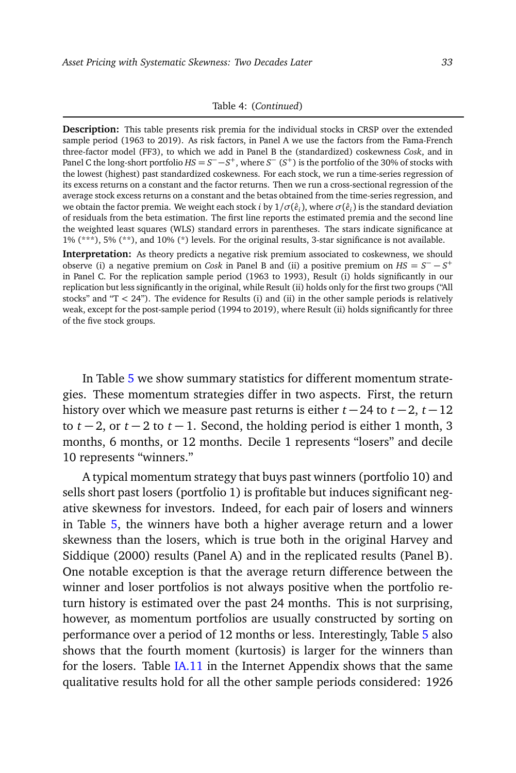#### Table 4: (*Continued*)

**Description:** This table presents risk premia for the individual stocks in CRSP over the extended sample period (1963 to 2019). As risk factors, in Panel A we use the factors from the Fama-French three-factor model (FF3), to which we add in Panel B the (standardized) coskewness *Cosk*, and in Panel C the long-short portfolio  $HS = S^- - S^+$ , where  $S^- (S^+)$  is the portfolio of the 30% of stocks with the lowest (highest) past standardized coskewness. For each stock, we run a time-series regression of its excess returns on a constant and the factor returns. Then we run a cross-sectional regression of the average stock excess returns on a constant and the betas obtained from the time-series regression, and we obtain the factor premia. We weight each stock *i* by  $1/\sigma(\hat{e}_i)$ , where  $\sigma(\hat{e}_i)$  is the standard deviation of residuals from the beta estimation. The first line reports the estimated premia and the second line the weighted least squares (WLS) standard errors in parentheses. The stars indicate significance at 1% (\*\*\*), 5% (\*\*), and 10% (\*) levels. For the original results, 3-star significance is not available.

**Interpretation:** As theory predicts a negative risk premium associated to coskewness, we should observe (i) a negative premium on *Cosk* in Panel B and (ii) a positive premium on  $HS = S^- - S^+$ in Panel C. For the replication sample period (1963 to 1993), Result (i) holds significantly in our replication but less significantly in the original, while Result (ii) holds only for the first two groups ("All stocks" and "T *<* 24"). The evidence for Results (i) and (ii) in the other sample periods is relatively weak, except for the post-sample period (1994 to 2019), where Result (ii) holds significantly for three of the five stock groups.

In Table [5](#page-33-0) we show summary statistics for different momentum strategies. These momentum strategies differ in two aspects. First, the return history over which we measure past returns is either  $t - 24$  to  $t - 2$ ,  $t - 12$ to  $t-2$ , or  $t-2$  to  $t-1$ . Second, the holding period is either 1 month, 3 months, 6 months, or 12 months. Decile 1 represents "losers" and decile 10 represents "winners."

A typical momentum strategy that buys past winners (portfolio 10) and sells short past losers (portfolio 1) is profitable but induces significant negative skewness for investors. Indeed, for each pair of losers and winners in Table [5,](#page-33-0) the winners have both a higher average return and a lower skewness than the losers, which is true both in the original Harvey and Siddique (2000) results (Panel A) and in the replicated results (Panel B). One notable exception is that the average return difference between the winner and loser portfolios is not always positive when the portfolio return history is estimated over the past 24 months. This is not surprising, however, as momentum portfolios are usually constructed by sorting on performance over a period of 12 months or less. Interestingly, Table [5](#page-33-0) also shows that the fourth moment (kurtosis) is larger for the winners than for the losers. Table [IA.11](#page-0-1) in the Internet Appendix shows that the same qualitative results hold for all the other sample periods considered: 1926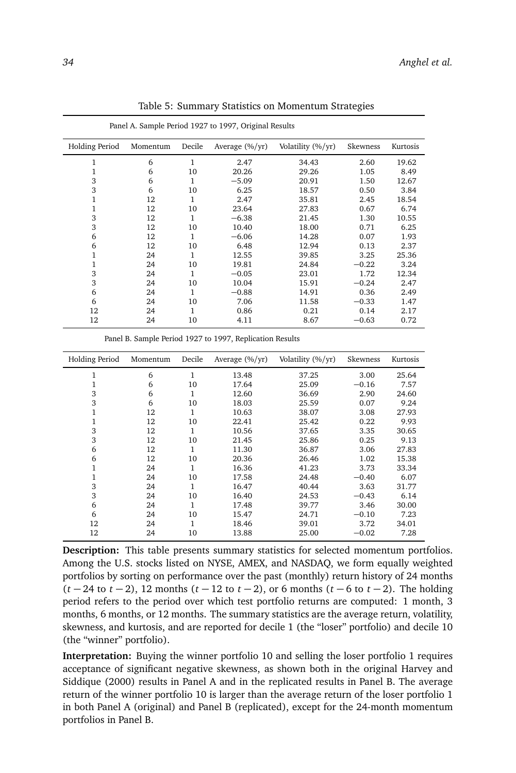<span id="page-33-0"></span>

| <b>Holding Period</b> | Momentum | Decile | Average $(\frac{6}{yr})$ | Volatility (%/yr) | Skewness | Kurtosis |
|-----------------------|----------|--------|--------------------------|-------------------|----------|----------|
| $\mathbf{1}$          | 6        | 1      | 2.47                     | 34.43             | 2.60     | 19.62    |
| 1                     | 6        | 10     | 20.26                    | 29.26             | 1.05     | 8.49     |
| 3                     | 6        | 1      | $-5.09$                  | 20.91             | 1.50     | 12.67    |
| 3                     | 6        | 10     | 6.25                     | 18.57             | 0.50     | 3.84     |
| 1                     | 12       | 1      | 2.47                     | 35.81             | 2.45     | 18.54    |
| 1                     | 12       | 10     | 23.64                    | 27.83             | 0.67     | 6.74     |
| 3                     | 12       | 1      | $-6.38$                  | 21.45             | 1.30     | 10.55    |
| 3                     | 12       | 10     | 10.40                    | 18.00             | 0.71     | 6.25     |
| 6                     | 12       | 1      | $-6.06$                  | 14.28             | 0.07     | 1.93     |
| 6                     | 12       | 10     | 6.48                     | 12.94             | 0.13     | 2.37     |
| 1                     | 24       | 1      | 12.55                    | 39.85             | 3.25     | 25.36    |
| 1                     | 24       | 10     | 19.81                    | 24.84             | $-0.22$  | 3.24     |
| 3                     | 24       | 1      | $-0.05$                  | 23.01             | 1.72     | 12.34    |
| 3                     | 24       | 10     | 10.04                    | 15.91             | $-0.24$  | 2.47     |
| 6                     | 24       | 1      | $-0.88$                  | 14.91             | 0.36     | 2.49     |
| 6                     | 24       | 10     | 7.06                     | 11.58             | $-0.33$  | 1.47     |
| 12                    | 24       | 1      | 0.86                     | 0.21              | 0.14     | 2.17     |
| 12                    | 24       | 10     | 4.11                     | 8.67              | $-0.63$  | 0.72     |

Table 5: Summary Statistics on Momentum Strategies

| Panel A. Sample Period 1927 to 1997, Original Results |  |
|-------------------------------------------------------|--|
|-------------------------------------------------------|--|

Panel B. Sample Period 1927 to 1997, Replication Results

| Holding Period | Momentum | Decile       | Average $(\frac{6}{yr})$ | Volatility (%/yr) | Skewness | Kurtosis |
|----------------|----------|--------------|--------------------------|-------------------|----------|----------|
| 1              | 6        | 1            | 13.48                    | 37.25             | 3.00     | 25.64    |
|                | 6        | 10           | 17.64                    | 25.09             | $-0.16$  | 7.57     |
| 3              | 6        | 1            | 12.60                    | 36.69             | 2.90     | 24.60    |
| 3              | 6        | 10           | 18.03                    | 25.59             | 0.07     | 9.24     |
| 1              | 12       | 1            | 10.63                    | 38.07             | 3.08     | 27.93    |
| 1              | 12       | 10           | 22.41                    | 25.42             | 0.22     | 9.93     |
| 3              | 12       | $\mathbf{1}$ | 10.56                    | 37.65             | 3.35     | 30.65    |
| 3              | 12       | 10           | 21.45                    | 25.86             | 0.25     | 9.13     |
| 6              | 12       | 1            | 11.30                    | 36.87             | 3.06     | 27.83    |
| 6              | 12       | 10           | 20.36                    | 26.46             | 1.02     | 15.38    |
| 1              | 24       | 1            | 16.36                    | 41.23             | 3.73     | 33.34    |
|                | 24       | 10           | 17.58                    | 24.48             | $-0.40$  | 6.07     |
| 3              | 24       | 1            | 16.47                    | 40.44             | 3.63     | 31.77    |
| 3              | 24       | 10           | 16.40                    | 24.53             | $-0.43$  | 6.14     |
| 6              | 24       | 1            | 17.48                    | 39.77             | 3.46     | 30.00    |
| 6              | 24       | 10           | 15.47                    | 24.71             | $-0.10$  | 7.23     |
| 12             | 24       | 1            | 18.46                    | 39.01             | 3.72     | 34.01    |
| 12             | 24       | 10           | 13.88                    | 25.00             | $-0.02$  | 7.28     |

**Description:** This table presents summary statistics for selected momentum portfolios. Among the U.S. stocks listed on NYSE, AMEX, and NASDAQ, we form equally weighted portfolios by sorting on performance over the past (monthly) return history of 24 months (*t* − 24 to *t* − 2), 12 months (*t* − 12 to *t* − 2), or 6 months (*t* − 6 to *t* − 2). The holding period refers to the period over which test portfolio returns are computed: 1 month, 3 months, 6 months, or 12 months. The summary statistics are the average return, volatility, skewness, and kurtosis, and are reported for decile 1 (the "loser" portfolio) and decile 10 (the "winner" portfolio).

**Interpretation:** Buying the winner portfolio 10 and selling the loser portfolio 1 requires acceptance of significant negative skewness, as shown both in the original Harvey and Siddique (2000) results in Panel A and in the replicated results in Panel B. The average return of the winner portfolio 10 is larger than the average return of the loser portfolio 1 in both Panel A (original) and Panel B (replicated), except for the 24-month momentum portfolios in Panel B.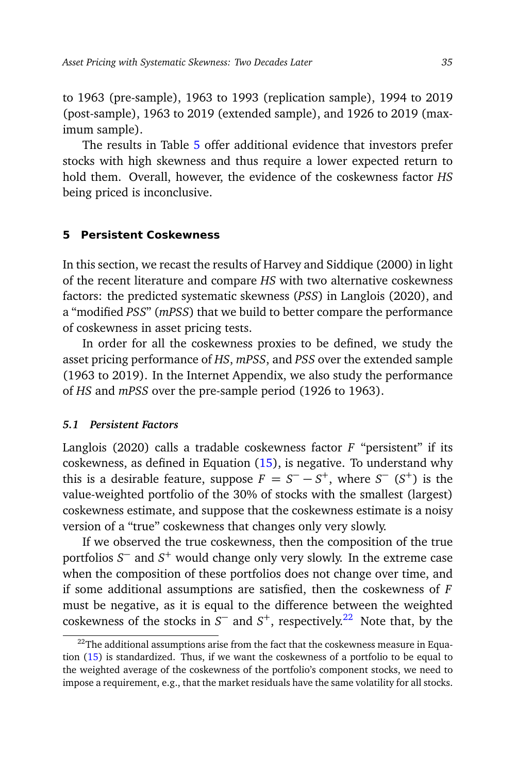to 1963 (pre-sample), 1963 to 1993 (replication sample), 1994 to 2019 (post-sample), 1963 to 2019 (extended sample), and 1926 to 2019 (maximum sample).

The results in Table [5](#page-33-0) offer additional evidence that investors prefer stocks with high skewness and thus require a lower expected return to hold them. Overall, however, the evidence of the coskewness factor *HS* being priced is inconclusive.

# <span id="page-34-0"></span>**5 Persistent Coskewness**

In this section, we recast the results of Harvey and Siddique (2000) in light of the recent literature and compare *HS* with two alternative coskewness factors: the predicted systematic skewness (*PSS*) in Langlois (2020), and a "modified *PSS*" (*mPSS*) that we build to better compare the performance of coskewness in asset pricing tests.

In order for all the coskewness proxies to be defined, we study the asset pricing performance of *HS*, *mPSS*, and *PSS* over the extended sample (1963 to 2019). In the Internet Appendix, we also study the performance of *HS* and *mPSS* over the pre-sample period (1926 to 1963).

#### <span id="page-34-2"></span>*5.1 Persistent Factors*

Langlois (2020) calls a tradable coskewness factor *F* "persistent" if its coskewness, as defined in Equation [\(15\)](#page-14-0), is negative. To understand why this is a desirable feature, suppose  $F = S^- - S^+$ , where  $S^ (S^+)$  is the value-weighted portfolio of the 30% of stocks with the smallest (largest) coskewness estimate, and suppose that the coskewness estimate is a noisy version of a "true" coskewness that changes only very slowly.

If we observed the true coskewness, then the composition of the true portfolios *S* <sup>−</sup> and *S* <sup>+</sup> would change only very slowly. In the extreme case when the composition of these portfolios does not change over time, and if some additional assumptions are satisfied, then the coskewness of *F* must be negative, as it is equal to the difference between the weighted coskewness of the stocks in  $S^-$  and  $S^+$ , respectively.<sup>[22](#page-34-1)</sup> Note that, by the

<span id="page-34-1"></span> $22$ The additional assumptions arise from the fact that the coskewness measure in Equation [\(15\)](#page-14-0) is standardized. Thus, if we want the coskewness of a portfolio to be equal to the weighted average of the coskewness of the portfolio's component stocks, we need to impose a requirement, e.g., that the market residuals have the same volatility for all stocks.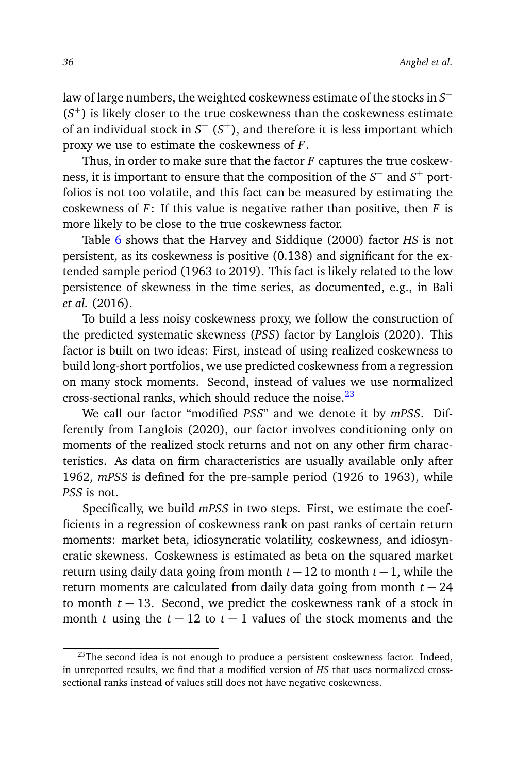law of large numbers, the weighted coskewness estimate of the stocks in  $S^{\perp}$ (*S* <sup>+</sup>) is likely closer to the true coskewness than the coskewness estimate of an individual stock in *S* <sup>−</sup> (*S* <sup>+</sup>), and therefore it is less important which proxy we use to estimate the coskewness of *F*.

Thus, in order to make sure that the factor *F* captures the true coskewness, it is important to ensure that the composition of the  $S^-$  and  $S^+$  portfolios is not too volatile, and this fact can be measured by estimating the coskewness of *F*: If this value is negative rather than positive, then *F* is more likely to be close to the true coskewness factor.

Table [6](#page-37-0) shows that the Harvey and Siddique (2000) factor *HS* is not persistent, as its coskewness is positive (0.138) and significant for the extended sample period (1963 to 2019). This fact is likely related to the low persistence of skewness in the time series, as documented, e.g., in Bali *et al.* (2016).

To build a less noisy coskewness proxy, we follow the construction of the predicted systematic skewness (*PSS*) factor by Langlois (2020). This factor is built on two ideas: First, instead of using realized coskewness to build long-short portfolios, we use predicted coskewness from a regression on many stock moments. Second, instead of values we use normalized cross-sectional ranks, which should reduce the noise. $^{23}$  $^{23}$  $^{23}$ 

We call our factor "modified *PSS*" and we denote it by *mPSS*. Differently from Langlois (2020), our factor involves conditioning only on moments of the realized stock returns and not on any other firm characteristics. As data on firm characteristics are usually available only after 1962, *mPSS* is defined for the pre-sample period (1926 to 1963), while *PSS* is not.

Specifically, we build *mPSS* in two steps. First, we estimate the coefficients in a regression of coskewness rank on past ranks of certain return moments: market beta, idiosyncratic volatility, coskewness, and idiosyncratic skewness. Coskewness is estimated as beta on the squared market return using daily data going from month *t* −12 to month *t* −1, while the return moments are calculated from daily data going from month *t* − 24 to month  $t - 13$ . Second, we predict the coskewness rank of a stock in month *t* using the  $t - 12$  to  $t - 1$  values of the stock moments and the

<span id="page-35-0"></span> $23$ The second idea is not enough to produce a persistent coskewness factor. Indeed, in unreported results, we find that a modified version of *HS* that uses normalized crosssectional ranks instead of values still does not have negative coskewness.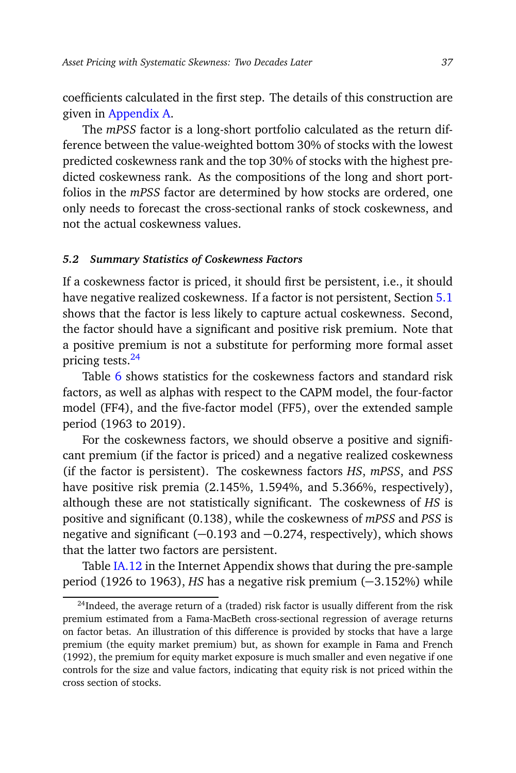coefficients calculated in the first step. The details of this construction are given in [Appendix A.](#page-1-1)

The *mPSS* factor is a long-short portfolio calculated as the return difference between the value-weighted bottom 30% of stocks with the lowest predicted coskewness rank and the top 30% of stocks with the highest predicted coskewness rank. As the compositions of the long and short portfolios in the *mPSS* factor are determined by how stocks are ordered, one only needs to forecast the cross-sectional ranks of stock coskewness, and not the actual coskewness values.

#### *5.2 Summary Statistics of Coskewness Factors*

If a coskewness factor is priced, it should first be persistent, i.e., it should have negative realized coskewness. If a factor is not persistent, Section [5.1](#page-34-2) shows that the factor is less likely to capture actual coskewness. Second, the factor should have a significant and positive risk premium. Note that a positive premium is not a substitute for performing more formal asset pricing tests.[24](#page-36-0)

Table [6](#page-37-0) shows statistics for the coskewness factors and standard risk factors, as well as alphas with respect to the CAPM model, the four-factor model (FF4), and the five-factor model (FF5), over the extended sample period (1963 to 2019).

For the coskewness factors, we should observe a positive and significant premium (if the factor is priced) and a negative realized coskewness (if the factor is persistent). The coskewness factors *HS*, *mPSS*, and *PSS* have positive risk premia (2.145%, 1.594%, and 5.366%, respectively), although these are not statistically significant. The coskewness of *HS* is positive and significant (0.138), while the coskewness of *mPSS* and *PSS* is negative and significant (−0.193 and −0.274, respectively), which shows that the latter two factors are persistent.

Table [IA.12](#page-0-1) in the Internet Appendix shows that during the pre-sample period (1926 to 1963), *HS* has a negative risk premium (−3.152%) while

<span id="page-36-0"></span> $24$ Indeed, the average return of a (traded) risk factor is usually different from the risk premium estimated from a Fama-MacBeth cross-sectional regression of average returns on factor betas. An illustration of this difference is provided by stocks that have a large premium (the equity market premium) but, as shown for example in Fama and French (1992), the premium for equity market exposure is much smaller and even negative if one controls for the size and value factors, indicating that equity risk is not priced within the cross section of stocks.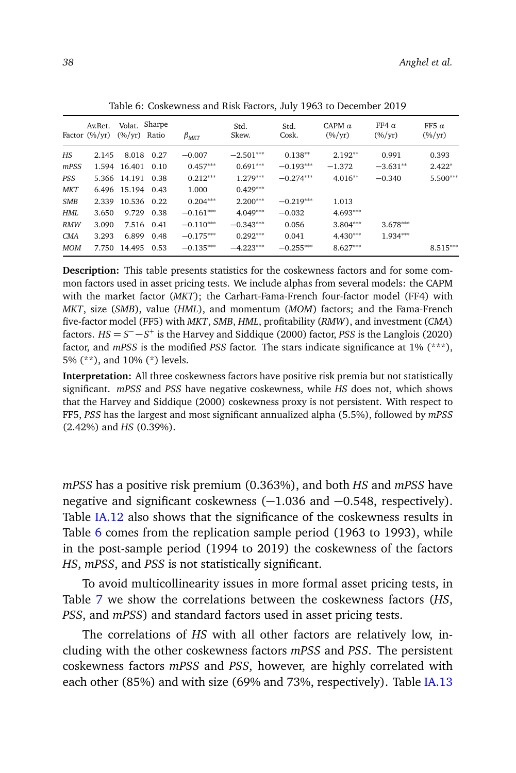<span id="page-37-0"></span>

|            | Av.Ret.<br>Factor $(\frac{6}{yr})$ | Volat. Sharpe<br>$(\frac{6}{\text{yr}})$ Ratio |            | $\beta_{MKT}$ | Std.<br>Skew. | Std.<br>Cosk. | CAPM $\alpha$<br>$(\frac{\%}{yr})$ | FF4 $\alpha$<br>$(\frac{\%}{yr})$ | FF5 $\alpha$<br>$(\frac{6}{yr})$ |
|------------|------------------------------------|------------------------------------------------|------------|---------------|---------------|---------------|------------------------------------|-----------------------------------|----------------------------------|
| ΗS         | 2.145                              |                                                | 8.018 0.27 | $-0.007$      | $-2.501***$   | $0.138**$     | $2.192**$                          | 0.991                             | 0.393                            |
| mPSS       |                                    | 1.594 16.401                                   | 0.10       | $0.457***$    | $0.691***$    | $-0.193***$   | $-1.372$                           | $-3.631**$                        | $2.422*$                         |
| PSS        |                                    | 5.366 14.191 0.38                              |            | $0.212***$    | $1.279***$    | $-0.274***$   | $4.016**$                          | $-0.340$                          | $5.500***$                       |
| <b>MKT</b> |                                    | 6.496 15.194 0.43                              |            | 1.000         | $0.429***$    |               |                                    |                                   |                                  |
| <b>SMB</b> | 2.339                              | 10.536 0.22                                    |            | $0.204***$    | $2.200***$    | $-0.219***$   | 1.013                              |                                   |                                  |
| HMI.       | 3.650                              | 9.729                                          | 0.38       | $-0.161***$   | $4.049***$    | $-0.032$      | $4.693***$                         |                                   |                                  |
| <b>RMW</b> | 3.090                              |                                                | 7.516 0.41 | $-0.110***$   | $-0.343***$   | 0.056         | $3.804***$                         | $3.678***$                        |                                  |
| CMA        | 3.293                              | 6.899                                          | 0.48       | $-0.175***$   | $0.292***$    | 0.041         | $4.430***$                         | $1.934***$                        |                                  |
| <b>MOM</b> | 7.750                              | 14.495                                         | 0.53       | $-0.135***$   | $-4.223***$   | $-0.255***$   | $8.627***$                         |                                   | $8.515***$                       |

Table 6: Coskewness and Risk Factors, July 1963 to December 2019

**Description:** This table presents statistics for the coskewness factors and for some common factors used in asset pricing tests. We include alphas from several models: the CAPM with the market factor (*MKT*); the Carhart-Fama-French four-factor model (FF4) with *MKT*, size (*SMB*), value (*HML*), and momentum (*MOM*) factors; and the Fama-French five-factor model (FF5) with *MKT*, *SMB*, *HML*, profitability (*RMW*), and investment (*CMA*) factors. *HS* = *S* <sup>−</sup> −*S* + is the Harvey and Siddique (2000) factor, *PSS* is the Langlois (2020) factor, and *mPSS* is the modified *PSS* factor. The stars indicate significance at 1% (\*\*\*), 5% (\*\*), and 10% (\*) levels.

**Interpretation:** All three coskewness factors have positive risk premia but not statistically significant. *mPSS* and *PSS* have negative coskewness, while *HS* does not, which shows that the Harvey and Siddique (2000) coskewness proxy is not persistent. With respect to FF5, *PSS* has the largest and most significant annualized alpha (5.5%), followed by *mPSS* (2.42%) and *HS* (0.39%).

*mPSS* has a positive risk premium (0.363%), and both *HS* and *mPSS* have negative and significant coskewness (−1.036 and −0.548, respectively). Table [IA.12](#page-0-1) also shows that the significance of the coskewness results in Table [6](#page-37-0) comes from the replication sample period (1963 to 1993), while in the post-sample period (1994 to 2019) the coskewness of the factors *HS*, *mPSS*, and *PSS* is not statistically significant.

To avoid multicollinearity issues in more formal asset pricing tests, in Table [7](#page-38-0) we show the correlations between the coskewness factors (*HS*, *PSS*, and *mPSS*) and standard factors used in asset pricing tests.

The correlations of *HS* with all other factors are relatively low, including with the other coskewness factors *mPSS* and *PSS*. The persistent coskewness factors *mPSS* and *PSS*, however, are highly correlated with each other (85%) and with size (69% and 73%, respectively). Table [IA.13](#page-0-1)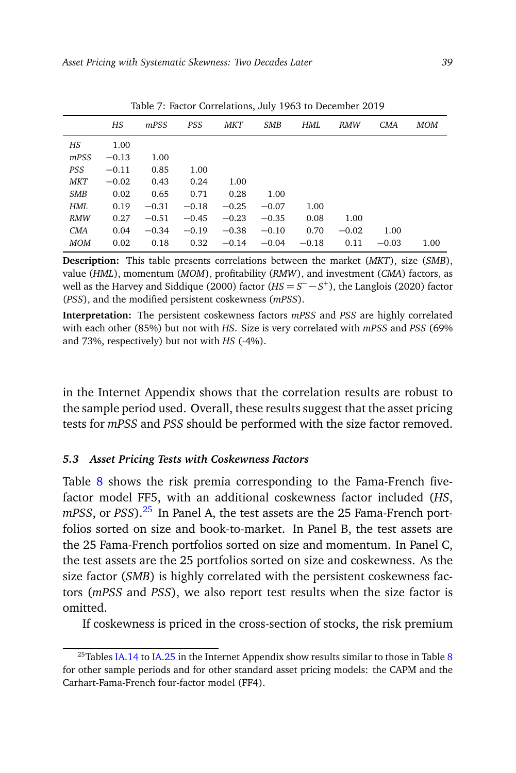<span id="page-38-0"></span>

|            | HS      | mPSS    | <b>PSS</b> | <b>MKT</b> | <b>SMB</b> | HML     | <b>RMW</b> | CMA     | MOM  |
|------------|---------|---------|------------|------------|------------|---------|------------|---------|------|
| HS         | 1.00    |         |            |            |            |         |            |         |      |
| mPSS       | $-0.13$ | 1.00    |            |            |            |         |            |         |      |
| <b>PSS</b> | $-0.11$ | 0.85    | 1.00       |            |            |         |            |         |      |
| MKT        | $-0.02$ | 0.43    | 0.24       | 1.00       |            |         |            |         |      |
| <b>SMB</b> | 0.02    | 0.65    | 0.71       | 0.28       | 1.00       |         |            |         |      |
| HML        | 0.19    | $-0.31$ | $-0.18$    | $-0.25$    | $-0.07$    | 1.00    |            |         |      |
| <b>RMW</b> | 0.27    | $-0.51$ | $-0.45$    | $-0.23$    | $-0.35$    | 0.08    | 1.00       |         |      |
| <b>CMA</b> | 0.04    | $-0.34$ | $-0.19$    | $-0.38$    | $-0.10$    | 0.70    | $-0.02$    | 1.00    |      |
| <b>MOM</b> | 0.02    | 0.18    | 0.32       | $-0.14$    | $-0.04$    | $-0.18$ | 0.11       | $-0.03$ | 1.00 |

Table 7: Factor Correlations, July 1963 to December 2019

**Description:** This table presents correlations between the market (*MKT*), size (*SMB*), value (*HML*), momentum (*MOM*), profitability (*RMW*), and investment (*CMA*) factors, as well as the Harvey and Siddique (2000) factor  $(HS = S^- - S^+)$ , the Langlois (2020) factor (*PSS*), and the modified persistent coskewness (*mPSS*).

**Interpretation:** The persistent coskewness factors *mPSS* and *PSS* are highly correlated with each other (85%) but not with *HS*. Size is very correlated with *mPSS* and *PSS* (69% and 73%, respectively) but not with *HS* (-4%).

in the Internet Appendix shows that the correlation results are robust to the sample period used. Overall, these results suggest that the asset pricing tests for *mPSS* and *PSS* should be performed with the size factor removed.

# *5.3 Asset Pricing Tests with Coskewness Factors*

Table [8](#page-39-0) shows the risk premia corresponding to the Fama-French fivefactor model FF5, with an additional coskewness factor included (*HS*, *mPSS*, or *PSS*).<sup>[25](#page-38-1)</sup> In Panel A, the test assets are the 25 Fama-French portfolios sorted on size and book-to-market. In Panel B, the test assets are the 25 Fama-French portfolios sorted on size and momentum. In Panel C, the test assets are the 25 portfolios sorted on size and coskewness. As the size factor (*SMB*) is highly correlated with the persistent coskewness factors (*mPSS* and *PSS*), we also report test results when the size factor is omitted.

If coskewness is priced in the cross-section of stocks, the risk premium

<span id="page-38-1"></span><sup>&</sup>lt;sup>25</sup>Tables [IA.14](#page-0-1) to [IA.25](#page-0-1) in the Internet Appendix show results similar to those in Table [8](#page-39-0) for other sample periods and for other standard asset pricing models: the CAPM and the Carhart-Fama-French four-factor model (FF4).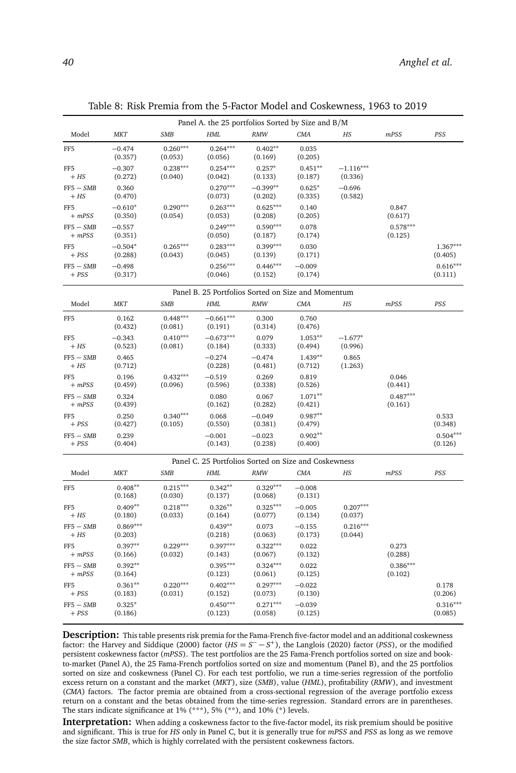|                             |                       |                       |                        | Panel A. the 25 portfolios Sorted by Size and B/M    |                      |                        |                       |                       |
|-----------------------------|-----------------------|-----------------------|------------------------|------------------------------------------------------|----------------------|------------------------|-----------------------|-----------------------|
| Model                       | <b>MKT</b>            | <b>SMB</b>            | <b>HML</b>             | <b>RMW</b>                                           | <b>CMA</b>           | HS                     | mPSS                  | PSS                   |
| FF <sub>5</sub>             | $-0.474$<br>(0.357)   | $0.260***$<br>(0.053) | $0.264***$<br>(0.056)  | $0.402**$<br>(0.169)                                 | 0.035<br>(0.205)     |                        |                       |                       |
| FF <sub>5</sub><br>$+ HS$   | $-0.307$<br>(0.272)   | $0.238***$<br>(0.040) | $0.254***$<br>(0.042)  | $0.257*$<br>(0.133)                                  | $0.451**$<br>(0.187) | $-1.116***$<br>(0.336) |                       |                       |
| $FF5 - SMB$<br>$+ HS$       | 0.360<br>(0.470)      |                       | $0.270***$<br>(0.073)  | $-0.399**$<br>(0.202)                                | $0.625*$<br>(0.335)  | $-0.696$<br>(0.582)    |                       |                       |
| FF <sub>5</sub><br>$+ mPSS$ | $-0.610*$<br>(0.350)  | $0.290***$<br>(0.054) | $0.263***$<br>(0.053)  | $0.625***$<br>(0.208)                                | 0.140<br>(0.205)     |                        | 0.847<br>(0.617)      |                       |
| $FF5 - SMB$<br>$+ mPSS$     | $-0.557$<br>(0.351)   |                       | $0.249***$<br>(0.050)  | $0.590***$<br>(0.187)                                | 0.078<br>(0.174)     |                        | $0.578***$<br>(0.125) |                       |
| FF <sub>5</sub><br>$+ PSS$  | $-0.504*$<br>(0.288)  | $0.265***$<br>(0.043) | $0.283***$<br>(0.045)  | $0.399***$<br>(0.139)                                | 0.030<br>(0.171)     |                        |                       | $1.367***$<br>(0.405) |
| $FF5 - SMB$<br>$+ PSS$      | $-0.498$<br>(0.317)   |                       | $0.256***$<br>(0.046)  | $0.446***$<br>(0.152)                                | $-0.009$<br>(0.174)  |                        |                       | $0.616***$<br>(0.111) |
|                             |                       |                       |                        | Panel B. 25 Portfolios Sorted on Size and Momentum   |                      |                        |                       |                       |
| Model                       | МKT                   | SMB                   | <b>HML</b>             | <b>RMW</b>                                           | <b>CMA</b>           | $_{HS}$                | mPSS                  | PSS                   |
| FF <sub>5</sub>             | 0.162<br>(0.432)      | $0.448***$<br>(0.081) | $-0.661***$<br>(0.191) | 0.300<br>(0.314)                                     | 0.760<br>(0.476)     |                        |                       |                       |
| FF <sub>5</sub><br>$+ HS$   | $-0.343$<br>(0.523)   | $0.410***$<br>(0.081) | $-0.673***$<br>(0.184) | 0.079<br>(0.333)                                     | $1.053**$<br>(0.494) | $-1.677*$<br>(0.996)   |                       |                       |
| $FF5 - SMB$<br>$+ HS$       | 0.465<br>(0.712)      |                       | $-0.274$<br>(0.228)    | $-0.474$<br>(0.481)                                  | $1.439**$<br>(0.712) | 0.865<br>(1.263)       |                       |                       |
| FF <sub>5</sub><br>$+ mPSS$ | 0.196<br>(0.459)      | $0.432***$<br>(0.096) | $-0.519$<br>(0.596)    | 0.269<br>(0.338)                                     | 0.819<br>(0.526)     |                        | 0.046<br>(0.441)      |                       |
| $FF5 - SMB$<br>$+ mPSS$     | 0.324<br>(0.439)      |                       | 0.080<br>(0.162)       | 0.067<br>(0.282)                                     | $1.071**$<br>(0.421) |                        | $0.487***$<br>(0.161) |                       |
| FF <sub>5</sub><br>$+ PSS$  | 0.250<br>(0.427)      | $0.340***$<br>(0.105) | 0.068<br>(0.550)       | $-0.049$<br>(0.381)                                  | $0.987**$<br>(0.479) |                        |                       | 0.533<br>(0.348)      |
| $FF5 - SMB$<br>$+ PSS$      | 0.239<br>(0.404)      |                       | $-0.001$<br>(0.143)    | $-0.023$<br>(0.238)                                  | $0.902**$<br>(0.400) |                        |                       | $0.504***$<br>(0.126) |
|                             |                       |                       |                        | Panel C. 25 Portfolios Sorted on Size and Coskewness |                      |                        |                       |                       |
| Model                       | <b>MKT</b>            | <b>SMB</b>            | HML                    | <b>RMW</b>                                           | <b>CMA</b>           | $_{HS}$                | mPSS                  | PSS                   |
| FF <sub>5</sub>             | $0.408**$<br>(0.168)  | $0.215***$<br>(0.030) | $0.342**$<br>(0.137)   | $0.329***$<br>(0.068)                                | $-0.008$<br>(0.131)  |                        |                       |                       |
| FF <sub>5</sub><br>$+ HS$   | $0.409**$<br>(0.180)  | $0.218***$<br>(0.033) | $0.326**$<br>(0.164)   | $0.325***$<br>(0.077)                                | $-0.005$<br>(0.134)  | $0.207***$<br>(0.037)  |                       |                       |
| $FF5 - SMB$<br>$+ HS$       | $0.869***$<br>(0.203) |                       | $0.439**$<br>(0.218)   | 0.073<br>(0.063)                                     | $-0.155$<br>(0.173)  | $0.216***$<br>(0.044)  |                       |                       |
| FF <sub>5</sub><br>$+ mPSS$ | $0.397**$<br>(0.166)  | $0.229***$<br>(0.032) | $0.397***$<br>(0.143)  | $0.322***$<br>(0.067)                                | 0.022<br>(0.132)     |                        | 0.273<br>(0.288)      |                       |
| $FF5 - SMB$<br>$+ mPSS$     | $0.392**$<br>(0.164)  |                       | $0.395***$<br>(0.123)  | $0.324***$<br>(0.061)                                | 0.022<br>(0.125)     |                        | $0.386***$<br>(0.102) |                       |
| FF <sub>5</sub><br>$+ PSS$  | $0.361**$<br>(0.183)  | $0.220***$<br>(0.031) | $0.402***$<br>(0.152)  | $0.297***$<br>(0.073)                                | $-0.022$<br>(0.130)  |                        |                       | 0.178<br>(0.206)      |
| $FF5 - SMB$<br>$+ PSS$      | $0.325*$<br>(0.186)   |                       | $0.450***$<br>(0.123)  | $0.271***$<br>(0.058)                                | $-0.039$<br>(0.125)  |                        |                       | $0.316***$<br>(0.085) |

<span id="page-39-0"></span>Table 8: Risk Premia from the 5-Factor Model and Coskewness, 1963 to 2019

**Description:** This table presents risk premia for the Fama-French five-factor model and an additional coskewness factor: the Harvey and Siddique (2000) factor ( $HS = S^- - S^+$ ), the Langlois (2020) factor (*PSS*), or the modified persistent coskewness factor (*mPSS*). The test portfolios are the 25 Fama-French portfolios sorted on size and bookto-market (Panel A), the 25 Fama-French portfolios sorted on size and momentum (Panel B), and the 25 portfolios sorted on size and coskewness (Panel C). For each test portfolio, we run a time-series regression of the portfolio excess return on a constant and the market (*MKT*), size (*SMB*), value (*HML*), profitability (*RMW*), and investment (*CMA*) factors. The factor premia are obtained from a cross-sectional regression of the average portfolio excess return on a constant and the betas obtained from the time-series regression. Standard errors are in parentheses. The stars indicate significance at  $1\%$  (\*\*\*),  $5\%$  (\*\*), and  $10\%$  (\*) levels.

**Interpretation:** When adding a coskewness factor to the five-factor model, its risk premium should be positive and significant. This is true for *HS* only in Panel C, but it is generally true for *mPSS* and *PSS* as long as we remove the size factor *SMB*, which is highly correlated with the persistent coskewness factors.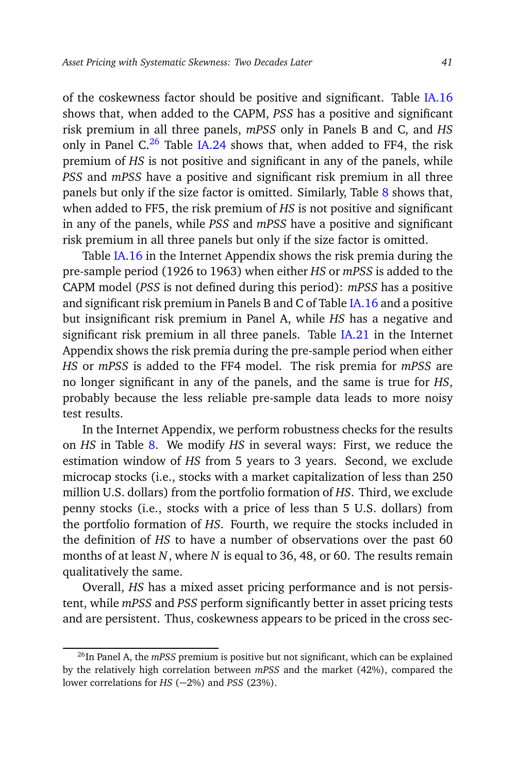of the coskewness factor should be positive and significant. Table [IA.16](#page-0-1) shows that, when added to the CAPM, *PSS* has a positive and significant risk premium in all three panels, *mPSS* only in Panels B and C, and *HS* only in Panel C.<sup>[26](#page-40-0)</sup> Table [IA.24](#page-0-1) shows that, when added to FF4, the risk premium of *HS* is not positive and significant in any of the panels, while *PSS* and *mPSS* have a positive and significant risk premium in all three panels but only if the size factor is omitted. Similarly, Table [8](#page-39-0) shows that, when added to FF5, the risk premium of *HS* is not positive and significant in any of the panels, while *PSS* and *mPSS* have a positive and significant risk premium in all three panels but only if the size factor is omitted.

Table [IA.16](#page-0-1) in the Internet Appendix shows the risk premia during the pre-sample period (1926 to 1963) when either *HS* or *mPSS* is added to the CAPM model (*PSS* is not defined during this period): *mPSS* has a positive and significant risk premium in Panels B and C of Table [IA.16](#page-0-1) and a positive but insignificant risk premium in Panel A, while *HS* has a negative and significant risk premium in all three panels. Table [IA.21](#page-0-1) in the Internet Appendix shows the risk premia during the pre-sample period when either *HS* or *mPSS* is added to the FF4 model. The risk premia for *mPSS* are no longer significant in any of the panels, and the same is true for *HS*, probably because the less reliable pre-sample data leads to more noisy test results.

In the Internet Appendix, we perform robustness checks for the results on *HS* in Table [8.](#page-39-0) We modify *HS* in several ways: First, we reduce the estimation window of *HS* from 5 years to 3 years. Second, we exclude microcap stocks (i.e., stocks with a market capitalization of less than 250 million U.S. dollars) from the portfolio formation of *HS*. Third, we exclude penny stocks (i.e., stocks with a price of less than 5 U.S. dollars) from the portfolio formation of *HS*. Fourth, we require the stocks included in the definition of *HS* to have a number of observations over the past 60 months of at least *N*, where *N* is equal to 36, 48, or 60. The results remain qualitatively the same.

Overall, *HS* has a mixed asset pricing performance and is not persistent, while *mPSS* and *PSS* perform significantly better in asset pricing tests and are persistent. Thus, coskewness appears to be priced in the cross sec-

<span id="page-40-0"></span><sup>&</sup>lt;sup>26</sup>In Panel A, the *mPSS* premium is positive but not significant, which can be explained by the relatively high correlation between *mPSS* and the market (42%), compared the lower correlations for *HS* (−2%) and *PSS* (23%).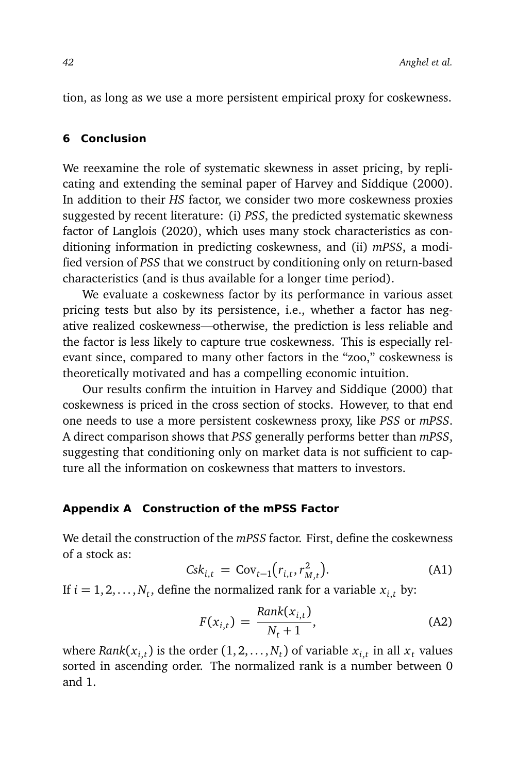tion, as long as we use a more persistent empirical proxy for coskewness.

# <span id="page-41-0"></span>**6 Conclusion**

We reexamine the role of systematic skewness in asset pricing, by replicating and extending the seminal paper of Harvey and Siddique (2000). In addition to their *HS* factor, we consider two more coskewness proxies suggested by recent literature: (i) *PSS*, the predicted systematic skewness factor of Langlois (2020), which uses many stock characteristics as conditioning information in predicting coskewness, and (ii) *mPSS*, a modified version of *PSS* that we construct by conditioning only on return-based characteristics (and is thus available for a longer time period).

We evaluate a coskewness factor by its performance in various asset pricing tests but also by its persistence, i.e., whether a factor has negative realized coskewness—otherwise, the prediction is less reliable and the factor is less likely to capture true coskewness. This is especially relevant since, compared to many other factors in the "zoo," coskewness is theoretically motivated and has a compelling economic intuition.

Our results confirm the intuition in Harvey and Siddique (2000) that coskewness is priced in the cross section of stocks. However, to that end one needs to use a more persistent coskewness proxy, like *PSS* or *mPSS*. A direct comparison shows that *PSS* generally performs better than *mPSS*, suggesting that conditioning only on market data is not sufficient to capture all the information on coskewness that matters to investors.

# **Appendix A Construction of the mPSS Factor**

We detail the construction of the *mPSS* factor. First, define the coskewness of a stock as:

<span id="page-41-1"></span>
$$
Csk_{i,t} = \text{Cov}_{t-1}(r_{i,t}, r_{M,t}^2). \tag{A1}
$$

If  $i = 1, 2, \ldots, N_t$ , define the normalized rank for a variable  $x_{i,t}$  by:

$$
F(x_{i,t}) = \frac{Rank(x_{i,t})}{N_t + 1},
$$
\n(A2)

where  $Rank(x_{i,t})$  is the order  $(1,2,\ldots,N_t)$  of variable  $x_{i,t}$  in all  $x_t$  values sorted in ascending order. The normalized rank is a number between 0 and 1.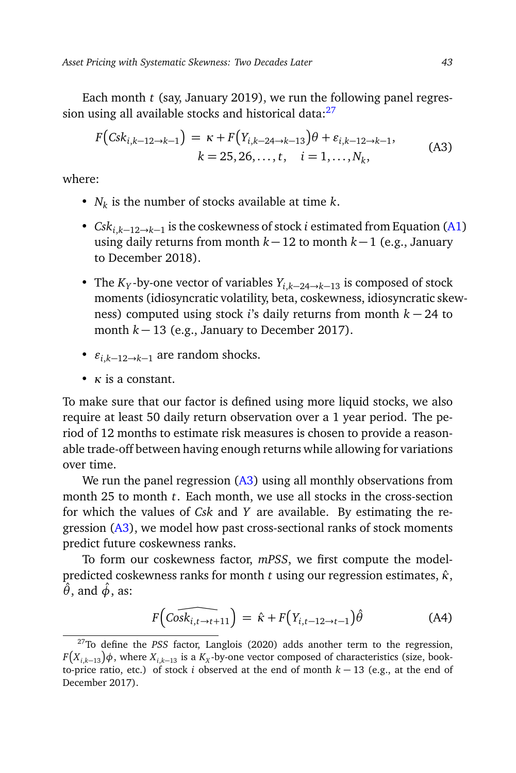Each month *t* (say, January 2019), we run the following panel regression using all available stocks and historical data: $27$ 

<span id="page-42-1"></span>
$$
F\big(csk_{i,k-12\to k-1}\big) = \kappa + F\big(Y_{i,k-24\to k-13}\big)\theta + \varepsilon_{i,k-12\to k-1},
$$
  
\n
$$
k = 25, 26, \dots, t, \quad i = 1, \dots, N_k,
$$
 (A3)

where:

- *N<sup>k</sup>* is the number of stocks available at time *k*.
- *Cski*,*k*−12→*k*−<sup>1</sup> is the coskewness of stock *i* estimated from Equation [\(A1\)](#page-41-1) using daily returns from month *k* −12 to month *k* −1 (e.g., January to December 2018).
- The  $K_Y$ -by-one vector of variables  $Y_{i,k-24\to k-13}$  is composed of stock moments (idiosyncratic volatility, beta, coskewness, idiosyncratic skewness) computed using stock *i*'s daily returns from month *k* − 24 to month  $k - 13$  (e.g., January to December 2017).
- $\varepsilon_{i,k-12\to k-1}$  are random shocks.
- *κ* is a constant.

To make sure that our factor is defined using more liquid stocks, we also require at least 50 daily return observation over a 1 year period. The period of 12 months to estimate risk measures is chosen to provide a reasonable trade-off between having enough returns while allowing for variations over time.

We run the panel regression  $(A3)$  using all monthly observations from month 25 to month *t*. Each month, we use all stocks in the cross-section for which the values of *Csk* and *Y* are available. By estimating the regression [\(A3\)](#page-42-1), we model how past cross-sectional ranks of stock moments predict future coskewness ranks.

To form our coskewness factor, *mPSS*, we first compute the modelpredicted coskewness ranks for month *t* using our regression estimates, *κ*ˆ, *θ*ˆ, and *φ*ˆ, as:

$$
F\left(\widehat{\text{Cosk}_{i,t\rightarrow t+11}}\right) = \hat{\kappa} + F\left(Y_{i,t-12\rightarrow t-1}\right)\hat{\theta}
$$
 (A4)

<span id="page-42-0"></span><sup>27</sup>To define the *PSS* factor, Langlois (2020) adds another term to the regression,  $F\big(X_{i,k-13}\big)\phi$  , where  $X_{i,k-13}$  is a  $K_X$ -by-one vector composed of characteristics (size, bookto-price ratio, etc.) of stock *i* observed at the end of month *k* − 13 (e.g., at the end of December 2017).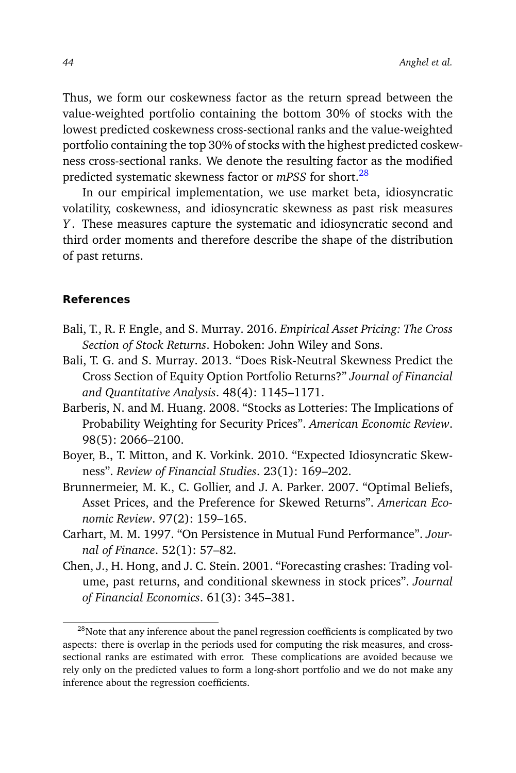Thus, we form our coskewness factor as the return spread between the value-weighted portfolio containing the bottom 30% of stocks with the lowest predicted coskewness cross-sectional ranks and the value-weighted portfolio containing the top 30% of stocks with the highest predicted coskewness cross-sectional ranks. We denote the resulting factor as the modified predicted systematic skewness factor or *mPSS* for short.[28](#page-43-0)

In our empirical implementation, we use market beta, idiosyncratic volatility, coskewness, and idiosyncratic skewness as past risk measures *Y* . These measures capture the systematic and idiosyncratic second and third order moments and therefore describe the shape of the distribution of past returns.

# **References**

- Bali, T., R. F. Engle, and S. Murray. 2016. *Empirical Asset Pricing: The Cross Section of Stock Returns*. Hoboken: John Wiley and Sons.
- Bali, T. G. and S. Murray. 2013. "Does Risk-Neutral Skewness Predict the Cross Section of Equity Option Portfolio Returns?" *Journal of Financial and Quantitative Analysis*. 48(4): 1145–1171.
- Barberis, N. and M. Huang. 2008. "Stocks as Lotteries: The Implications of Probability Weighting for Security Prices". *American Economic Review*. 98(5): 2066–2100.
- Boyer, B., T. Mitton, and K. Vorkink. 2010. "Expected Idiosyncratic Skewness". *Review of Financial Studies*. 23(1): 169–202.
- Brunnermeier, M. K., C. Gollier, and J. A. Parker. 2007. "Optimal Beliefs, Asset Prices, and the Preference for Skewed Returns". *American Economic Review*. 97(2): 159–165.
- Carhart, M. M. 1997. "On Persistence in Mutual Fund Performance". *Journal of Finance*. 52(1): 57–82.
- Chen, J., H. Hong, and J. C. Stein. 2001. "Forecasting crashes: Trading volume, past returns, and conditional skewness in stock prices". *Journal of Financial Economics*. 61(3): 345–381.

<span id="page-43-0"></span> $28$ Note that any inference about the panel regression coefficients is complicated by two aspects: there is overlap in the periods used for computing the risk measures, and crosssectional ranks are estimated with error. These complications are avoided because we rely only on the predicted values to form a long-short portfolio and we do not make any inference about the regression coefficients.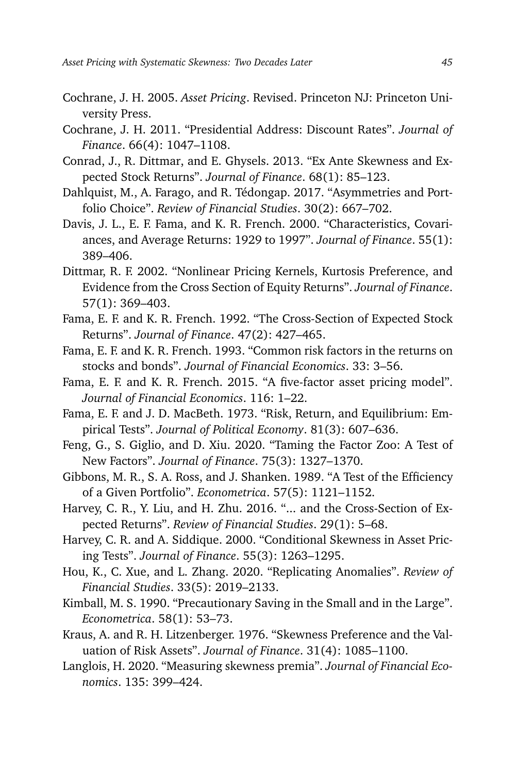- Cochrane, J. H. 2005. *Asset Pricing*. Revised. Princeton NJ: Princeton University Press.
- Cochrane, J. H. 2011. "Presidential Address: Discount Rates". *Journal of Finance*. 66(4): 1047–1108.
- Conrad, J., R. Dittmar, and E. Ghysels. 2013. "Ex Ante Skewness and Expected Stock Returns". *Journal of Finance*. 68(1): 85–123.
- Dahlquist, M., A. Farago, and R. Tédongap. 2017. "Asymmetries and Portfolio Choice". *Review of Financial Studies*. 30(2): 667–702.
- Davis, J. L., E. F. Fama, and K. R. French. 2000. "Characteristics, Covariances, and Average Returns: 1929 to 1997". *Journal of Finance*. 55(1): 389–406.
- Dittmar, R. F. 2002. "Nonlinear Pricing Kernels, Kurtosis Preference, and Evidence from the Cross Section of Equity Returns". *Journal of Finance*. 57(1): 369–403.
- Fama, E. F. and K. R. French. 1992. "The Cross-Section of Expected Stock Returns". *Journal of Finance*. 47(2): 427–465.
- Fama, E. F. and K. R. French. 1993. "Common risk factors in the returns on stocks and bonds". *Journal of Financial Economics*. 33: 3–56.
- Fama, E. F. and K. R. French. 2015. "A five-factor asset pricing model". *Journal of Financial Economics*. 116: 1–22.
- Fama, E. F. and J. D. MacBeth. 1973. "Risk, Return, and Equilibrium: Empirical Tests". *Journal of Political Economy*. 81(3): 607–636.
- Feng, G., S. Giglio, and D. Xiu. 2020. "Taming the Factor Zoo: A Test of New Factors". *Journal of Finance*. 75(3): 1327–1370.
- Gibbons, M. R., S. A. Ross, and J. Shanken. 1989. "A Test of the Efficiency of a Given Portfolio". *Econometrica*. 57(5): 1121–1152.
- Harvey, C. R., Y. Liu, and H. Zhu. 2016. "... and the Cross-Section of Expected Returns". *Review of Financial Studies*. 29(1): 5–68.
- Harvey, C. R. and A. Siddique. 2000. "Conditional Skewness in Asset Pricing Tests". *Journal of Finance*. 55(3): 1263–1295.
- Hou, K., C. Xue, and L. Zhang. 2020. "Replicating Anomalies". *Review of Financial Studies*. 33(5): 2019–2133.
- Kimball, M. S. 1990. "Precautionary Saving in the Small and in the Large". *Econometrica*. 58(1): 53–73.
- Kraus, A. and R. H. Litzenberger. 1976. "Skewness Preference and the Valuation of Risk Assets". *Journal of Finance*. 31(4): 1085–1100.
- Langlois, H. 2020. "Measuring skewness premia". *Journal of Financial Economics*. 135: 399–424.